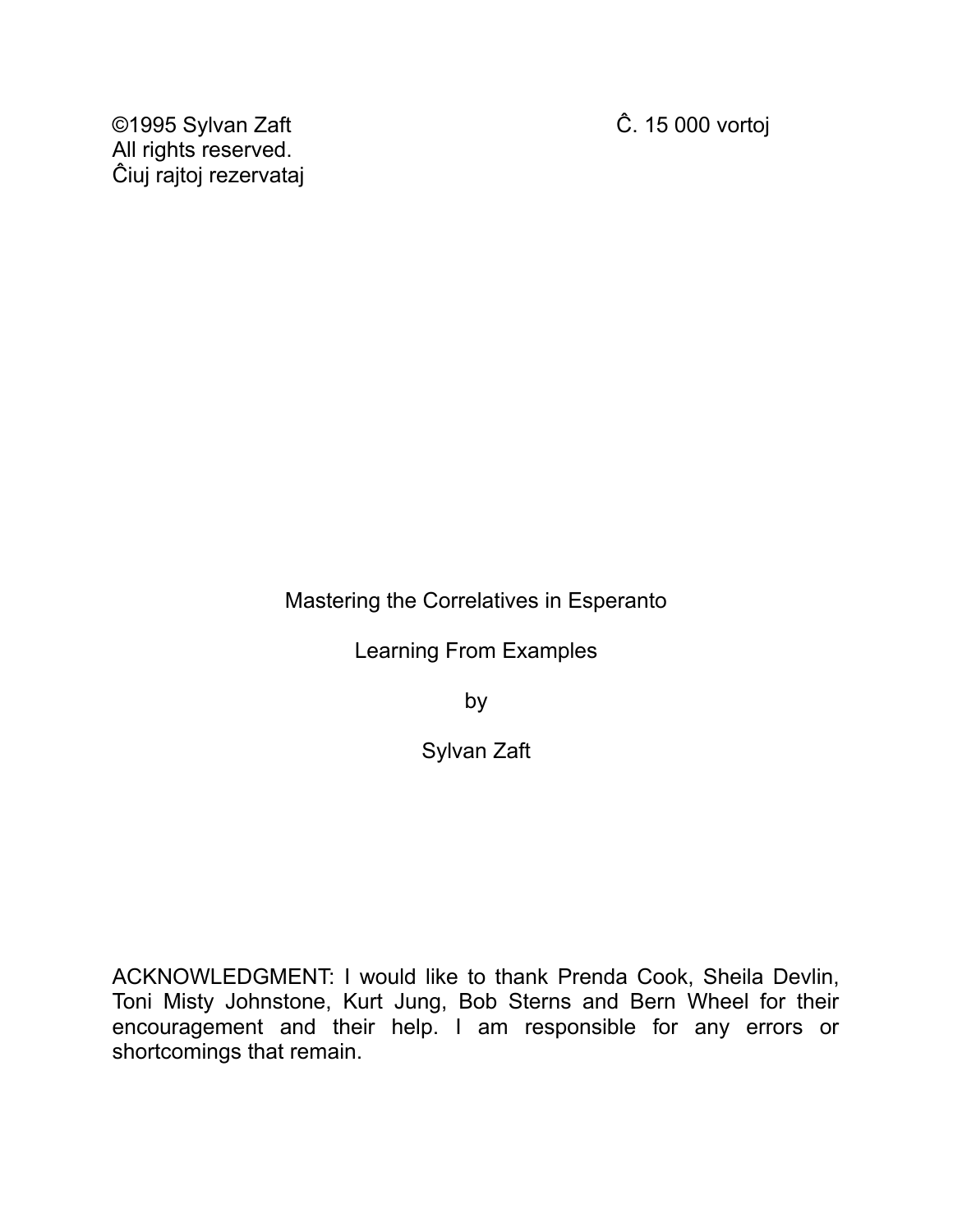©1995 Sylvan Zaft Ĉ. 15 000 vortoj All rights reserved. Ĉiuj rajtoj rezervataj

Mastering the Correlatives in Esperanto

Learning From Examples

by

Sylvan Zaft

ACKNOWLEDGMENT: I would like to thank Prenda Cook, Sheila Devlin, Toni Misty Johnstone, Kurt Jung, Bob Sterns and Bern Wheel for their encouragement and their help. I am responsible for any errors or shortcomings that remain.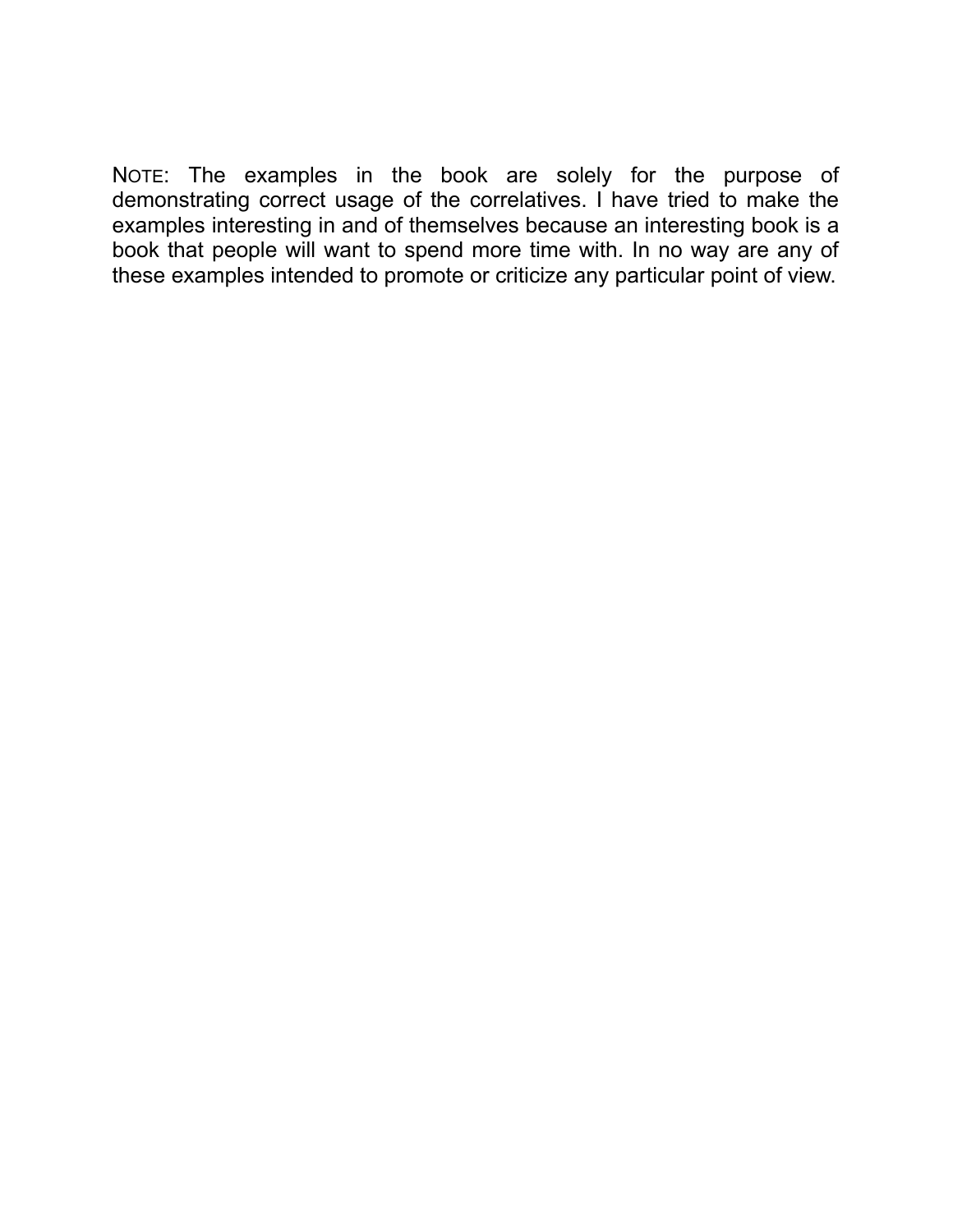NOTE: The examples in the book are solely for the purpose of demonstrating correct usage of the correlatives. I have tried to make the examples interesting in and of themselves because an interesting book is a book that people will want to spend more time with. In no way are any of these examples intended to promote or criticize any particular point of view.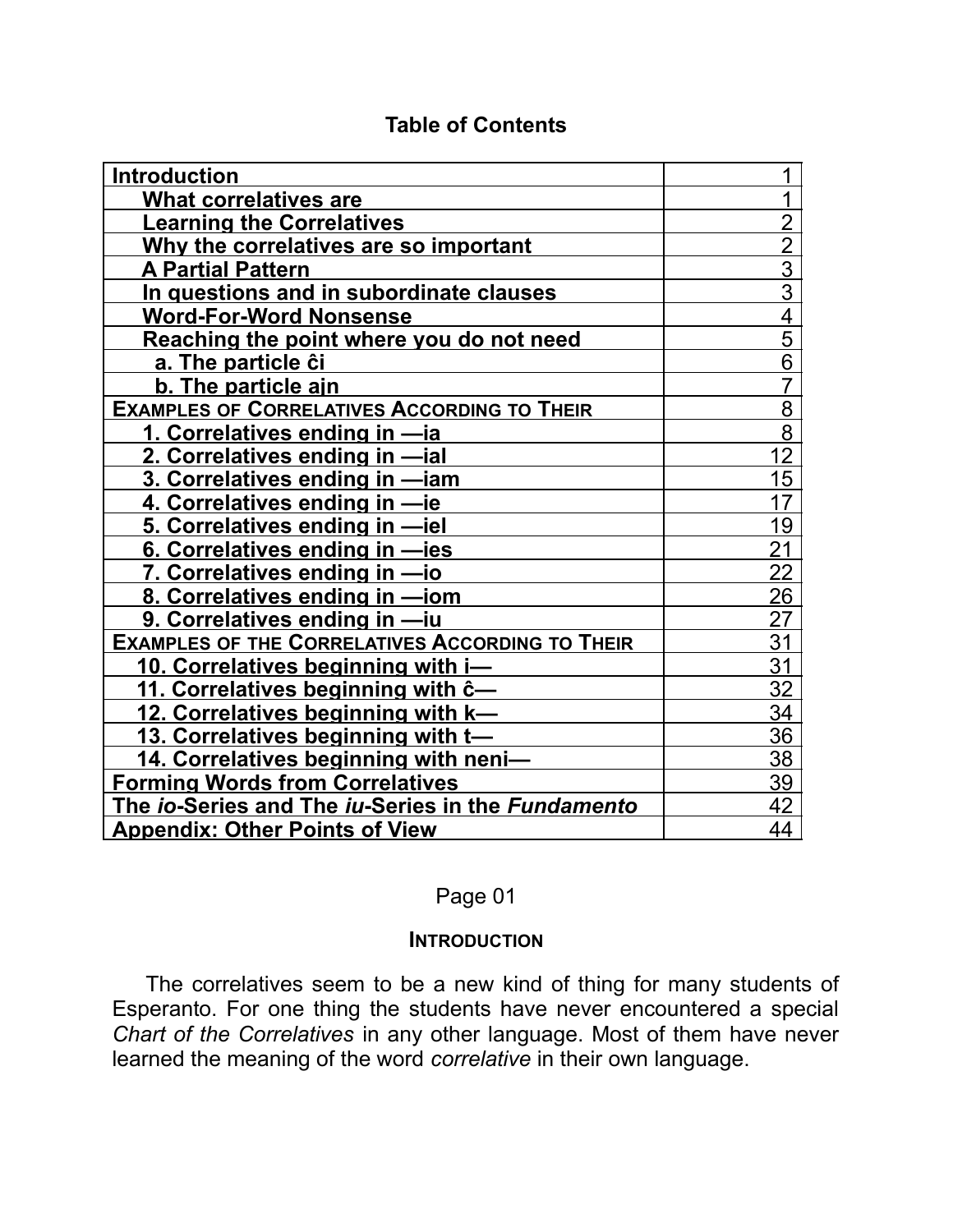| <b>Introduction</b>                                                      |                 |
|--------------------------------------------------------------------------|-----------------|
| <b>What correlatives are</b>                                             |                 |
| <b>Learning the Correlatives</b>                                         | $\overline{2}$  |
| Why the correlatives are so important                                    | $\overline{2}$  |
| <b>A Partial Pattern</b>                                                 | $\overline{3}$  |
| In questions and in subordinate clauses                                  | $\overline{3}$  |
| <b>Word-For-Word Nonsense</b>                                            | $\frac{4}{5}$   |
| Reaching the point where you do not need                                 |                 |
| a. The particle ĉi                                                       | $\overline{6}$  |
| b. The particle ajn                                                      | $\overline{7}$  |
| <b>EXAMPLES OF CORRELATIVES ACCORDING TO THEIR</b>                       | 8               |
| 1. Correlatives ending in -ia                                            | $\overline{8}$  |
| 2. Correlatives ending in -ial                                           | 12              |
| 3. Correlatives ending in -iam                                           | 15              |
| 4. Correlatives ending in -ie                                            | 17              |
| 5. Correlatives ending in -iel                                           | 19              |
| 6. Correlatives ending in -ies                                           | $\overline{21}$ |
| 7. Correlatives ending in -io                                            | $\overline{22}$ |
| 8. Correlatives ending in -iom                                           | 26              |
| 9. Correlatives ending in -iu                                            | 27              |
| <b>EXAMPLES OF THE CORRELATIVES ACCORDING TO THEIR</b>                   | $\overline{31}$ |
| 10. Correlatives beginning with i-                                       | 31              |
| 11. Correlatives beginning with $\hat{c}$ -                              | 32              |
| 12. Correlatives beginning with k—                                       | 34              |
| 13. Correlatives beginning with t-                                       | 36              |
| 14. Correlatives beginning with neni-                                    | 38              |
| <b>Forming Words from Correlatives</b>                                   | 39              |
| The <i>io-</i> Series and The <i>iu-</i> Series in the <i>Fundamento</i> | 42              |
| <b>Appendix: Other Points of View</b>                                    | 44              |

#### **Table of Contents**

### Page 01

#### **INTRODUCTION**

The correlatives seem to be a new kind of thing for many students of Esperanto. For one thing the students have never encountered a special *Chart of the Correlatives* in any other language. Most of them have never learned the meaning of the word *correlative* in their own language.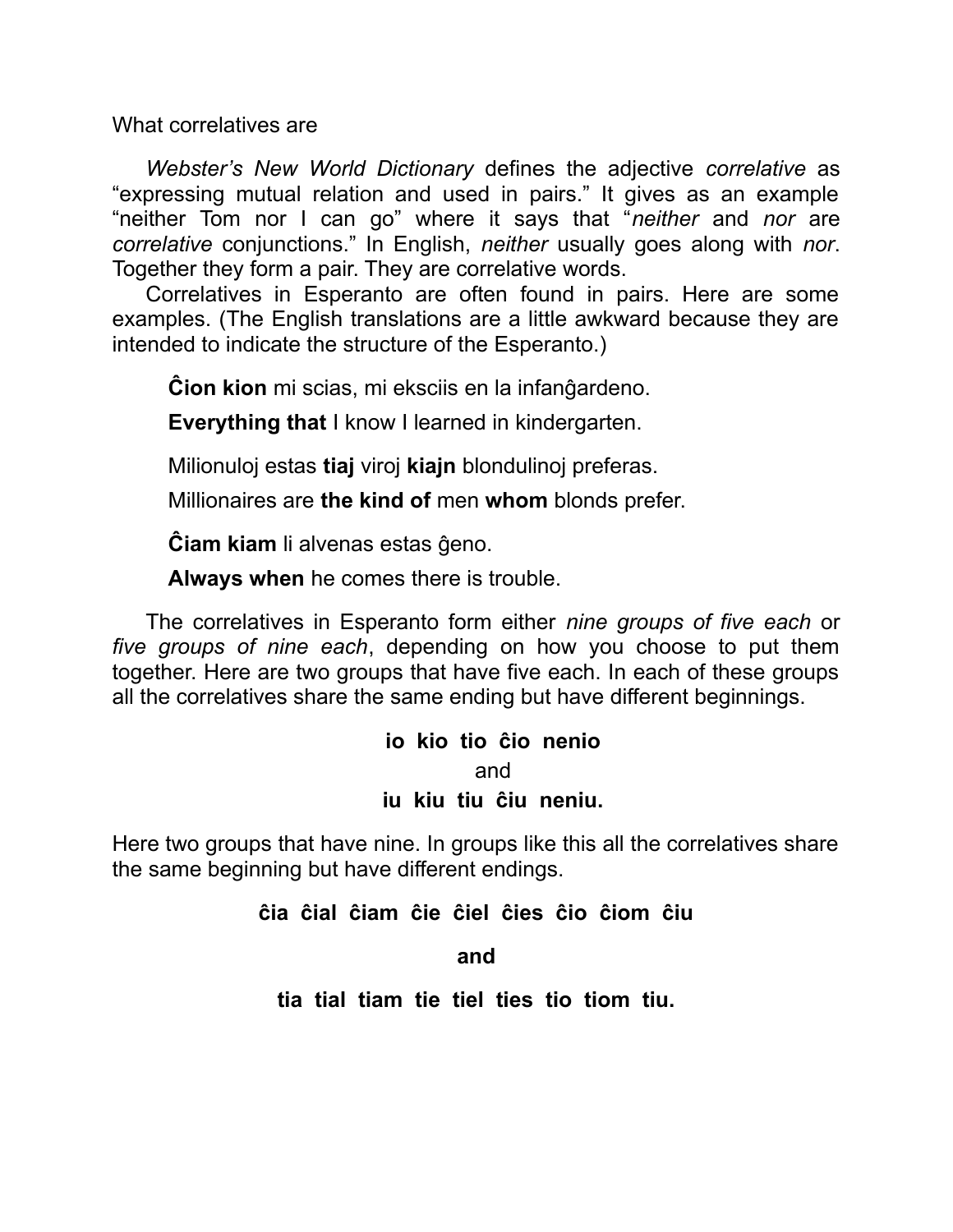What correlatives are

*Webster's New World Dictionary* defines the adjective *correlative* as "expressing mutual relation and used in pairs." It gives as an example "neither Tom nor I can go" where it says that "*neither* and *nor* are *correlative* conjunctions." In English, *neither* usually goes along with *nor*. Together they form a pair. They are correlative words.

Correlatives in Esperanto are often found in pairs. Here are some examples. (The English translations are a little awkward because they are intended to indicate the structure of the Esperanto.)

**Ĉion kion** mi scias, mi eksciis en la infanĝardeno.

**Everything that** I know I learned in kindergarten.

Milionuloj estas **tiaj** viroj **kiajn** blondulinoj preferas.

Millionaires are **the kind of** men **whom** blonds prefer.

**Ĉiam kiam** li alvenas estas ĝeno.

**Always when** he comes there is trouble.

The correlatives in Esperanto form either *nine groups of five each* or *five groups of nine each*, depending on how you choose to put them together. Here are two groups that have five each. In each of these groups all the correlatives share the same ending but have different beginnings.

# **io kio tio ĉio nenio** and **iu kiu tiu ĉiu neniu.**

Here two groups that have nine. In groups like this all the correlatives share the same beginning but have different endings.

**ĉia ĉial ĉiam ĉie ĉiel ĉies ĉio ĉiom ĉiu**

**and**

**tia tial tiam tie tiel ties tio tiom tiu.**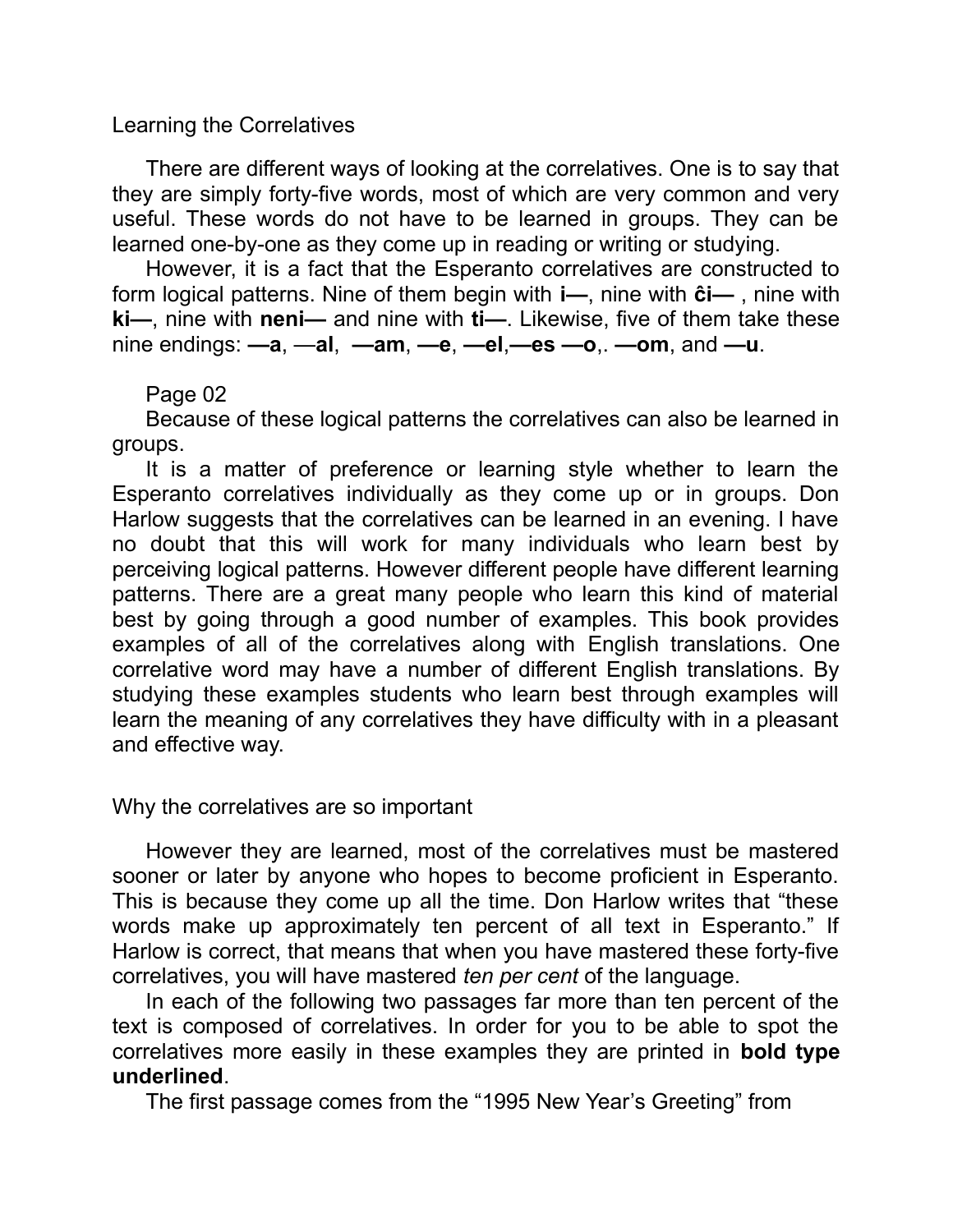#### Learning the Correlatives

There are different ways of looking at the correlatives. One is to say that they are simply forty-five words, most of which are very common and very useful. These words do not have to be learned in groups. They can be learned one-by-one as they come up in reading or writing or studying.

However, it is a fact that the Esperanto correlatives are constructed to form logical patterns. Nine of them begin with **i—**, nine with **ĉi—** , nine with **ki—**, nine with **neni—** and nine with **ti—**. Likewise, five of them take these nine endings: **—a**, —**al**, **—am**, **—e**, **—el**,**—es —o**,. **—om**, and **—u**.

Page 02

Because of these logical patterns the correlatives can also be learned in groups.

It is a matter of preference or learning style whether to learn the Esperanto correlatives individually as they come up or in groups. Don Harlow suggests that the correlatives can be learned in an evening. I have no doubt that this will work for many individuals who learn best by perceiving logical patterns. However different people have different learning patterns. There are a great many people who learn this kind of material best by going through a good number of examples. This book provides examples of all of the correlatives along with English translations. One correlative word may have a number of different English translations. By studying these examples students who learn best through examples will learn the meaning of any correlatives they have difficulty with in a pleasant and effective way.

Why the correlatives are so important

However they are learned, most of the correlatives must be mastered sooner or later by anyone who hopes to become proficient in Esperanto. This is because they come up all the time. Don Harlow writes that "these words make up approximately ten percent of all text in Esperanto." If Harlow is correct, that means that when you have mastered these forty-five correlatives, you will have mastered *ten per cent* of the language.

In each of the following two passages far more than ten percent of the text is composed of correlatives. In order for you to be able to spot the correlatives more easily in these examples they are printed in **bold type underlined**.

The first passage comes from the "1995 New Year's Greeting" from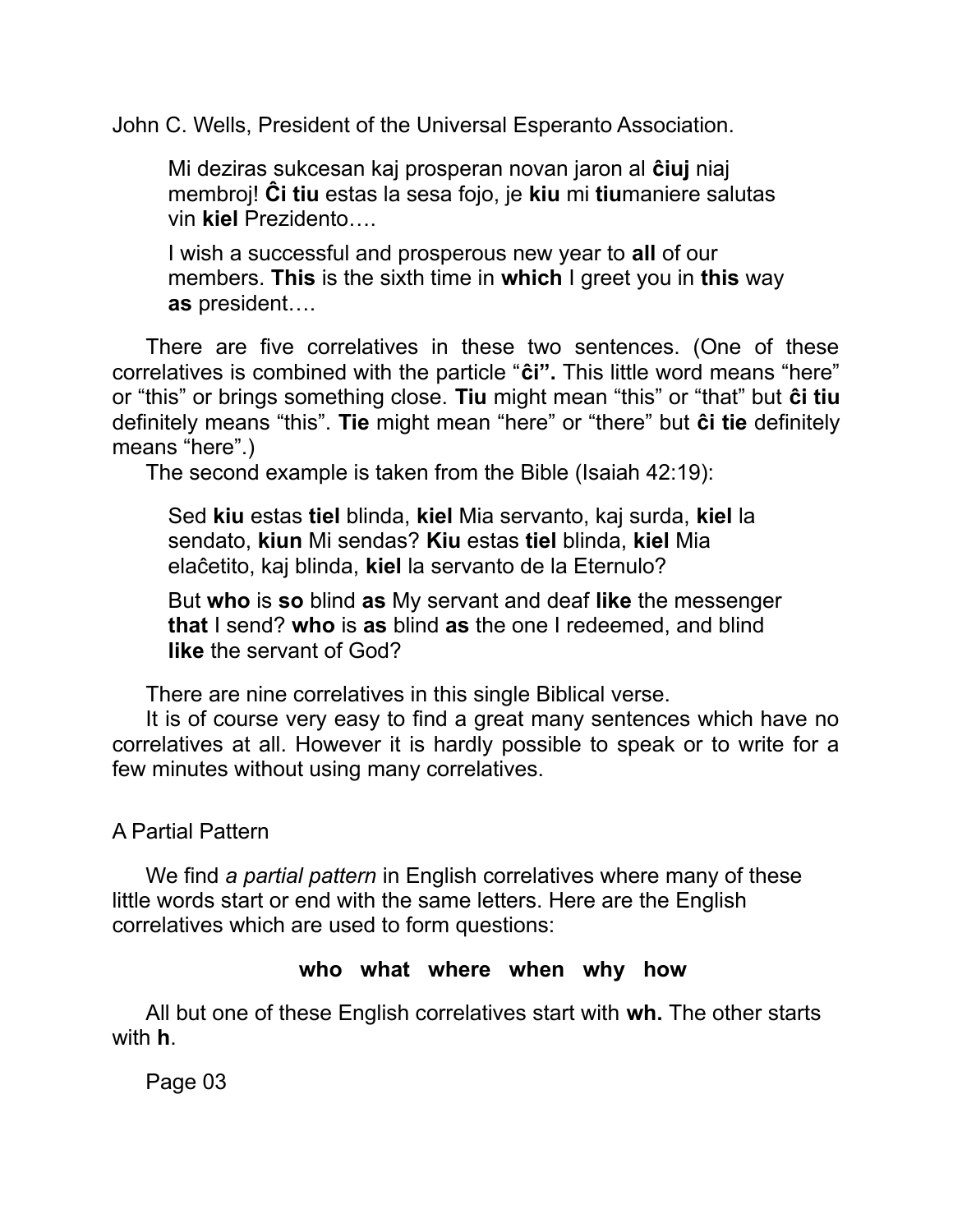John C. Wells, President of the Universal Esperanto Association.

Mi deziras sukcesan kaj prosperan novan jaron al **ĉiuj** niaj membroj! **Ĉi tiu** estas la sesa fojo, je **kiu** mi **tiu**maniere salutas vin **kiel** Prezidento….

I wish a successful and prosperous new year to **all** of our members. **This** is the sixth time in **which** I greet you in **this** way **as** president….

There are five correlatives in these two sentences. (One of these correlatives is combined with the particle "**ĉi".** This little word means "here" or "this" or brings something close. **Tiu** might mean "this" or "that" but **ĉi tiu** definitely means "this". **Tie** might mean "here" or "there" but **ĉi tie** definitely means "here".)

The second example is taken from the Bible (Isaiah 42:19):

Sed **kiu** estas **tiel** blinda, **kiel** Mia servanto, kaj surda, **kiel** la sendato, **kiun** Mi sendas? **Kiu** estas **tiel** blinda, **kiel** Mia elaĉetito, kaj blinda, **kiel** la servanto de la Eternulo?

But **who** is **so** blind **as** My servant and deaf **like** the messenger **that** I send? **who** is **as** blind **as** the one I redeemed, and blind **like** the servant of God?

There are nine correlatives in this single Biblical verse.

It is of course very easy to find a great many sentences which have no correlatives at all. However it is hardly possible to speak or to write for a few minutes without using many correlatives.

## A Partial Pattern

We find *a partial pattern* in English correlatives where many of these little words start or end with the same letters. Here are the English correlatives which are used to form questions:

### **who what where when why how**

All but one of these English correlatives start with **wh.** The other starts with **h**.

Page 03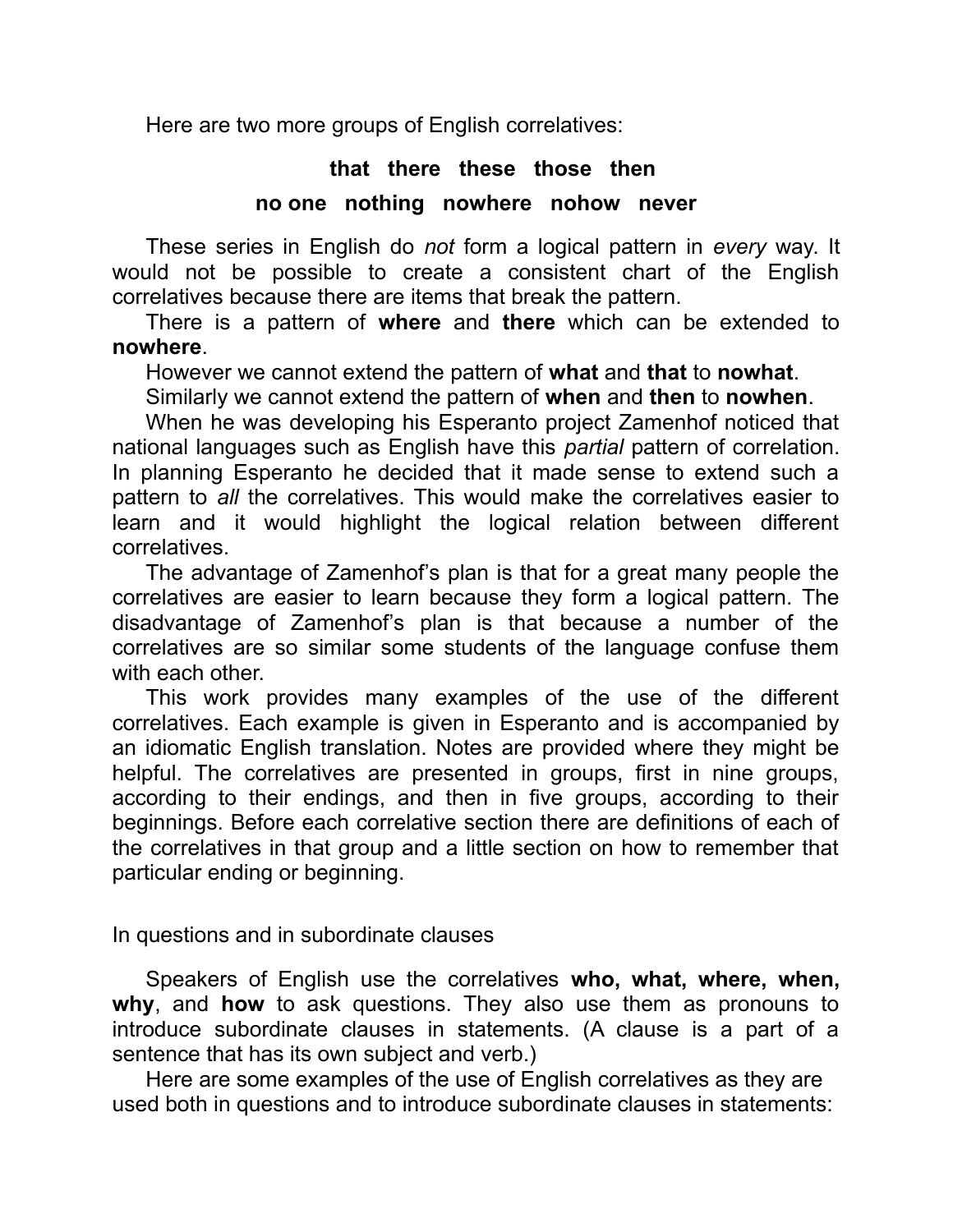Here are two more groups of English correlatives:

#### **that there these those then**

#### **no one nothing nowhere nohow never**

These series in English do *not* form a logical pattern in *every* way. It would not be possible to create a consistent chart of the English correlatives because there are items that break the pattern.

There is a pattern of **where** and **there** which can be extended to **nowhere**.

However we cannot extend the pattern of **what** and **that** to **nowhat**.

Similarly we cannot extend the pattern of **when** and **then** to **nowhen**.

When he was developing his Esperanto project Zamenhof noticed that national languages such as English have this *partial* pattern of correlation. In planning Esperanto he decided that it made sense to extend such a pattern to *all* the correlatives. This would make the correlatives easier to learn and it would highlight the logical relation between different correlatives.

The advantage of Zamenhof's plan is that for a great many people the correlatives are easier to learn because they form a logical pattern. The disadvantage of Zamenhof's plan is that because a number of the correlatives are so similar some students of the language confuse them with each other.

This work provides many examples of the use of the different correlatives. Each example is given in Esperanto and is accompanied by an idiomatic English translation. Notes are provided where they might be helpful. The correlatives are presented in groups, first in nine groups, according to their endings, and then in five groups, according to their beginnings. Before each correlative section there are definitions of each of the correlatives in that group and a little section on how to remember that particular ending or beginning.

In questions and in subordinate clauses

Speakers of English use the correlatives **who, what, where, when, why**, and **how** to ask questions. They also use them as pronouns to introduce subordinate clauses in statements. (A clause is a part of a sentence that has its own subject and verb.)

Here are some examples of the use of English correlatives as they are used both in questions and to introduce subordinate clauses in statements: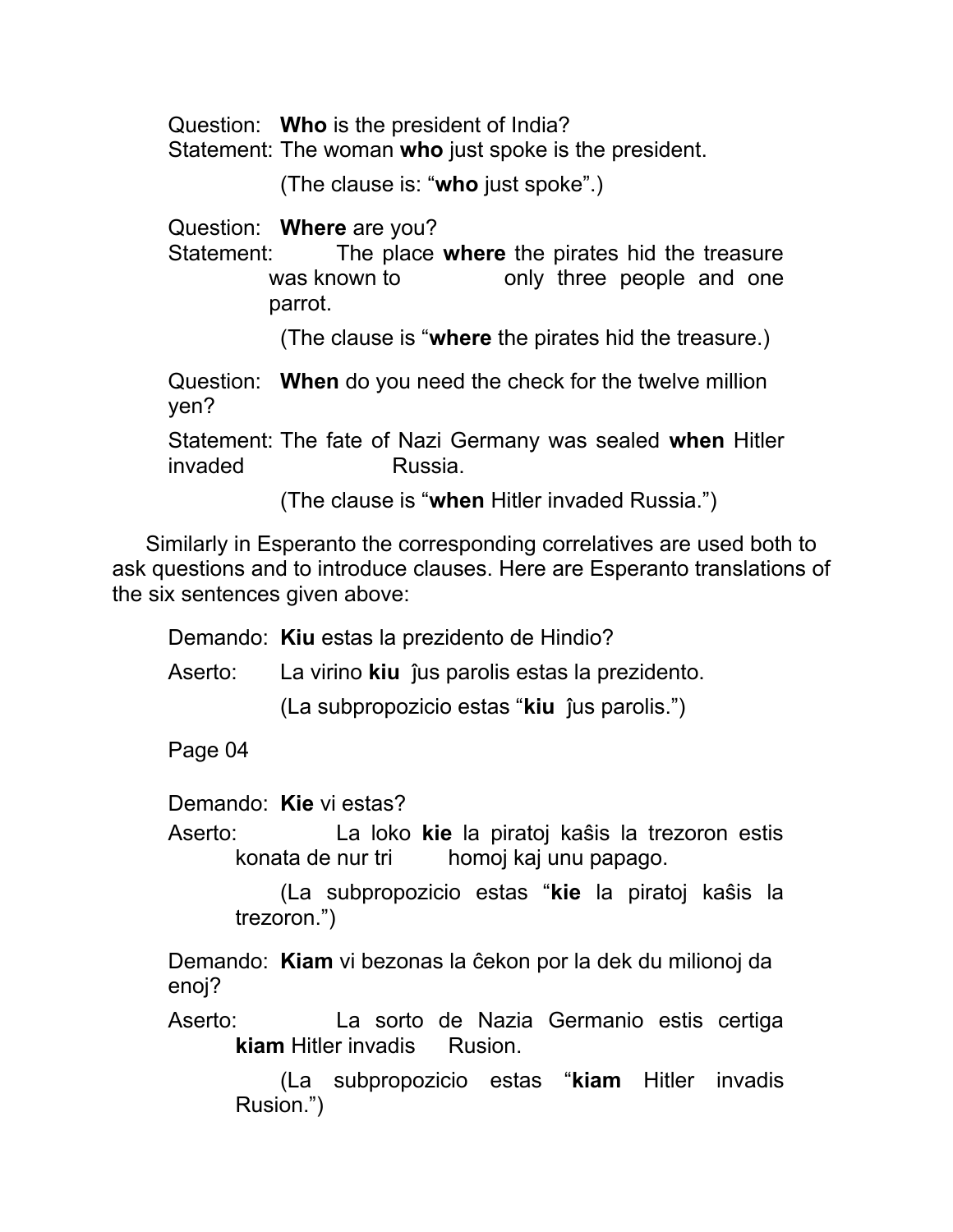Question: **Who** is the president of India?

Statement: The woman **who** just spoke is the president.

(The clause is: "**who** just spoke".)

Question: **Where** are you?

Statement: The place **where** the pirates hid the treasure was known to bonly three people and one parrot.

(The clause is "**where** the pirates hid the treasure.)

Question: **When** do you need the check for the twelve million yen?

Statement: The fate of Nazi Germany was sealed **when** Hitler invaded Russia.

(The clause is "**when** Hitler invaded Russia.")

Similarly in Esperanto the corresponding correlatives are used both to ask questions and to introduce clauses. Here are Esperanto translations of the six sentences given above:

Demando: **Kiu** estas la prezidento de Hindio?

Aserto: La virino **kiu** ĵus parolis estas la prezidento. (La subpropozicio estas "**kiu** ĵus parolis.")

Page 04

Demando: **Kie** vi estas?

Aserto: La loko **kie** la piratoj kaŝis la trezoron estis konata de nur tri homoj kaj unu papago.

> (La subpropozicio estas "**kie** la piratoj kaŝis la trezoron.")

Demando: **Kiam** vi bezonas la ĉekon por la dek du milionoj da enoj?

Aserto: La sorto de Nazia Germanio estis certiga **kiam** Hitler invadis Rusion.

> (La subpropozicio estas "**kiam** Hitler invadis Rusion.")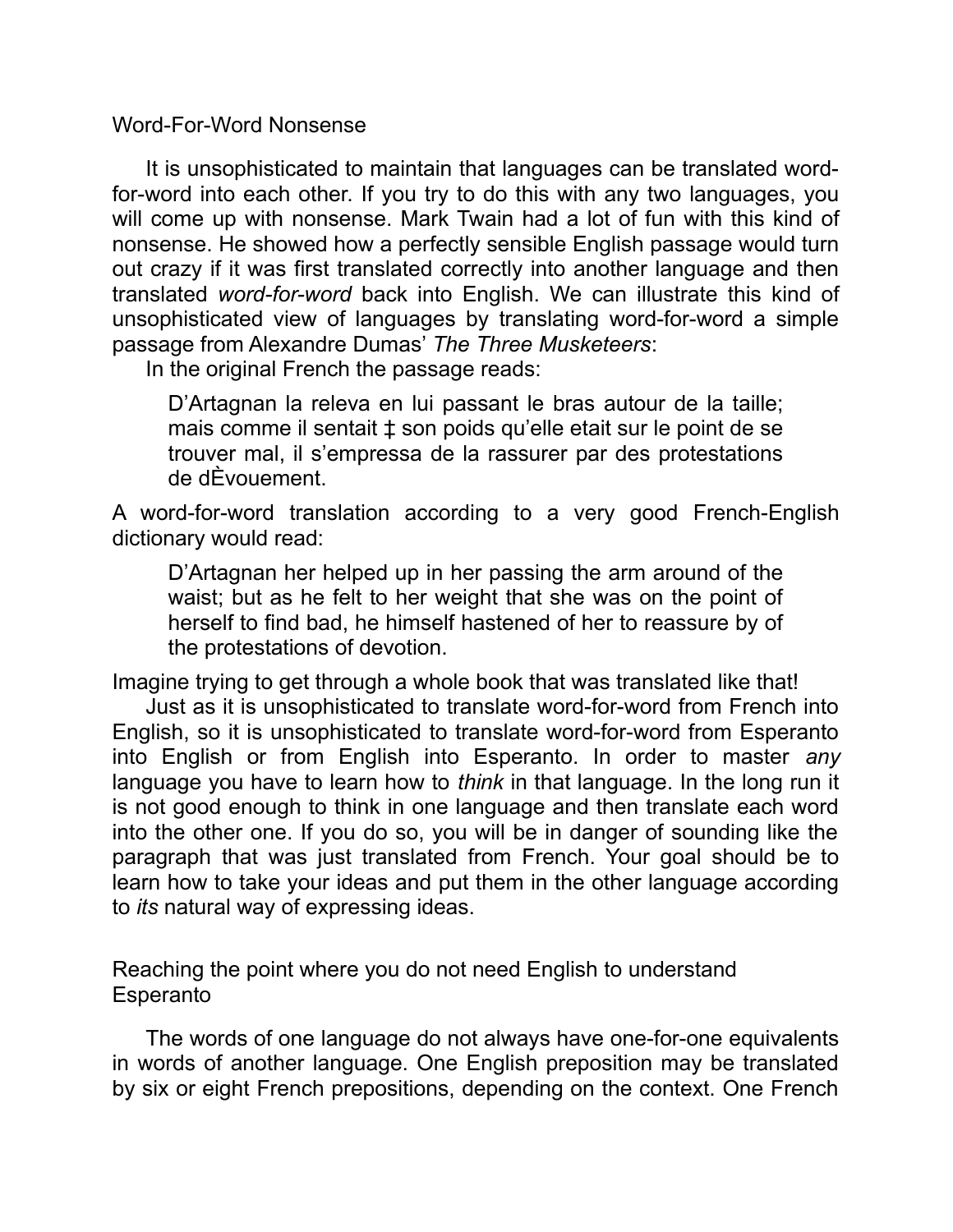Word-For-Word Nonsense

It is unsophisticated to maintain that languages can be translated wordfor-word into each other. If you try to do this with any two languages, you will come up with nonsense. Mark Twain had a lot of fun with this kind of nonsense. He showed how a perfectly sensible English passage would turn out crazy if it was first translated correctly into another language and then translated *word-for-word* back into English. We can illustrate this kind of unsophisticated view of languages by translating word-for-word a simple passage from Alexandre Dumas' *The Three Musketeers*:

In the original French the passage reads:

D'Artagnan la releva en lui passant le bras autour de la taille; mais comme il sentait ‡ son poids qu'elle etait sur le point de se trouver mal, il s'empressa de la rassurer par des protestations de dÈvouement.

A word-for-word translation according to a very good French-English dictionary would read:

D'Artagnan her helped up in her passing the arm around of the waist; but as he felt to her weight that she was on the point of herself to find bad, he himself hastened of her to reassure by of the protestations of devotion.

Imagine trying to get through a whole book that was translated like that!

Just as it is unsophisticated to translate word-for-word from French into English, so it is unsophisticated to translate word-for-word from Esperanto into English or from English into Esperanto. In order to master *any* language you have to learn how to *think* in that language. In the long run it is not good enough to think in one language and then translate each word into the other one. If you do so, you will be in danger of sounding like the paragraph that was just translated from French. Your goal should be to learn how to take your ideas and put them in the other language according to *its* natural way of expressing ideas.

Reaching the point where you do not need English to understand **Esperanto** 

The words of one language do not always have one-for-one equivalents in words of another language. One English preposition may be translated by six or eight French prepositions, depending on the context. One French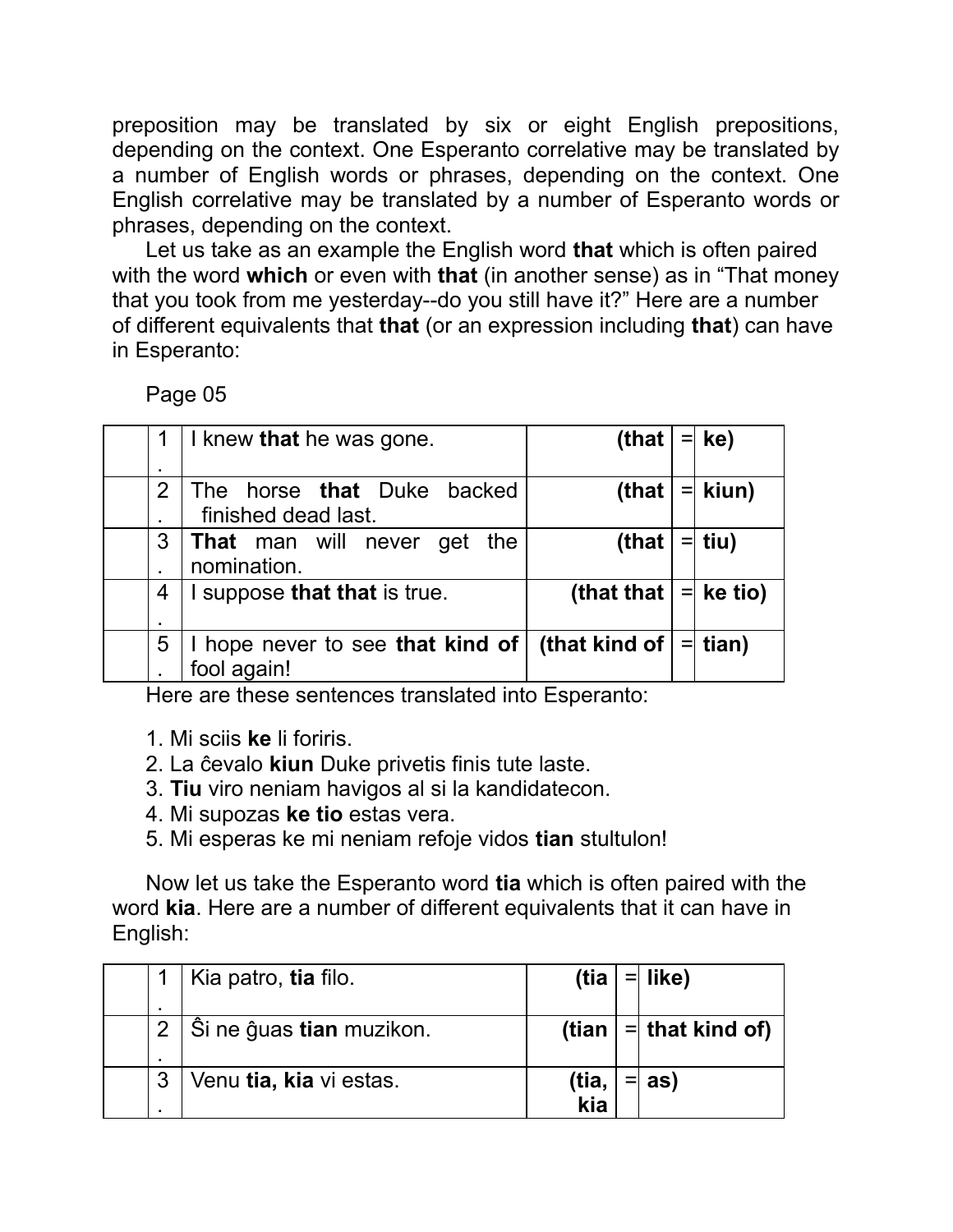preposition may be translated by six or eight English prepositions, depending on the context. One Esperanto correlative may be translated by a number of English words or phrases, depending on the context. One English correlative may be translated by a number of Esperanto words or phrases, depending on the context.

Let us take as an example the English word **that** which is often paired with the word **which** or even with **that** (in another sense) as in "That money that you took from me yesterday--do you still have it?" Here are a number of different equivalents that **that** (or an expression including **that**) can have in Esperanto:

Page 05

| ٠ | I knew that he was gone.                                 | (that                   | $=$ | ke)       |
|---|----------------------------------------------------------|-------------------------|-----|-----------|
| 2 | The horse <b>that</b> Duke backed<br>finished dead last. | (that                   |     | $=$ kiun) |
| 3 | <b>That</b> man will never get<br>the<br>nomination.     | (that                   |     | $=$ tiu)  |
| 4 | I suppose that that is true.                             | (that that $ =$ ke tio) |     |           |
| 5 | I hope never to see that kind of<br>fool again!          | (that kind of $\vert$   |     | $=$ tian) |

Here are these sentences translated into Esperanto:

- 1. Mi sciis **ke** li foriris.
- 2. La ĉevalo **kiun** Duke privetis finis tute laste.
- 3. **Tiu** viro neniam havigos al si la kandidatecon.
- 4. Mi supozas **ke tio** estas vera.
- 5. Mi esperas ke mi neniam refoje vidos **tian** stultulon!

Now let us take the Esperanto word **tia** which is often paired with the word **kia**. Here are a number of different equivalents that it can have in English:

|   | Kia patro, tia filo.              | (tia         | $=$ like)                   |
|---|-----------------------------------|--------------|-----------------------------|
|   | ∣ Ŝi ne ĝuas <b>tian</b> muzikon. |              | (tian $  =  $ that kind of) |
| 3 | Venu tia, kia vi estas.           | (tia,<br>kia | as)                         |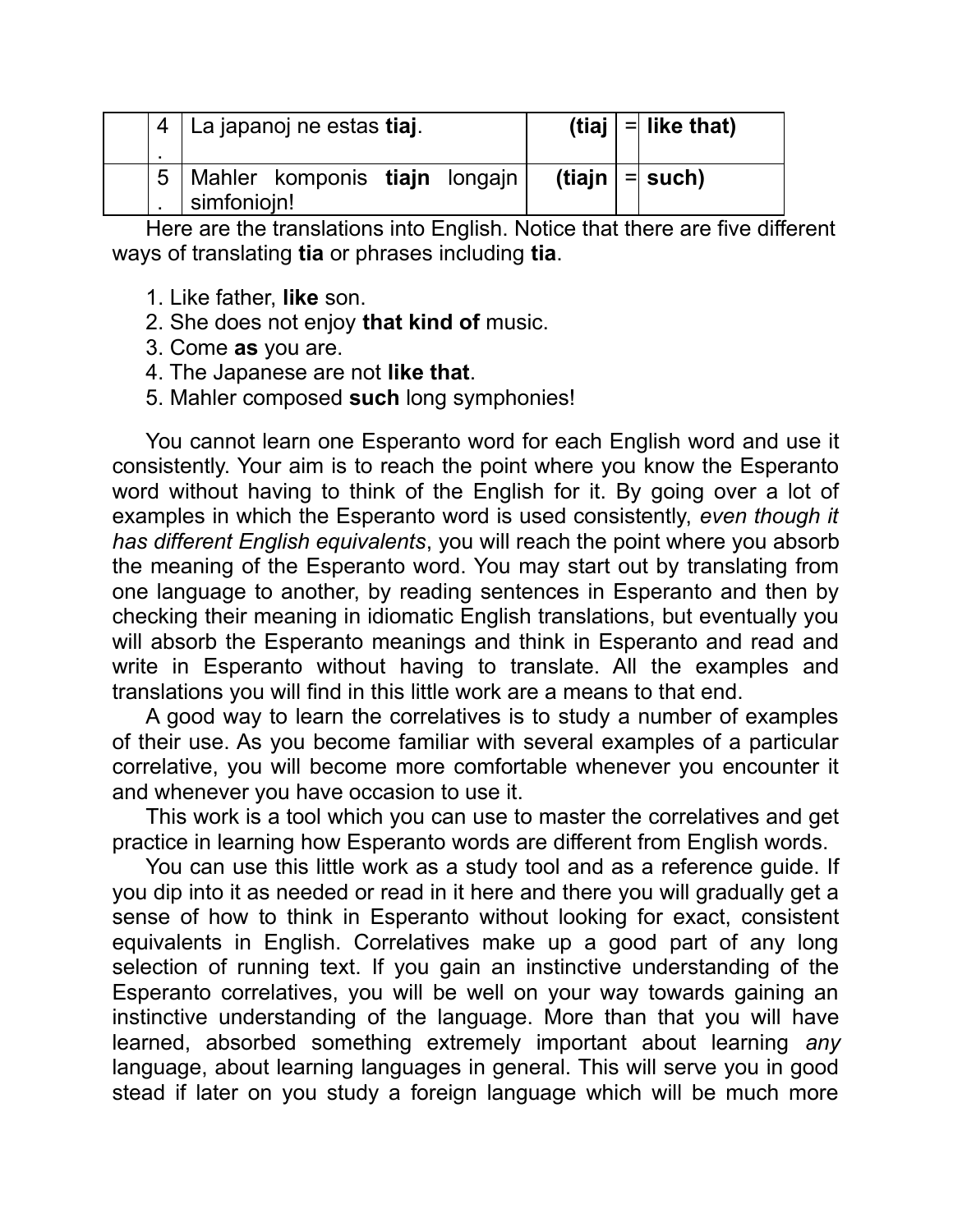|  | 4   La japanoj ne estas tiaj.                    |  | (tiaj $ =$ like that) |
|--|--------------------------------------------------|--|-----------------------|
|  | 5   Mahler komponis tiajn longajn<br>simfoniojn! |  | (tiajn $  = $ such)   |

Here are the translations into English. Notice that there are five different ways of translating **tia** or phrases including **tia**.

- 1. Like father, **like** son.
- 2. She does not enjoy **that kind of** music.
- 3. Come **as** you are.
- 4. The Japanese are not **like that**.
- 5. Mahler composed **such** long symphonies!

You cannot learn one Esperanto word for each English word and use it consistently. Your aim is to reach the point where you know the Esperanto word without having to think of the English for it. By going over a lot of examples in which the Esperanto word is used consistently, *even though it has different English equivalents*, you will reach the point where you absorb the meaning of the Esperanto word. You may start out by translating from one language to another, by reading sentences in Esperanto and then by checking their meaning in idiomatic English translations, but eventually you will absorb the Esperanto meanings and think in Esperanto and read and write in Esperanto without having to translate. All the examples and translations you will find in this little work are a means to that end.

A good way to learn the correlatives is to study a number of examples of their use. As you become familiar with several examples of a particular correlative, you will become more comfortable whenever you encounter it and whenever you have occasion to use it.

This work is a tool which you can use to master the correlatives and get practice in learning how Esperanto words are different from English words.

You can use this little work as a study tool and as a reference guide. If you dip into it as needed or read in it here and there you will gradually get a sense of how to think in Esperanto without looking for exact, consistent equivalents in English. Correlatives make up a good part of any long selection of running text. If you gain an instinctive understanding of the Esperanto correlatives, you will be well on your way towards gaining an instinctive understanding of the language. More than that you will have learned, absorbed something extremely important about learning *any* language, about learning languages in general. This will serve you in good stead if later on you study a foreign language which will be much more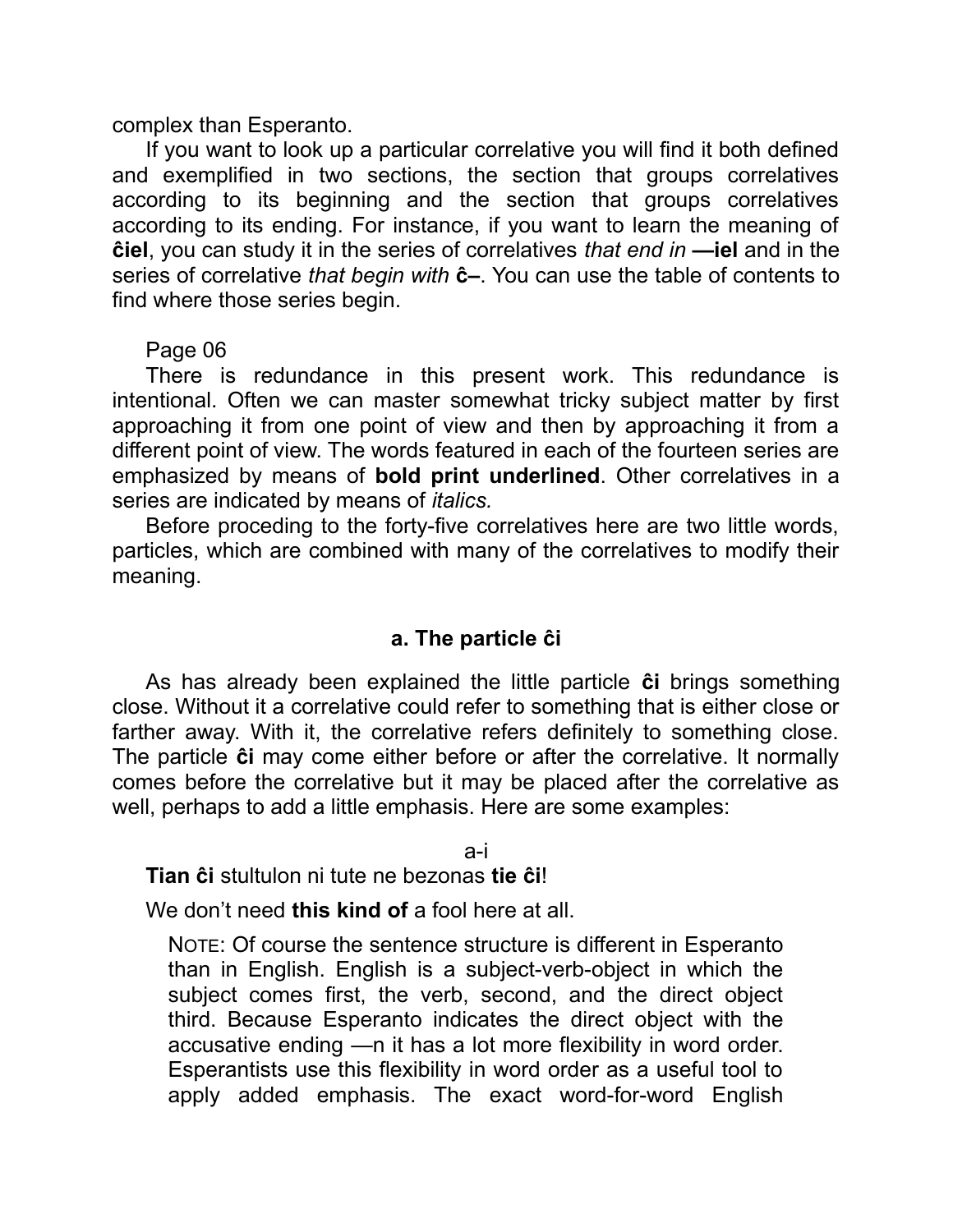complex than Esperanto.

If you want to look up a particular correlative you will find it both defined and exemplified in two sections, the section that groups correlatives according to its beginning and the section that groups correlatives according to its ending. For instance, if you want to learn the meaning of **ĉiel**, you can study it in the series of correlatives *that end in* **—iel** and in the series of correlative *that begin with* **ĉ–**. You can use the table of contents to find where those series begin.

#### Page 06

There is redundance in this present work. This redundance is intentional. Often we can master somewhat tricky subject matter by first approaching it from one point of view and then by approaching it from a different point of view. The words featured in each of the fourteen series are emphasized by means of **bold print underlined**. Other correlatives in a series are indicated by means of *italics.*

Before proceding to the forty-five correlatives here are two little words, particles, which are combined with many of the correlatives to modify their meaning.

#### **a. The particle ĉi**

As has already been explained the little particle **ĉi** brings something close. Without it a correlative could refer to something that is either close or farther away. With it, the correlative refers definitely to something close. The particle **ĉi** may come either before or after the correlative. It normally comes before the correlative but it may be placed after the correlative as well, perhaps to add a little emphasis. Here are some examples:

a-i

**Tian ĉi** stultulon ni tute ne bezonas **tie ĉi**!

We don't need **this kind of** a fool here at all.

NOTE: Of course the sentence structure is different in Esperanto than in English. English is a subject-verb-object in which the subject comes first, the verb, second, and the direct object third. Because Esperanto indicates the direct object with the accusative ending —n it has a lot more flexibility in word order. Esperantists use this flexibility in word order as a useful tool to apply added emphasis. The exact word-for-word English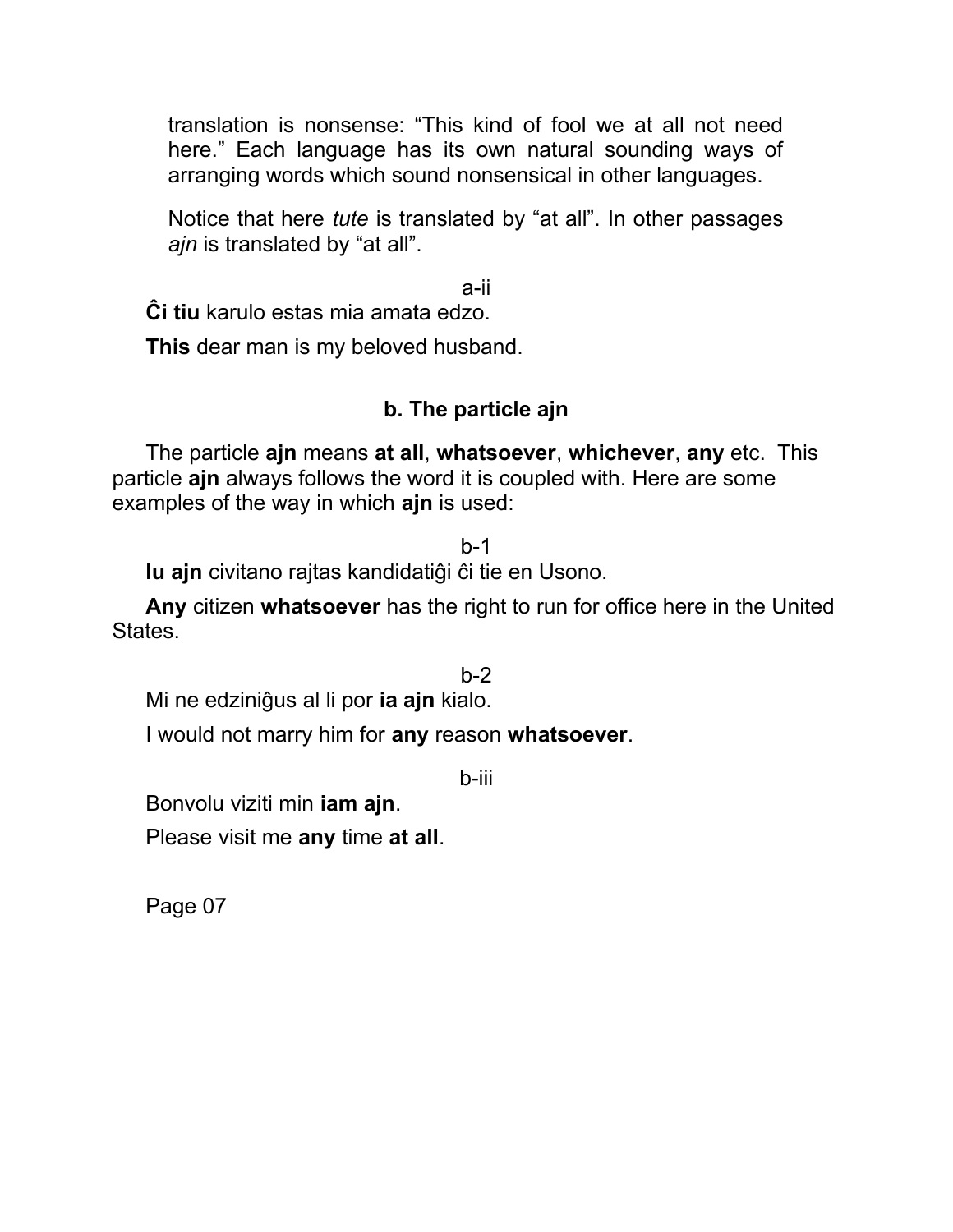translation is nonsense: "This kind of fool we at all not need here." Each language has its own natural sounding ways of arranging words which sound nonsensical in other languages.

Notice that here *tute* is translated by "at all". In other passages *ajn* is translated by "at all".

a-ii

**Ĉi tiu** karulo estas mia amata edzo.

**This** dear man is my beloved husband.

## **b. The particle ajn**

The particle **ajn** means **at all**, **whatsoever**, **whichever**, **any** etc. This particle **ajn** always follows the word it is coupled with. Here are some examples of the way in which **ajn** is used:

b-1

**Iu ajn** civitano rajtas kandidatiĝi ĉi tie en Usono.

**Any** citizen **whatsoever** has the right to run for office here in the United States.

 $h-2$ 

Mi ne edziniĝus al li por **ia ajn** kialo.

I would not marry him for **any** reason **whatsoever**.

b-iii

Bonvolu viziti min **iam ajn**.

Please visit me **any** time **at all**.

Page 07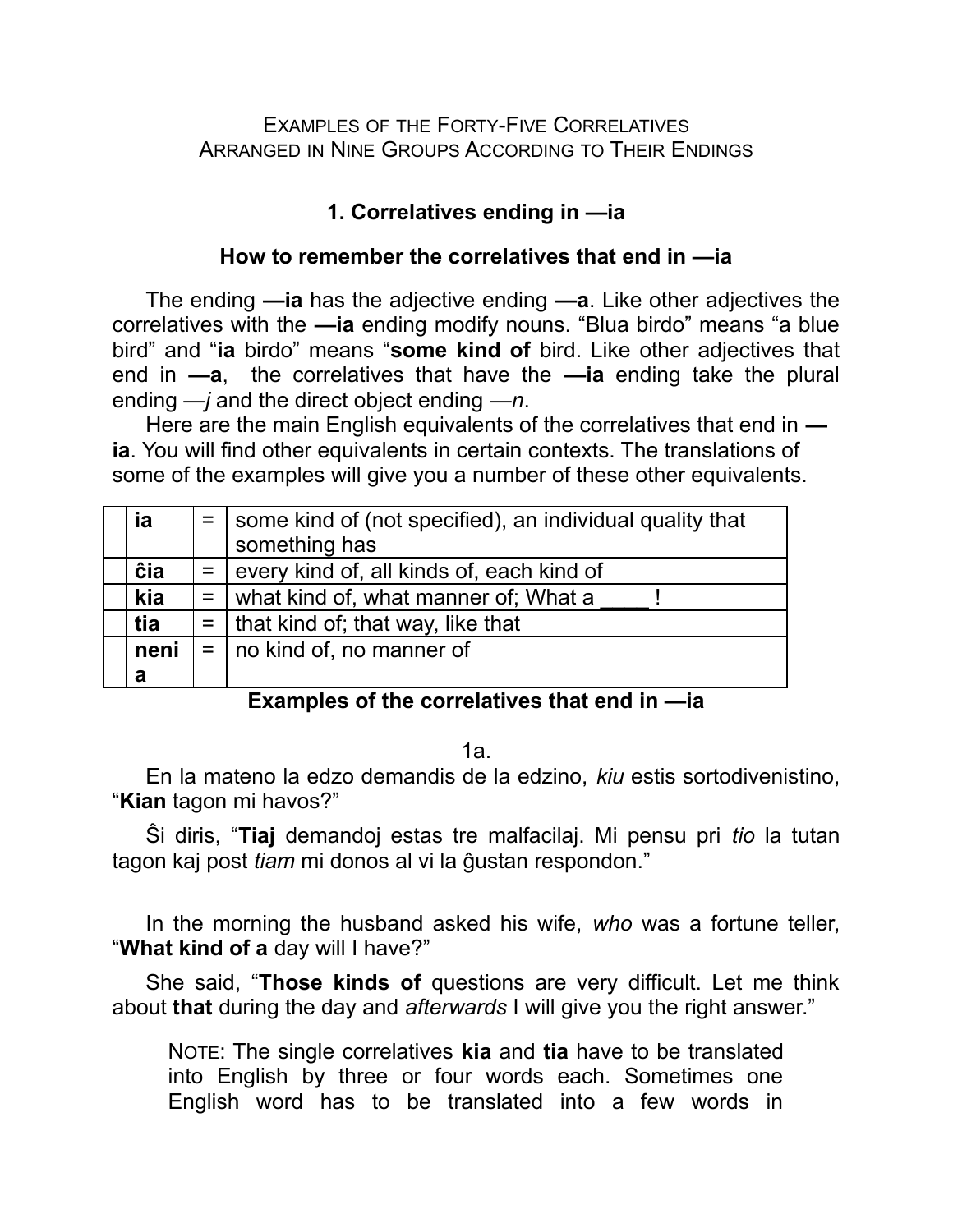EXAMPLES OF THE FORTY-FIVE CORRELATIVES ARRANGED IN NINE GROUPS ACCORDING TO THEIR ENDINGS

## **1. Correlatives ending in —ia**

### **How to remember the correlatives that end in —ia**

The ending **—ia** has the adjective ending **—a**. Like other adjectives the correlatives with the **—ia** ending modify nouns. "Blua birdo" means "a blue bird" and "**ia** birdo" means "**some kind of** bird. Like other adjectives that end in **—a**, the correlatives that have the **—ia** ending take the plural ending *—j* and the direct object ending *—n*.

Here are the main English equivalents of the correlatives that end in  **ia**. You will find other equivalents in certain contexts. The translations of some of the examples will give you a number of these other equivalents.

| ia   | $=$   some kind of (not specified), an individual quality that |
|------|----------------------------------------------------------------|
|      | something has                                                  |
| ĉia  | $=$ every kind of, all kinds of, each kind of                  |
| kia  | $=$ what kind of, what manner of; What a                       |
| tia  | $=$   that kind of; that way, like that                        |
| neni | $=$   no kind of, no manner of                                 |
| a    |                                                                |

#### **Examples of the correlatives that end in —ia**

1a.

En la mateno la edzo demandis de la edzino, *kiu* estis sortodivenistino, "**Kian** tagon mi havos?"

Ŝi diris, "**Tiaj** demandoj estas tre malfacilaj. Mi pensu pri *tio* la tutan tagon kaj post *tiam* mi donos al vi la ĝustan respondon."

In the morning the husband asked his wife, *who* was a fortune teller, "**What kind of a** day will I have?"

She said, "**Those kinds of** questions are very difficult. Let me think about **that** during the day and *afterwards* I will give you the right answer."

NOTE: The single correlatives **kia** and **tia** have to be translated into English by three or four words each. Sometimes one English word has to be translated into a few words in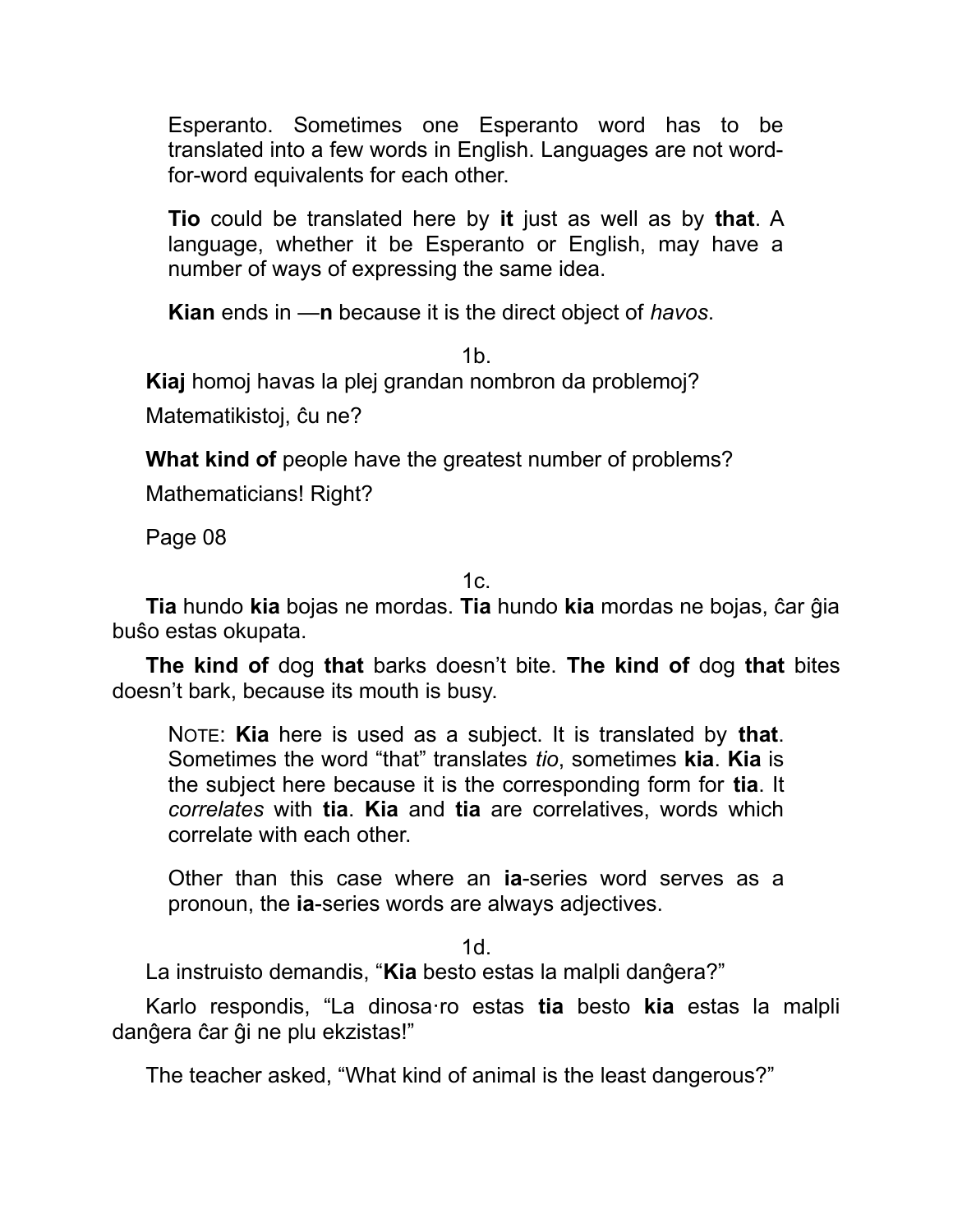Esperanto. Sometimes one Esperanto word has to be translated into a few words in English. Languages are not wordfor-word equivalents for each other.

**Tio** could be translated here by **it** just as well as by **that**. A language, whether it be Esperanto or English, may have a number of ways of expressing the same idea.

**Kian** ends in —**n** because it is the direct object of *havos*.

1b.

**Kiaj** homoj havas la plej grandan nombron da problemoj?

Matematikistoj, ĉu ne?

**What kind of** people have the greatest number of problems?

Mathematicians! Right?

Page 08

 $1c$ .

**Tia** hundo **kia** bojas ne mordas. **Tia** hundo **kia** mordas ne bojas, ĉar ĝia buŝo estas okupata.

**The kind of** dog **that** barks doesn't bite. **The kind of** dog **that** bites doesn't bark, because its mouth is busy.

NOTE: **Kia** here is used as a subject. It is translated by **that**. Sometimes the word "that" translates *tio*, sometimes **kia**. **Kia** is the subject here because it is the corresponding form for **tia**. It *correlates* with **tia**. **Kia** and **tia** are correlatives, words which correlate with each other.

Other than this case where an **ia**-series word serves as a pronoun, the **ia**-series words are always adjectives.

1d.

La instruisto demandis, "**Kia** besto estas la malpli danĝera?"

Karlo respondis, "La dinosa·ro estas **tia** besto **kia** estas la malpli danĝera ĉar ĝi ne plu ekzistas!"

The teacher asked, "What kind of animal is the least dangerous?"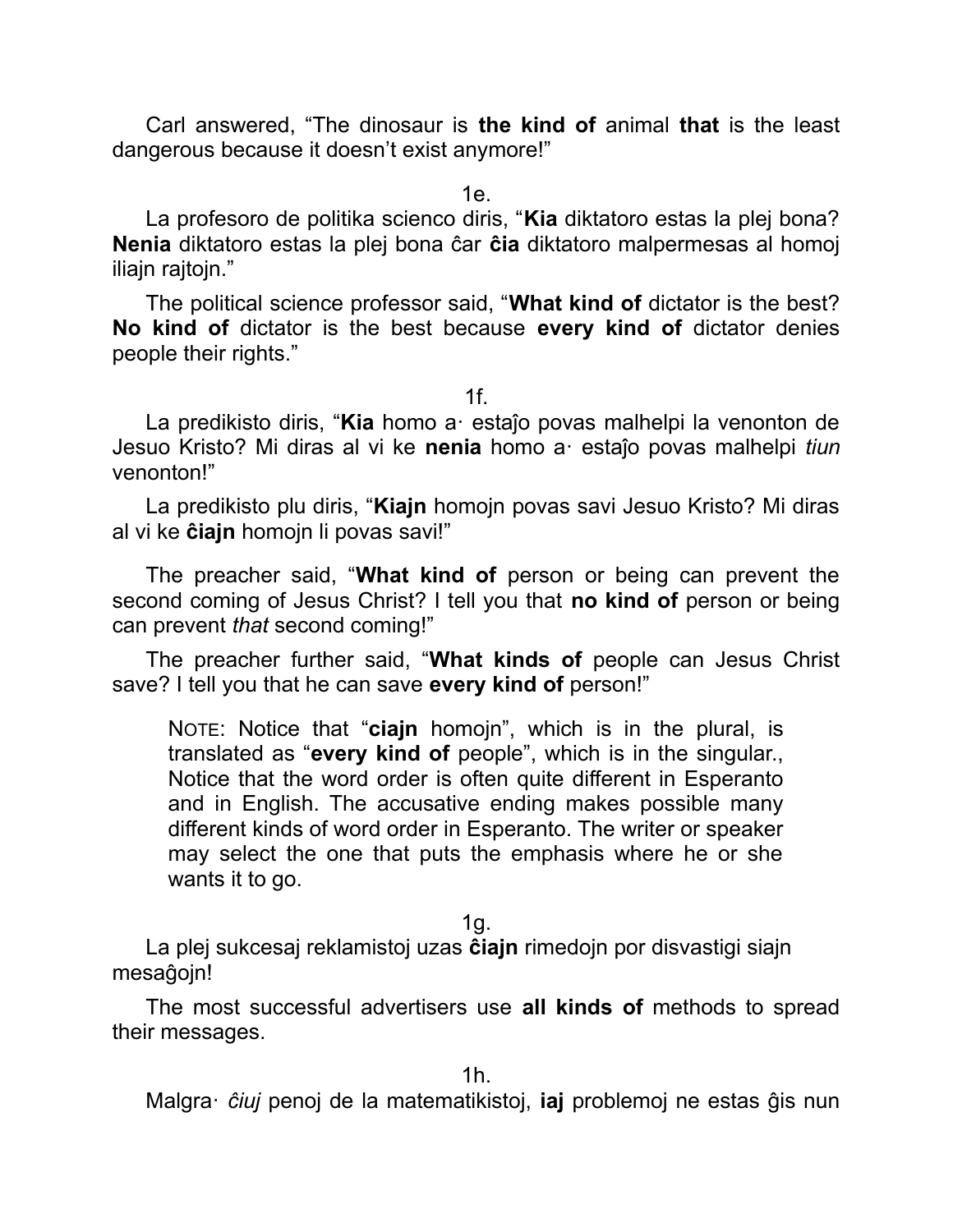Carl answered, "The dinosaur is **the kind of** animal **that** is the least dangerous because it doesn't exist anymore!"

1e.

La profesoro de politika scienco diris, "**Kia** diktatoro estas la plej bona? **Nenia** diktatoro estas la plej bona ĉar **ĉia** diktatoro malpermesas al homoj iliajn rajtojn."

The political science professor said, "**What kind of** dictator is the best? **No kind of** dictator is the best because **every kind of** dictator denies people their rights."

1f.

La predikisto diris, "**Kia** homo a· estaĵo povas malhelpi la venonton de Jesuo Kristo? Mi diras al vi ke **nenia** homo a· estaĵo povas malhelpi *tiun* venonton!"

La predikisto plu diris, "**Kiajn** homojn povas savi Jesuo Kristo? Mi diras al vi ke **ĉiajn** homojn li povas savi!"

The preacher said, "**What kind of** person or being can prevent the second coming of Jesus Christ? I tell you that **no kind of** person or being can prevent *that* second coming!"

The preacher further said, "**What kinds of** people can Jesus Christ save? I tell you that he can save **every kind of** person!"

NOTE: Notice that "**ciajn** homojn", which is in the plural, is translated as "**every kind of** people", which is in the singular., Notice that the word order is often quite different in Esperanto and in English. The accusative ending makes possible many different kinds of word order in Esperanto. The writer or speaker may select the one that puts the emphasis where he or she wants it to go.

1g.

La plej sukcesaj reklamistoj uzas **ĉiajn** rimedojn por disvastigi siajn mesaĝojn!

The most successful advertisers use **all kinds of** methods to spread their messages.

1h.

Malgra· *ĉiuj* penoj de la matematikistoj, **iaj** problemoj ne estas ĝis nun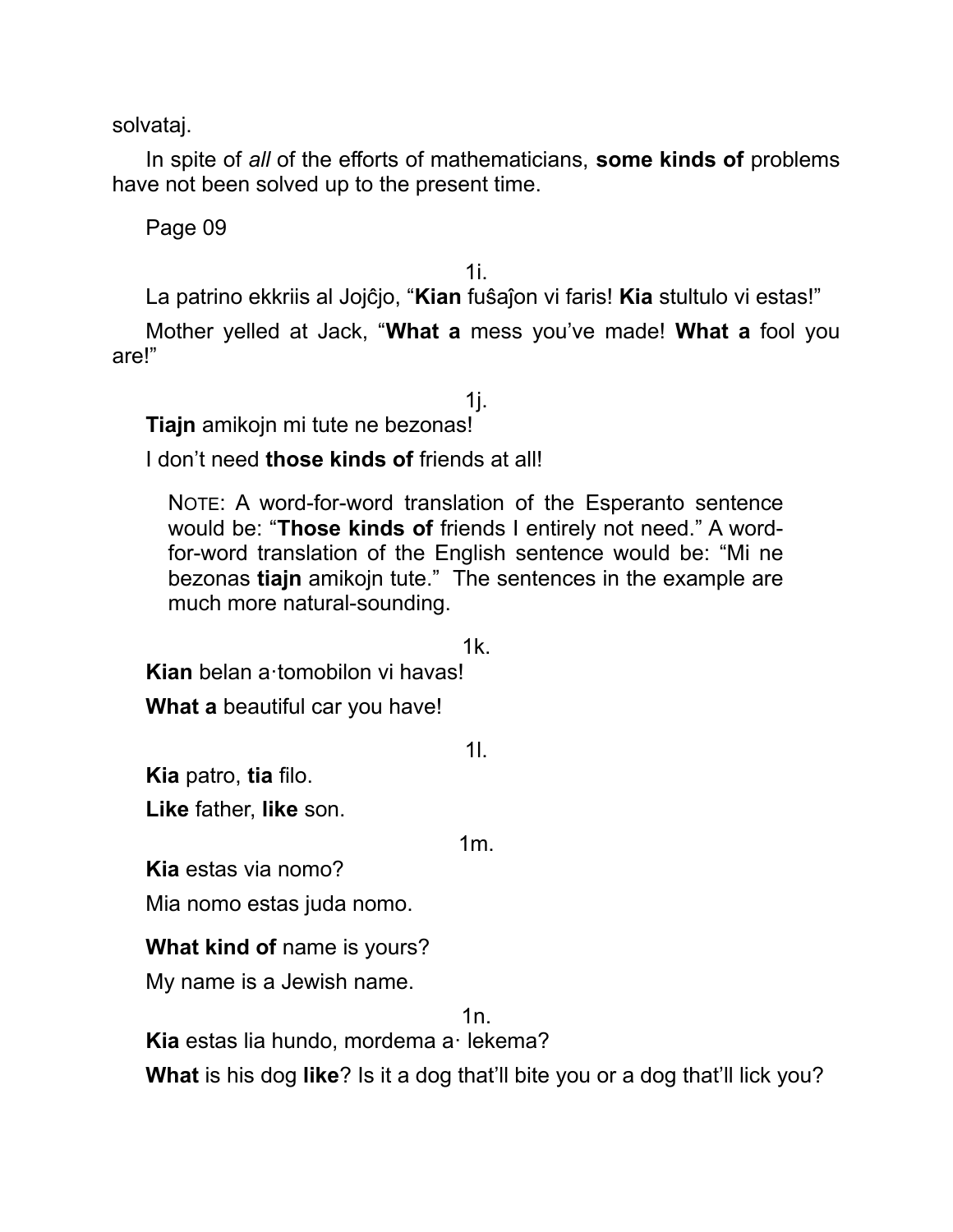solvataj.

In spite of *all* of the efforts of mathematicians, **some kinds of** problems have not been solved up to the present time.

Page 09

1i.

La patrino ekkriis al Jojĉjo, "**Kian** fuŝaĵon vi faris! **Kia** stultulo vi estas!"

Mother yelled at Jack, "**What a** mess you've made! **What a** fool you are!"

1j. **Tiajn** amikojn mi tute ne bezonas!

I don't need **those kinds of** friends at all!

NOTE: A word-for-word translation of the Esperanto sentence would be: "**Those kinds of** friends I entirely not need." A wordfor-word translation of the English sentence would be: "Mi ne bezonas **tiajn** amikojn tute." The sentences in the example are much more natural-sounding.

1k.

**Kian** belan a·tomobilon vi havas!

**What a** beautiful car you have!

**Kia** patro, **tia** filo.

**Like** father, **like** son.

1m.

1l.

**Kia** estas via nomo?

Mia nomo estas juda nomo.

**What kind of** name is yours?

My name is a Jewish name.

1n.

**Kia** estas lia hundo, mordema a· lekema?

**What** is his dog **like**? Is it a dog that'll bite you or a dog that'll lick you?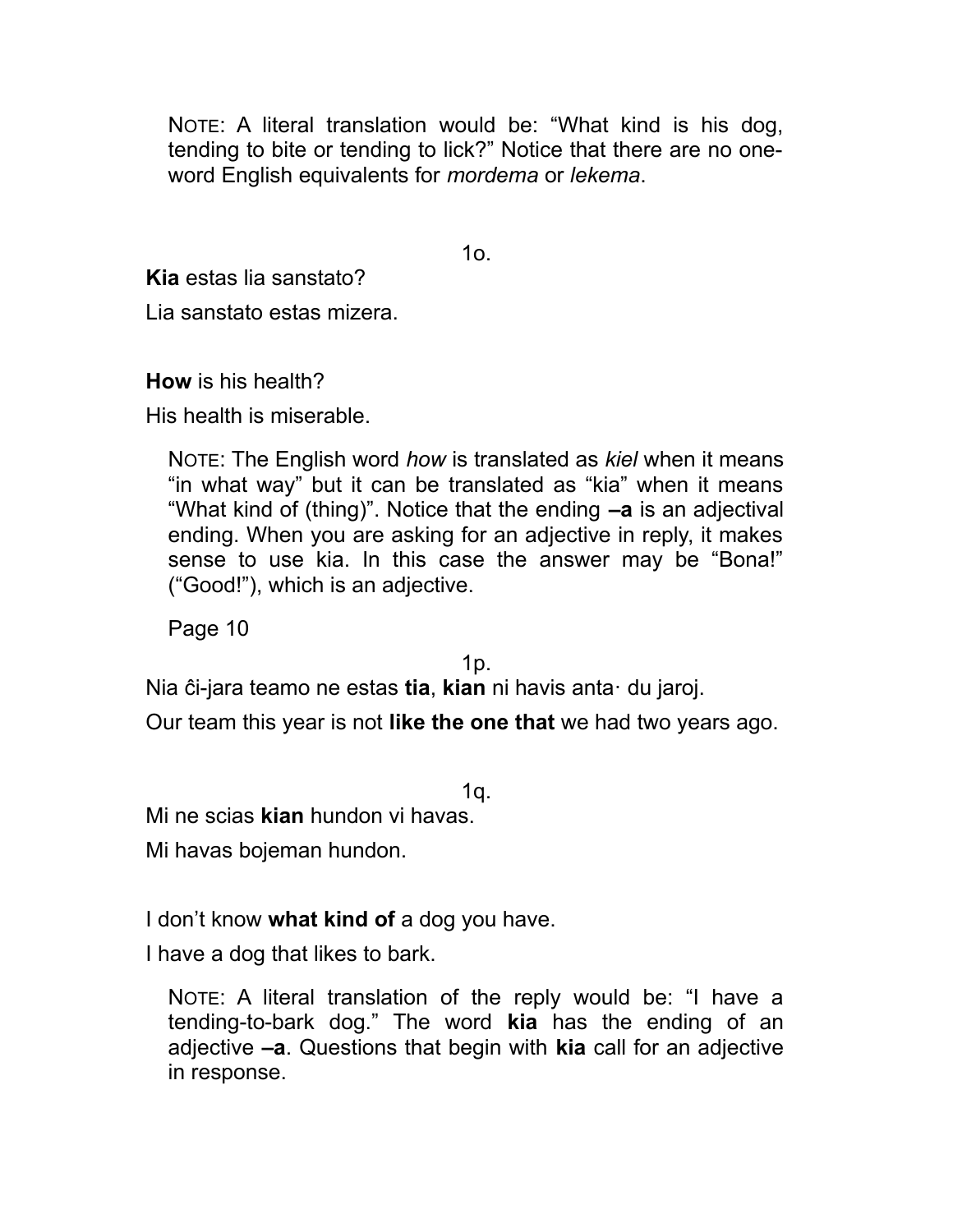NOTE: A literal translation would be: "What kind is his dog, tending to bite or tending to lick?" Notice that there are no oneword English equivalents for *mordema* or *lekema*.

 $1<sub>O</sub>$ 

**Kia** estas lia sanstato?

Lia sanstato estas mizera.

**How** is his health?

His health is miserable.

NOTE: The English word *how* is translated as *kiel* when it means "in what way" but it can be translated as "kia" when it means "What kind of (thing)". Notice that the ending **–a** is an adjectival ending. When you are asking for an adjective in reply, it makes sense to use kia. In this case the answer may be "Bona!" ("Good!"), which is an adjective.

Page 10

1p.

Nia ĉi-jara teamo ne estas **tia**, **kian** ni havis anta· du jaroj.

Our team this year is not **like the one that** we had two years ago.

1q.

Mi ne scias **kian** hundon vi havas.

Mi havas bojeman hundon.

I don't know **what kind of** a dog you have.

I have a dog that likes to bark.

NOTE: A literal translation of the reply would be: "I have a tending-to-bark dog." The word **kia** has the ending of an adjective **–a**. Questions that begin with **kia** call for an adjective in response.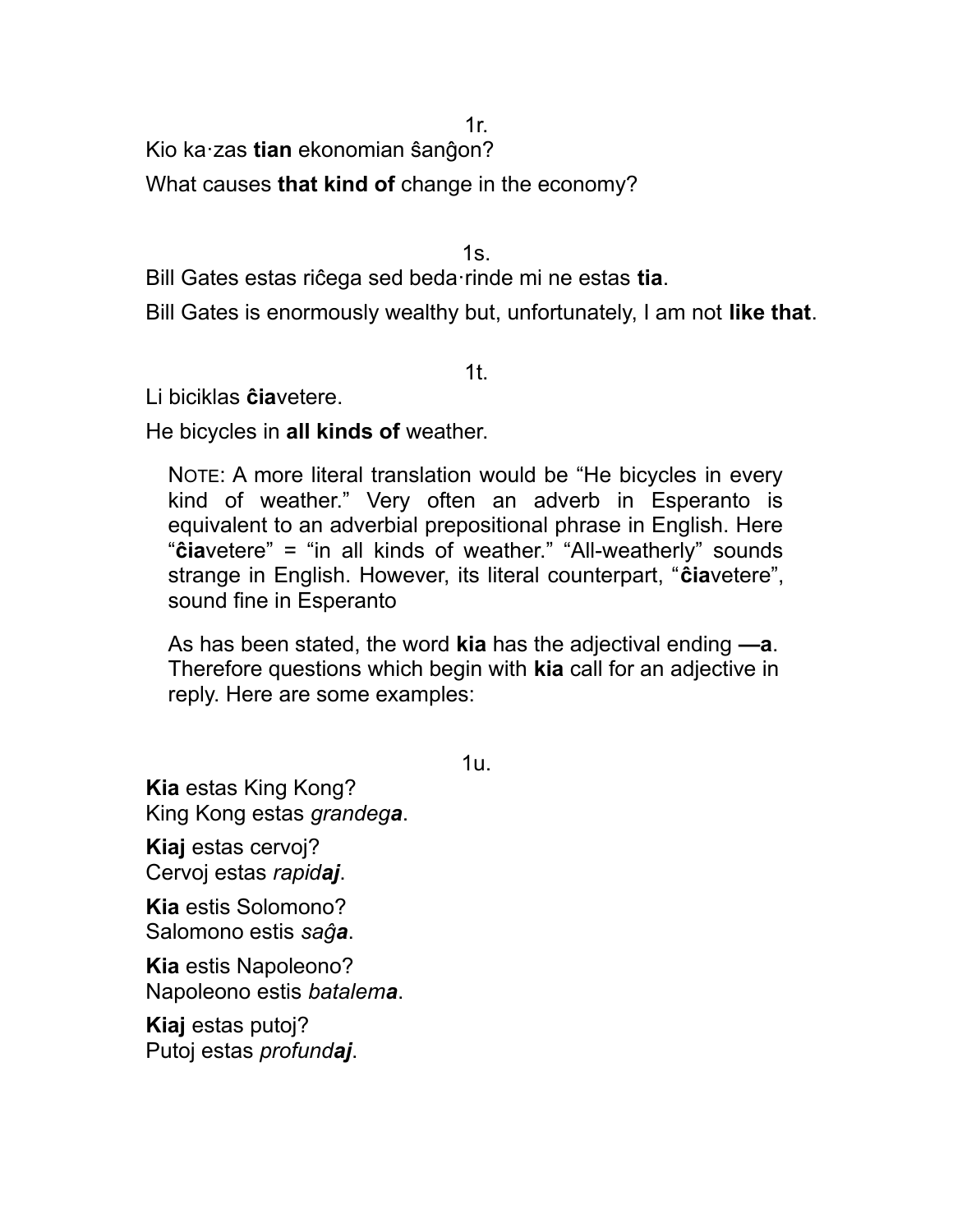1r.

Kio ka·zas **tian** ekonomian ŝanĝon?

What causes **that kind of** change in the economy?

 $1s$ .

Bill Gates estas riĉega sed beda·rinde mi ne estas **tia**.

Bill Gates is enormously wealthy but, unfortunately, I am not **like that**.

1t.

Li biciklas **ĉia**vetere.

He bicycles in **all kinds of** weather.

NOTE: A more literal translation would be "He bicycles in every kind of weather." Very often an adverb in Esperanto is equivalent to an adverbial prepositional phrase in English. Here "**ĉia**vetere" = "in all kinds of weather." "All-weatherly" sounds strange in English. However, its literal counterpart, "**ĉia**vetere", sound fine in Esperanto

As has been stated, the word **kia** has the adjectival ending **—a**. Therefore questions which begin with **kia** call for an adjective in reply. Here are some examples:

1u.

**Kia** estas King Kong? King Kong estas *grandega*.

**Kiaj** estas cervoj? Cervoj estas *rapidaj*.

**Kia** estis Solomono? Salomono estis *saĝa*.

**Kia** estis Napoleono? Napoleono estis *batalema*.

**Kiaj** estas putoj? Putoj estas *profundaj*.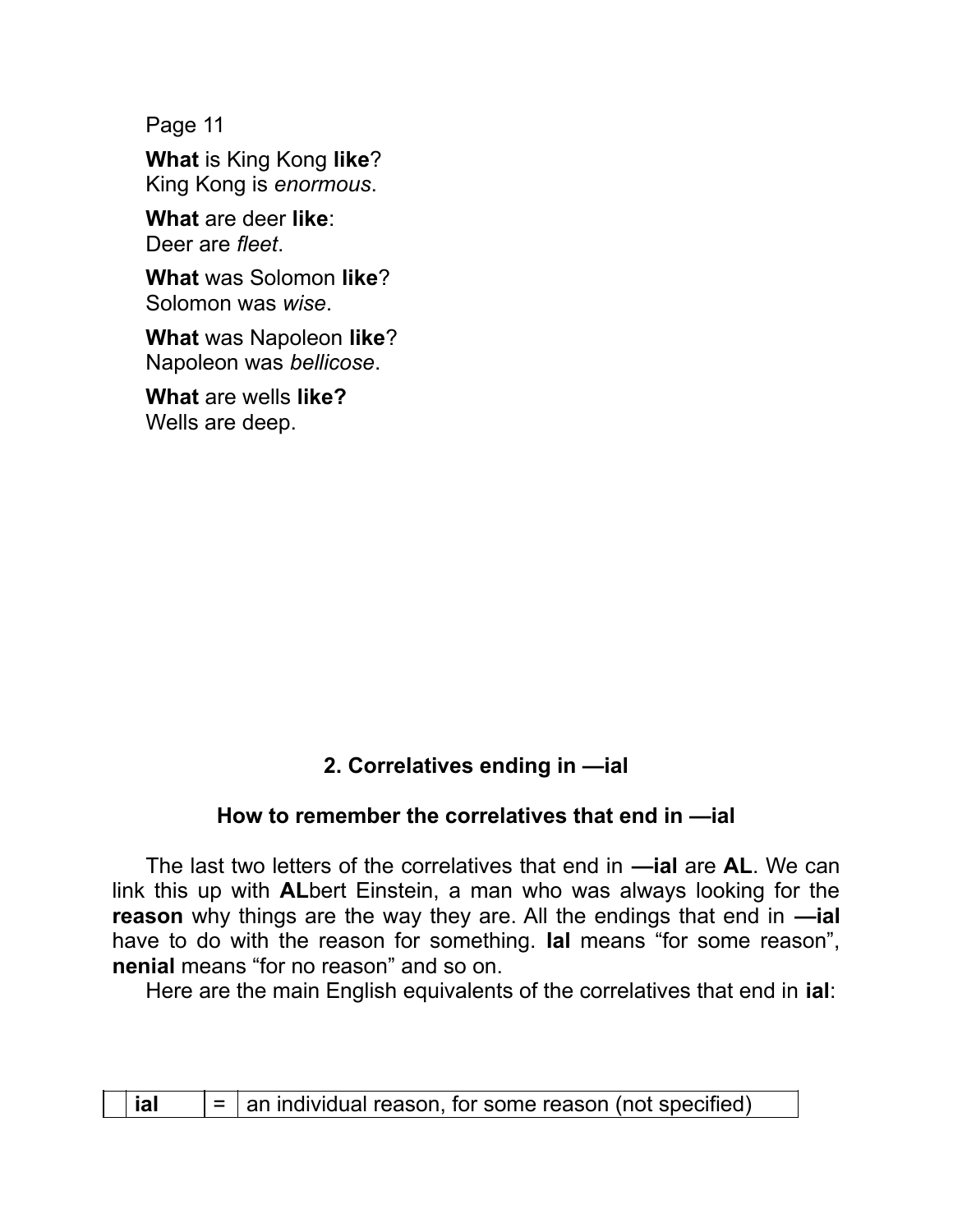Page 11

**What** is King Kong **like**? King Kong is *enormous*.

**What** are deer **like**: Deer are *fleet*.

**What** was Solomon **like**? Solomon was *wise*.

**What** was Napoleon **like**? Napoleon was *bellicose*.

**What** are wells **like?** Wells are deep.

## **2. Correlatives ending in —ial**

## **How to remember the correlatives that end in —ial**

The last two letters of the correlatives that end in **—ial** are **AL**. We can link this up with **AL**bert Einstein, a man who was always looking for the **reason** why things are the way they are. All the endings that end in **—ial** have to do with the reason for something. **Ial** means "for some reason", **nenial** means "for no reason" and so on.

Here are the main English equivalents of the correlatives that end in **ial**:

| $\vert$ = $\vert$ an individual reason, for some reason (not specified) |
|-------------------------------------------------------------------------|
|-------------------------------------------------------------------------|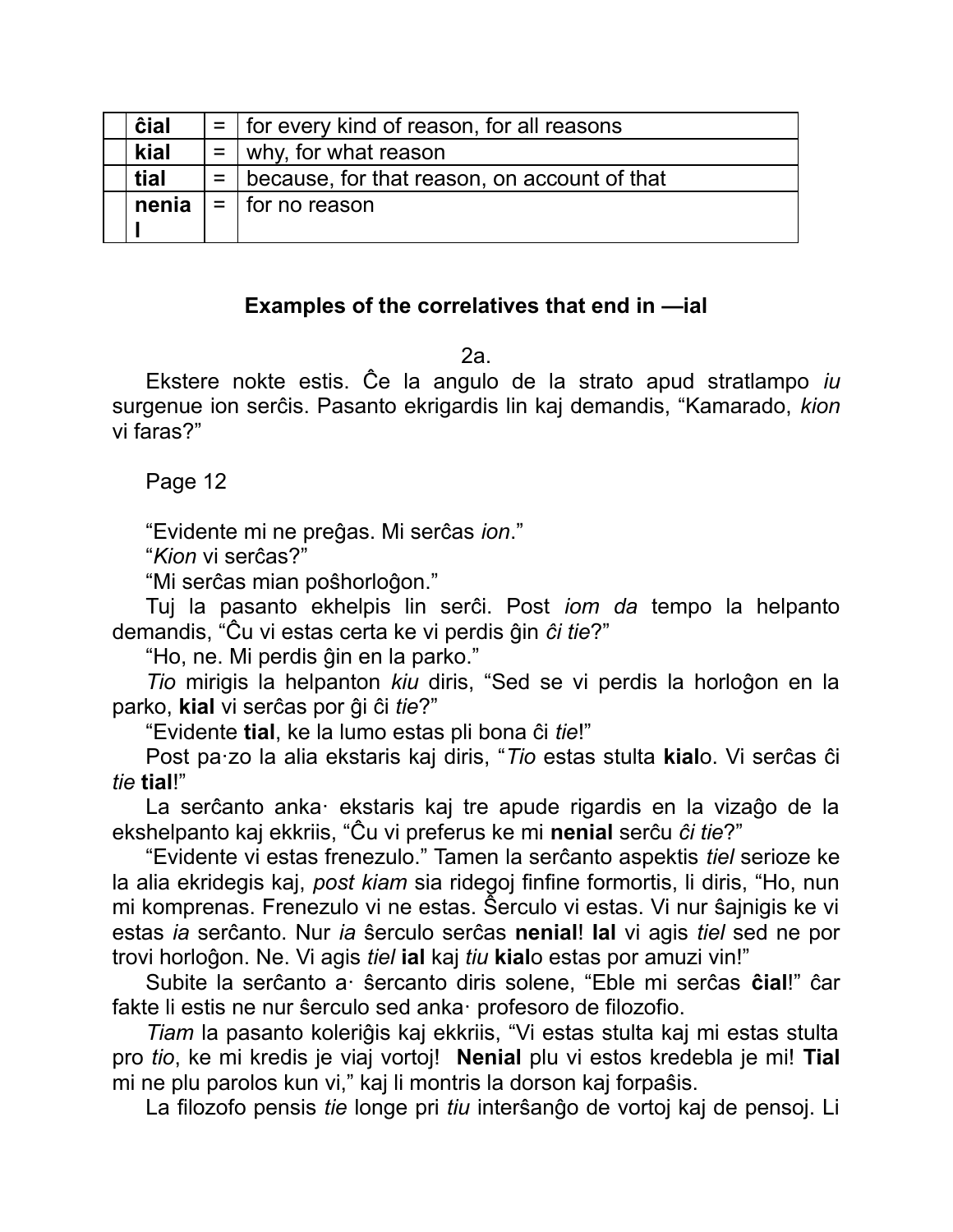| ĉial  | $=$   for every kind of reason, for all reasons    |
|-------|----------------------------------------------------|
| kial  | $=$   why, for what reason                         |
| tial  | $=$   because, for that reason, on account of that |
| nenia | $=$   for no reason                                |
|       |                                                    |

### **Examples of the correlatives that end in —ial**

2a.

Ekstere nokte estis. Ĉe la angulo de la strato apud stratlampo *iu* surgenue ion serĉis. Pasanto ekrigardis lin kaj demandis, "Kamarado, *kion* vi faras?"

Page 12

"Evidente mi ne preĝas. Mi serĉas *ion*."

"*Kion* vi serĉas?"

"Mi serĉas mian poŝhorloĝon."

Tuj la pasanto ekhelpis lin serĉi. Post *iom da* tempo la helpanto demandis, "Ĉu vi estas certa ke vi perdis ĝin *ĉi tie*?"

"Ho, ne. Mi perdis ĝin en la parko."

*Tio* mirigis la helpanton *kiu* diris, "Sed se vi perdis la horloĝon en la parko, **kial** vi serĉas por ĝi ĉi *tie*?"

"Evidente **tial**, ke la lumo estas pli bona ĉi *tie*!"

Post pa·zo la alia ekstaris kaj diris, "*Tio* estas stulta **kial**o. Vi serĉas ĉi *tie* **tial**!"

La serĉanto anka· ekstaris kaj tre apude rigardis en la vizaĝo de la ekshelpanto kaj ekkriis, "Ĉu vi preferus ke mi **nenial** serĉu *ĉi tie*?"

"Evidente vi estas frenezulo." Tamen la serĉanto aspektis *tiel* serioze ke la alia ekridegis kaj, *post kiam* sia ridegoj finfine formortis, li diris, "Ho, nun mi komprenas. Frenezulo vi ne estas. Ŝerculo vi estas. Vi nur ŝajnigis ke vi estas *ia* serĉanto. Nur *ia* ŝerculo serĉas **nenial**! **Ial** vi agis *tiel* sed ne por trovi horloĝon. Ne. Vi agis *tiel* **ial** kaj *tiu* **kial**o estas por amuzi vin!"

Subite la serĉanto a· ŝercanto diris solene, "Eble mi serĉas **ĉial**!" ĉar fakte li estis ne nur ŝerculo sed anka· profesoro de filozofio.

*Tiam* la pasanto koleriĝis kaj ekkriis, "Vi estas stulta kaj mi estas stulta pro *tio*, ke mi kredis je viaj vortoj! **Nenial** plu vi estos kredebla je mi! **Tial** mi ne plu parolos kun vi," kaj li montris la dorson kaj forpaŝis.

La filozofo pensis *tie* longe pri *tiu* interŝanĝo de vortoj kaj de pensoj. Li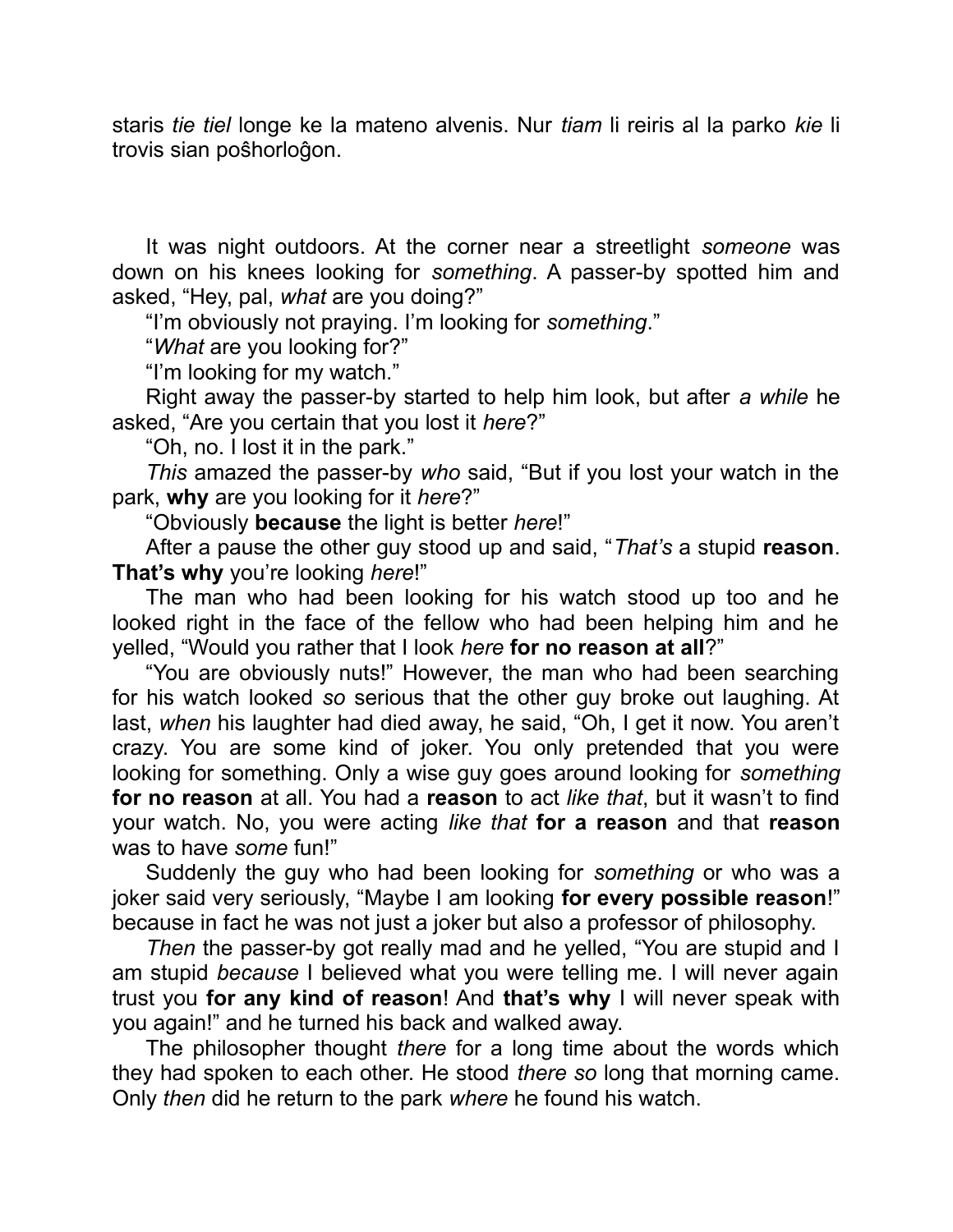staris *tie tiel* longe ke la mateno alvenis. Nur *tiam* li reiris al la parko *kie* li trovis sian poŝhorloĝon.

It was night outdoors. At the corner near a streetlight *someone* was down on his knees looking for *something*. A passer-by spotted him and asked, "Hey, pal, *what* are you doing?"

"I'm obviously not praying. I'm looking for *something*."

"*What* are you looking for?"

"I'm looking for my watch."

Right away the passer-by started to help him look, but after *a while* he asked, "Are you certain that you lost it *here*?"

"Oh, no. I lost it in the park."

*This* amazed the passer-by *who* said, "But if you lost your watch in the park, **why** are you looking for it *here*?"

"Obviously **because** the light is better *here*!"

After a pause the other guy stood up and said, "*That's* a stupid **reason**. **That's why** you're looking *here*!"

The man who had been looking for his watch stood up too and he looked right in the face of the fellow who had been helping him and he yelled, "Would you rather that I look *here* **for no reason at all**?"

"You are obviously nuts!" However, the man who had been searching for his watch looked *so* serious that the other guy broke out laughing. At last, *when* his laughter had died away, he said, "Oh, I get it now. You aren't crazy. You are some kind of joker. You only pretended that you were looking for something. Only a wise guy goes around looking for *something* **for no reason** at all. You had a **reason** to act *like that*, but it wasn't to find your watch. No, you were acting *like that* **for a reason** and that **reason** was to have *some* fun!"

Suddenly the guy who had been looking for *something* or who was a joker said very seriously, "Maybe I am looking **for every possible reason**!" because in fact he was not just a joker but also a professor of philosophy.

*Then* the passer-by got really mad and he yelled, "You are stupid and I am stupid *because* I believed what you were telling me. I will never again trust you **for any kind of reason**! And **that's why** I will never speak with you again!" and he turned his back and walked away.

The philosopher thought *there* for a long time about the words which they had spoken to each other. He stood *there so* long that morning came. Only *then* did he return to the park *where* he found his watch.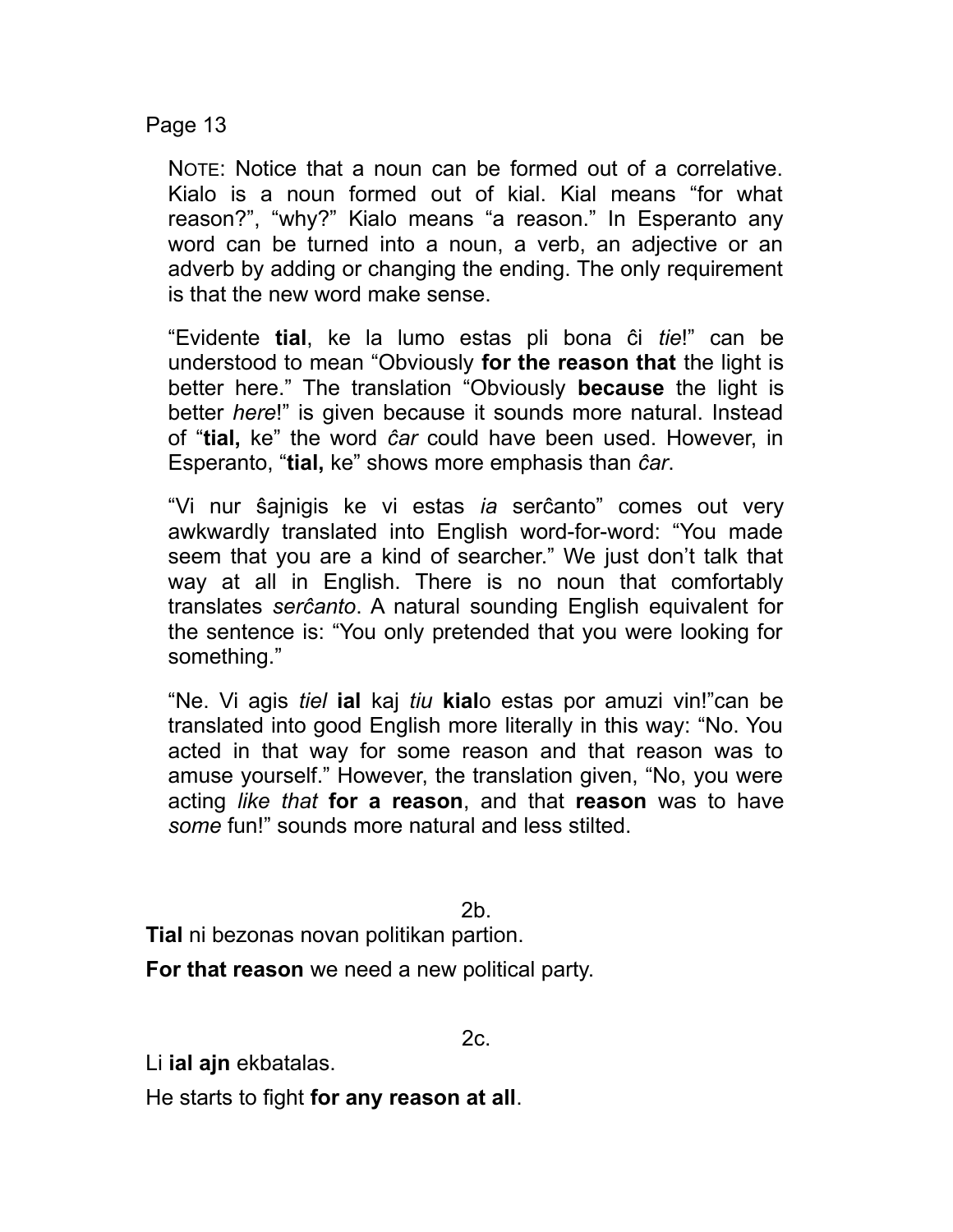Page 13

NOTE: Notice that a noun can be formed out of a correlative. Kialo is a noun formed out of kial. Kial means "for what reason?", "why?" Kialo means "a reason." In Esperanto any word can be turned into a noun, a verb, an adjective or an adverb by adding or changing the ending. The only requirement is that the new word make sense.

"Evidente **tial**, ke la lumo estas pli bona ĉi *tie*!" can be understood to mean "Obviously **for the reason that** the light is better here." The translation "Obviously **because** the light is better *here*!" is given because it sounds more natural. Instead of "**tial,** ke" the word *ĉar* could have been used. However, in Esperanto, "**tial,** ke" shows more emphasis than *ĉar*.

"Vi nur ŝajnigis ke vi estas *ia* serĉanto" comes out very awkwardly translated into English word-for-word: "You made seem that you are a kind of searcher." We just don't talk that way at all in English. There is no noun that comfortably translates *serĉanto*. A natural sounding English equivalent for the sentence is: "You only pretended that you were looking for something."

"Ne. Vi agis *tiel* **ial** kaj *tiu* **kial**o estas por amuzi vin!"can be translated into good English more literally in this way: "No. You acted in that way for some reason and that reason was to amuse yourself." However, the translation given, "No, you were acting *like that* **for a reason**, and that **reason** was to have *some* fun!" sounds more natural and less stilted.

2b.

**Tial** ni bezonas novan politikan partion.

**For that reason** we need a new political party.

2c.

Li **ial ajn** ekbatalas.

He starts to fight **for any reason at all**.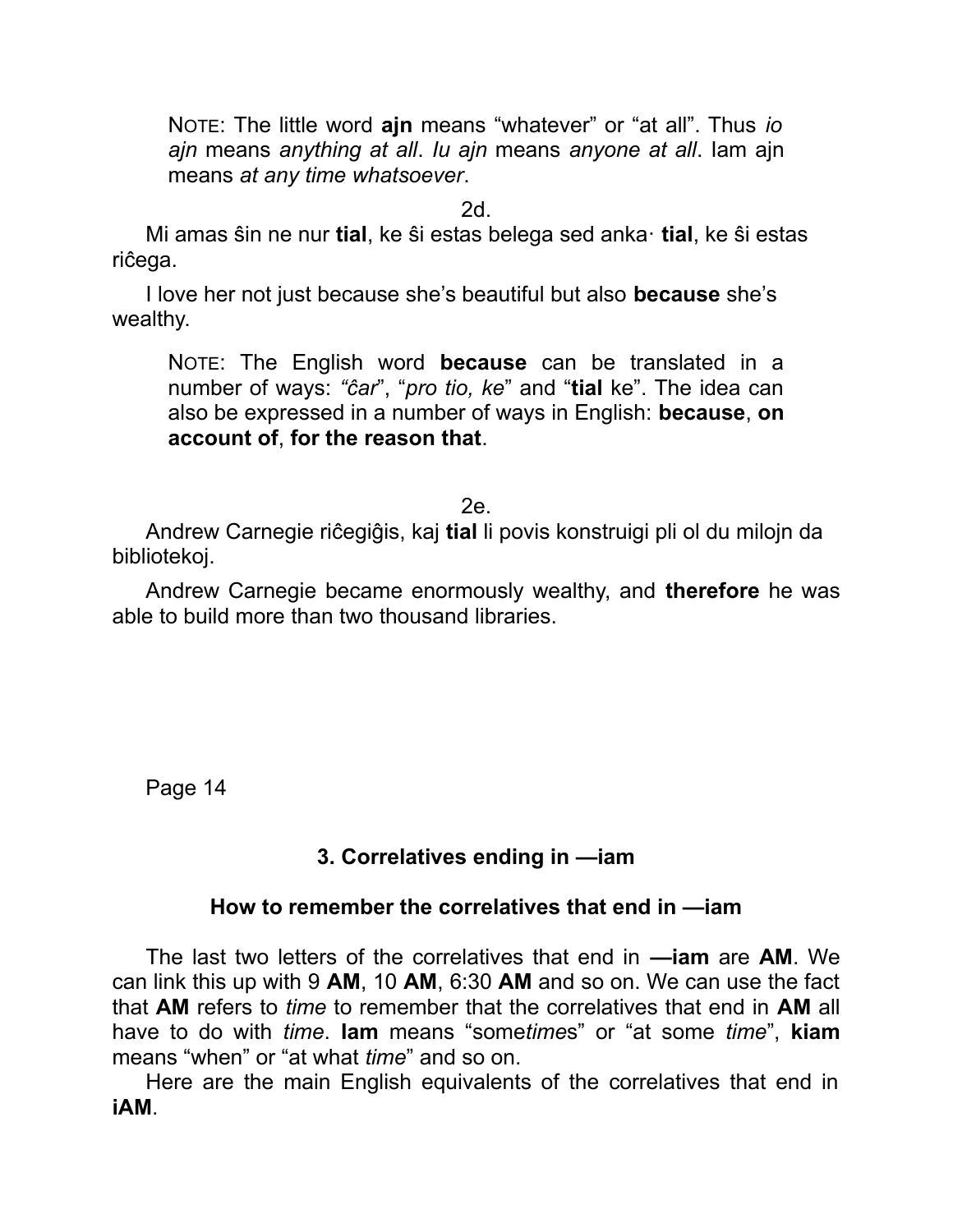NOTE: The little word **ajn** means "whatever" or "at all". Thus *io ajn* means *anything at all*. *Iu ajn* means *anyone at all*. Iam ajn means *at any time whatsoever*.

2d.

Mi amas ŝin ne nur **tial**, ke ŝi estas belega sed anka· **tial**, ke ŝi estas riĉega.

I love her not just because she's beautiful but also **because** she's wealthy.

NOTE: The English word **because** can be translated in a number of ways: *"ĉar*", "*pro tio, ke*" and "**tial** ke". The idea can also be expressed in a number of ways in English: **because**, **on account of**, **for the reason that**.

2e.

Andrew Carnegie riĉegiĝis, kaj **tial** li povis konstruigi pli ol du milojn da bibliotekoj.

Andrew Carnegie became enormously wealthy, and **therefore** he was able to build more than two thousand libraries.

Page 14

## **3. Correlatives ending in —iam**

#### **How to remember the correlatives that end in —iam**

The last two letters of the correlatives that end in **—iam** are **AM**. We can link this up with 9 **AM**, 10 **AM**, 6:30 **AM** and so on. We can use the fact that **AM** refers to *time* to remember that the correlatives that end in **AM** all have to do with *time*. **Iam** means "some*time*s" or "at some *time*", **kiam** means "when" or "at what *time*" and so on.

Here are the main English equivalents of the correlatives that end in **iAM**.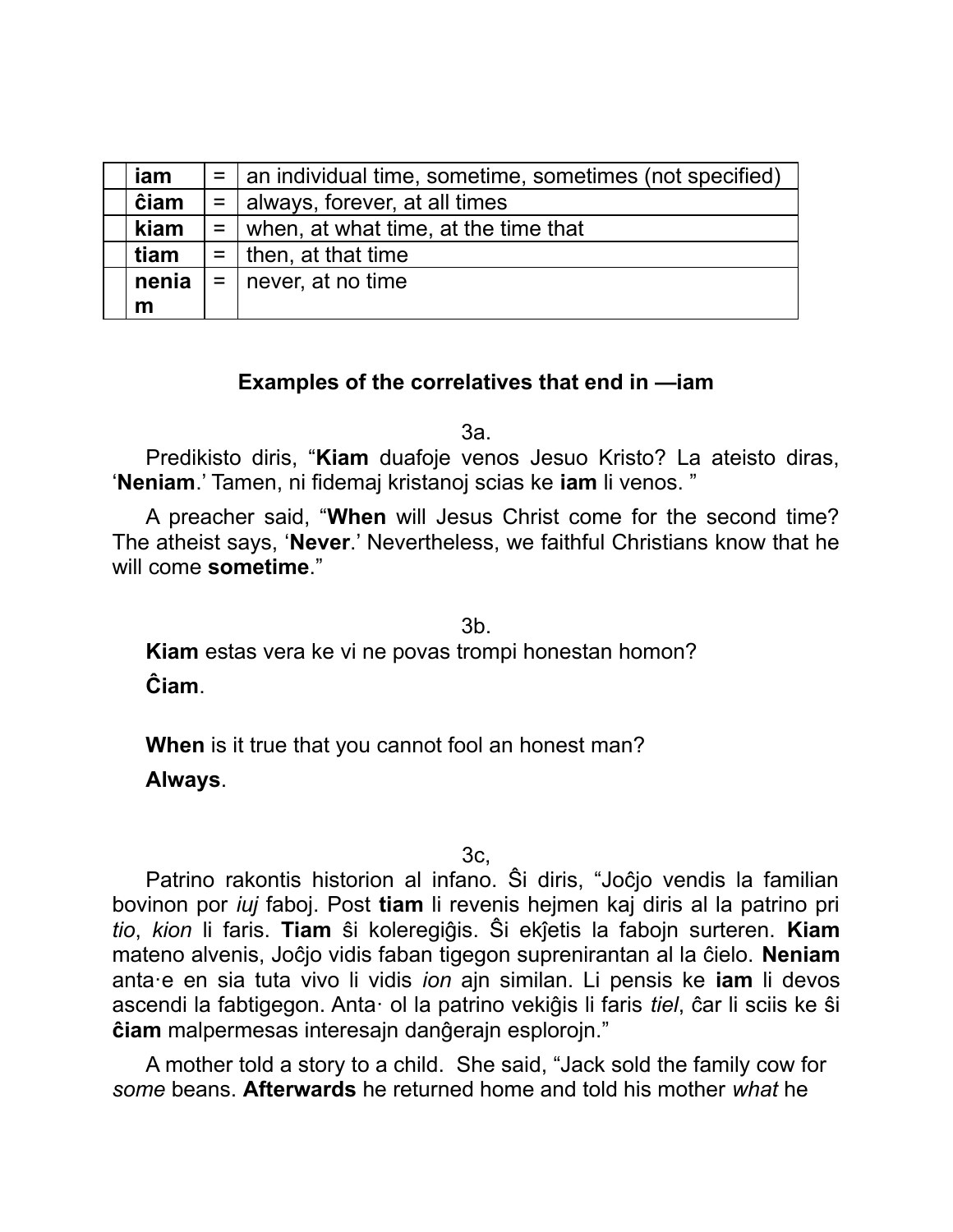| iam   |             | $=$   an individual time, sometime, sometimes (not specified) |
|-------|-------------|---------------------------------------------------------------|
| ĉiam  | $=$         | always, forever, at all times                                 |
| kiam  | $=$         | when, at what time, at the time that                          |
| tiam  | $=$ $\vert$ | I then, at that time                                          |
| nenia |             | $=$   never, at no time                                       |
| m     |             |                                                               |

#### **Examples of the correlatives that end in —iam**

3a.

Predikisto diris, "**Kiam** duafoje venos Jesuo Kristo? La ateisto diras, '**Neniam**.' Tamen, ni fidemaj kristanoj scias ke **iam** li venos. "

A preacher said, "**When** will Jesus Christ come for the second time? The atheist says, '**Never**.' Nevertheless, we faithful Christians know that he will come **sometime**."

3b.

**Kiam** estas vera ke vi ne povas trompi honestan homon? **Ĉiam**.

**When** is it true that you cannot fool an honest man?

**Always**.

3c,

Patrino rakontis historion al infano. Ŝi diris, "Joĉjo vendis la familian bovinon por *iuj* faboj. Post **tiam** li revenis hejmen kaj diris al la patrino pri *tio*, *kion* li faris. **Tiam** ŝi koleregiĝis. Ŝi ekĵetis la fabojn surteren. **Kiam** mateno alvenis, Joĉjo vidis faban tigegon suprenirantan al la ĉielo. **Neniam** anta·e en sia tuta vivo li vidis *ion* ajn similan. Li pensis ke **iam** li devos ascendi la fabtigegon. Anta· ol la patrino vekiĝis li faris *tiel*, ĉar li sciis ke ŝi **ĉiam** malpermesas interesajn danĝerajn esplorojn."

A mother told a story to a child. She said, "Jack sold the family cow for *some* beans. **Afterwards** he returned home and told his mother *what* he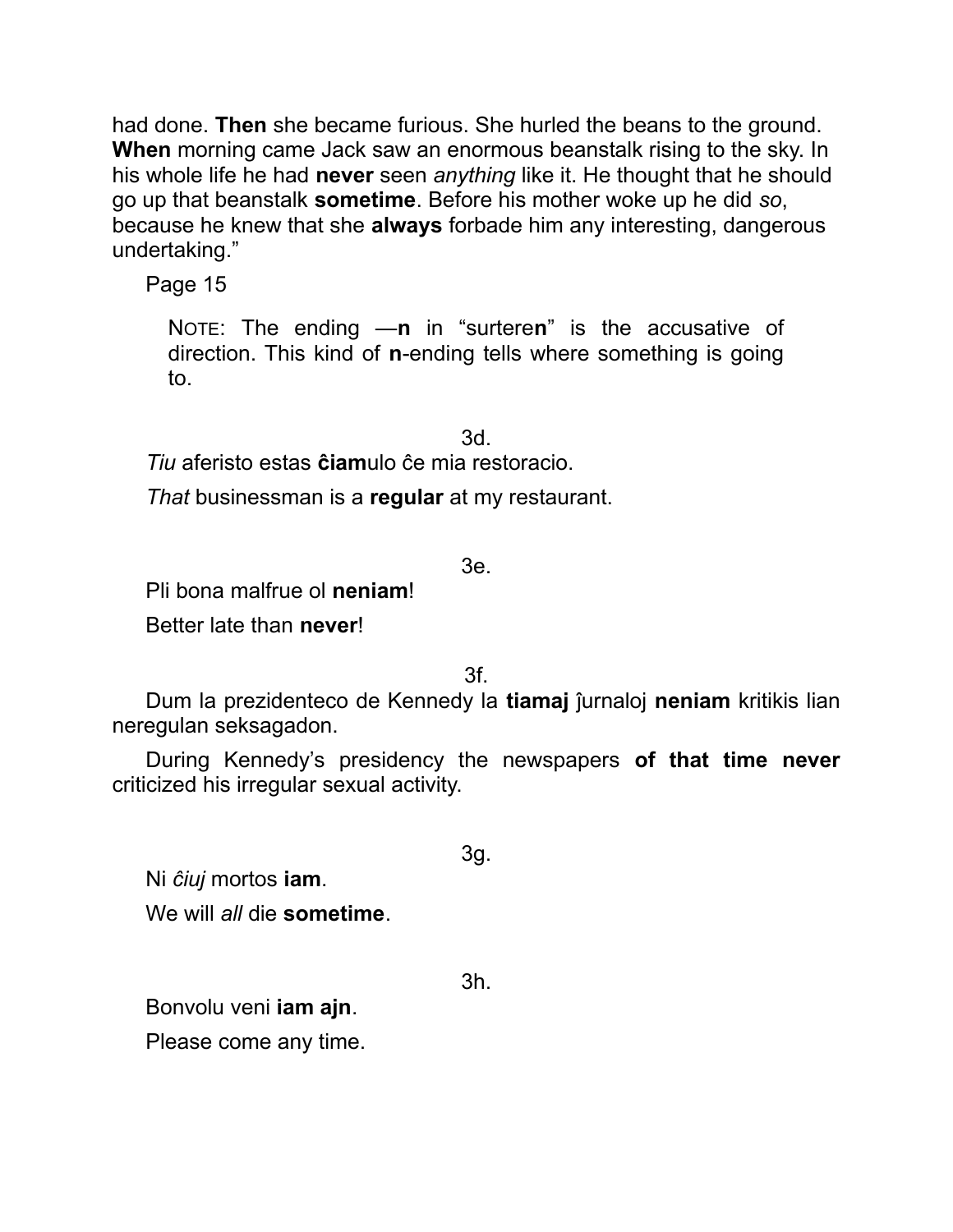had done. **Then** she became furious. She hurled the beans to the ground. **When** morning came Jack saw an enormous beanstalk rising to the sky. In his whole life he had **never** seen *anything* like it. He thought that he should go up that beanstalk **sometime**. Before his mother woke up he did *so*, because he knew that she **always** forbade him any interesting, dangerous undertaking."

Page 15

NOTE: The ending —**n** in "surtere**n**" is the accusative of direction. This kind of **n**-ending tells where something is going to.

3d.

*Tiu* aferisto estas **ĉiam**ulo ĉe mia restoracio.

*That* businessman is a **regular** at my restaurant.

3e.

Pli bona malfrue ol **neniam**!

Better late than **never**!

3f.

Dum la prezidenteco de Kennedy la **tiamaj** ĵurnaloj **neniam** kritikis lian neregulan seksagadon.

During Kennedy's presidency the newspapers **of that time never** criticized his irregular sexual activity.

3g.

Ni *ĉiuj* mortos **iam**. We will *all* die **sometime**.

3h.

Bonvolu veni **iam ajn**.

Please come any time.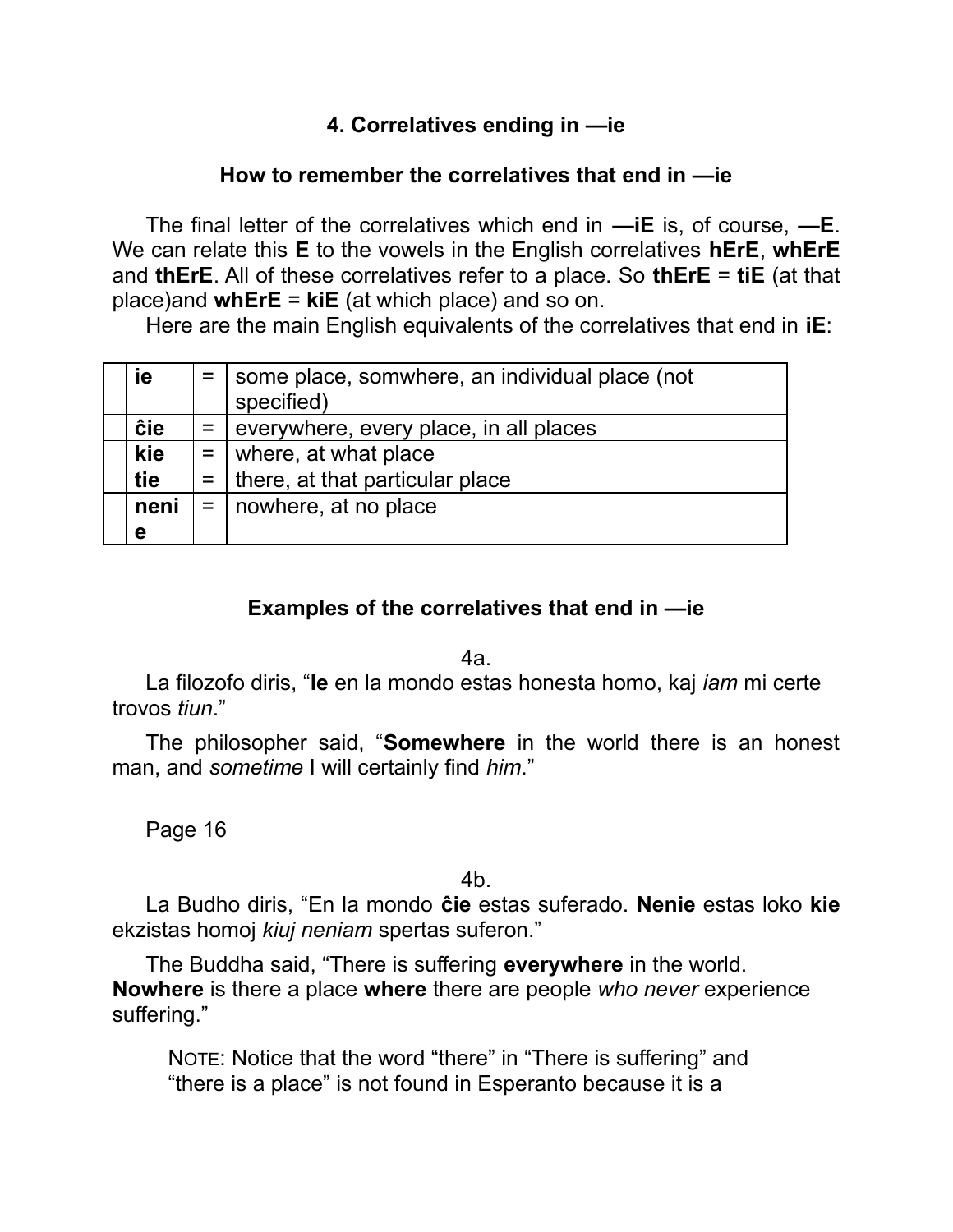## **4. Correlatives ending in —ie**

### **How to remember the correlatives that end in —ie**

The final letter of the correlatives which end in **—iE** is, of course, **—E**. We can relate this **E** to the vowels in the English correlatives **hErE**, **whErE** and **thErE**. All of these correlatives refer to a place. So **thErE** = **tiE** (at that place)and **whErE** = **kiE** (at which place) and so on.

Here are the main English equivalents of the correlatives that end in **iE**:

| ie   | $=$ some place, somwhere, an individual place (not<br>specified) |
|------|------------------------------------------------------------------|
| ĉie  | $=$   everywhere, every place, in all places                     |
| kie  | $=$   where, at what place                                       |
| tie  | $=$   there, at that particular place                            |
| neni | $=$   nowhere, at no place                                       |
| е    |                                                                  |

### **Examples of the correlatives that end in —ie**

4a.

La filozofo diris, "**Ie** en la mondo estas honesta homo, kaj *iam* mi certe trovos *tiun*."

The philosopher said, "**Somewhere** in the world there is an honest man, and *sometime* I will certainly find *him*."

Page 16

4b.

La Budho diris, "En la mondo **ĉie** estas suferado. **Nenie** estas loko **kie** ekzistas homoj *kiuj neniam* spertas suferon."

The Buddha said, "There is suffering **everywhere** in the world. **Nowhere** is there a place **where** there are people *who never* experience suffering."

NOTE: Notice that the word "there" in "There is suffering" and "there is a place" is not found in Esperanto because it is a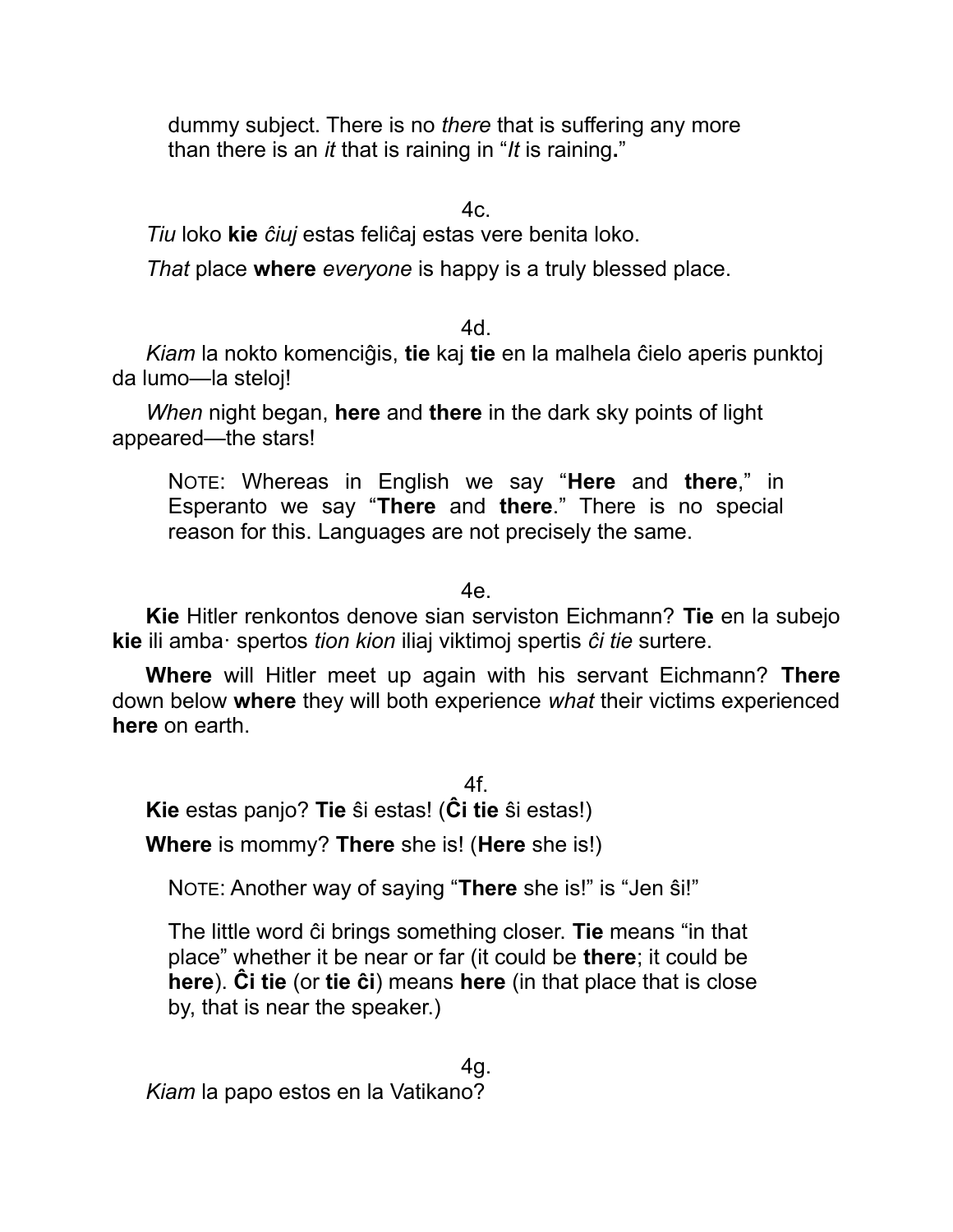dummy subject. There is no *there* that is suffering any more than there is an *it* that is raining in "*It* is raining**.**"

 $4c.$ 

*Tiu* loko **kie** *ĉiuj* estas feliĉaj estas vere benita loko.

*That* place **where** *everyone* is happy is a truly blessed place.

4d.

*Kiam* la nokto komenciĝis, **tie** kaj **tie** en la malhela ĉielo aperis punktoj da lumo—la steloj!

*When* night began, **here** and **there** in the dark sky points of light appeared—the stars!

NOTE: Whereas in English we say "**Here** and **there**," in Esperanto we say "**There** and **there**." There is no special reason for this. Languages are not precisely the same.

4e.

**Kie** Hitler renkontos denove sian serviston Eichmann? **Tie** en la subejo **kie** ili amba· spertos *tion kion* iliaj viktimoj spertis *ĉi tie* surtere.

**Where** will Hitler meet up again with his servant Eichmann? **There** down below **where** they will both experience *what* their victims experienced **here** on earth.

4f. **Kie** estas panjo? **Tie** ŝi estas! (**Ĉi tie** ŝi estas!)

**Where** is mommy? **There** she is! (**Here** she is!)

NOTE: Another way of saying "**There** she is!" is "Jen ŝi!"

The little word ĉi brings something closer. **Tie** means "in that place" whether it be near or far (it could be **there**; it could be **here**). **Ĉi tie** (or **tie ĉi**) means **here** (in that place that is close by, that is near the speaker.)

4g. *Kiam* la papo estos en la Vatikano?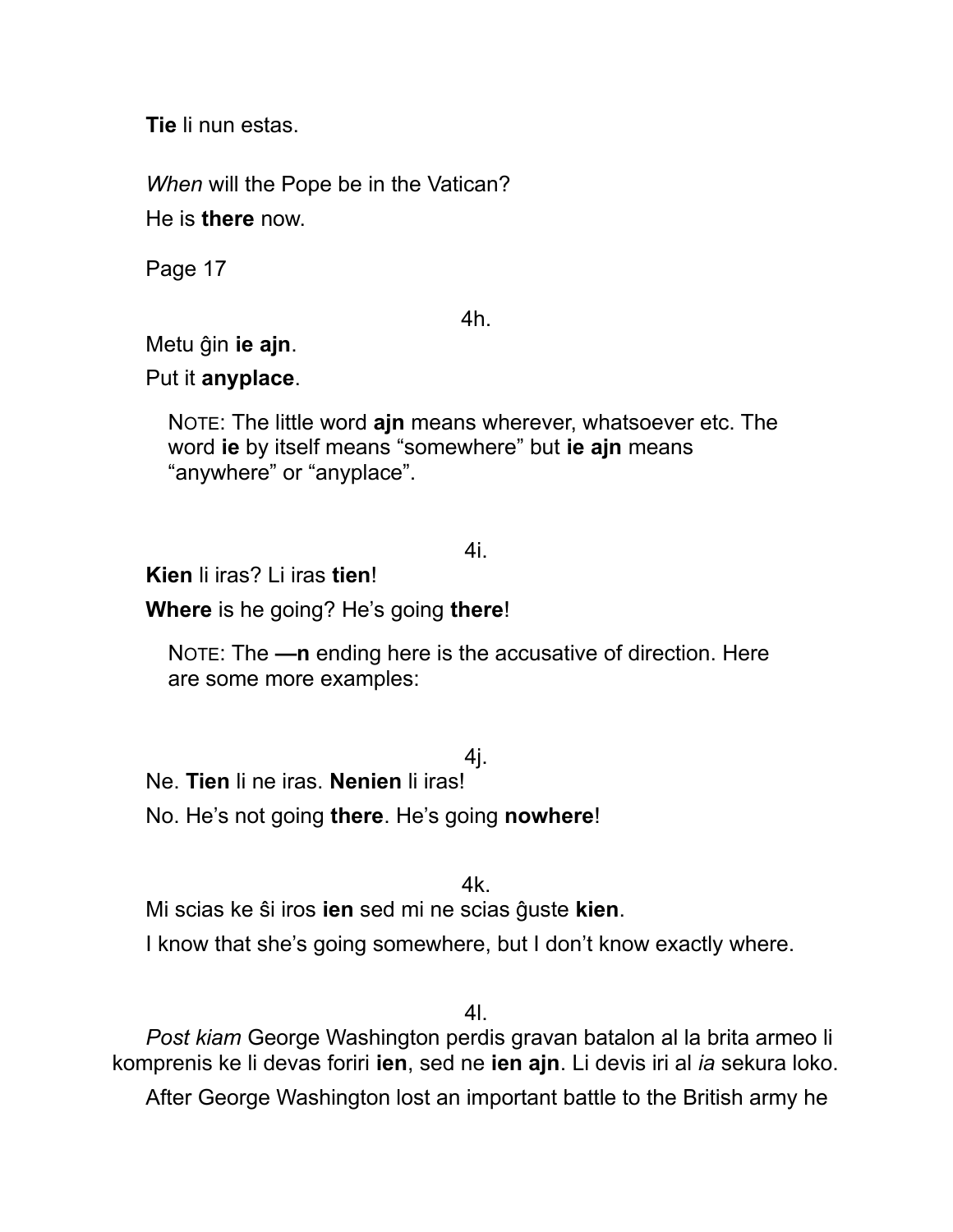**Tie** li nun estas.

*When* will the Pope be in the Vatican? He is **there** now.

Page 17

4h.

Metu ĝin **ie ajn**.

Put it **anyplace**.

NOTE: The little word **ajn** means wherever, whatsoever etc. The word **ie** by itself means "somewhere" but **ie ajn** means "anywhere" or "anyplace".

### 4i.

**Kien** li iras? Li iras **tien**!

**Where** is he going? He's going **there**!

NOTE: The **—n** ending here is the accusative of direction. Here are some more examples:

## 4j.

Ne. **Tien** li ne iras. **Nenien** li iras!

No. He's not going **there**. He's going **nowhere**!

4k.

Mi scias ke ŝi iros **ien** sed mi ne scias ĝuste **kien**.

I know that she's going somewhere, but I don't know exactly where.

4l.

*Post kiam* George Washington perdis gravan batalon al la brita armeo li komprenis ke li devas foriri **ien**, sed ne **ien ajn**. Li devis iri al *ia* sekura loko.

After George Washington lost an important battle to the British army he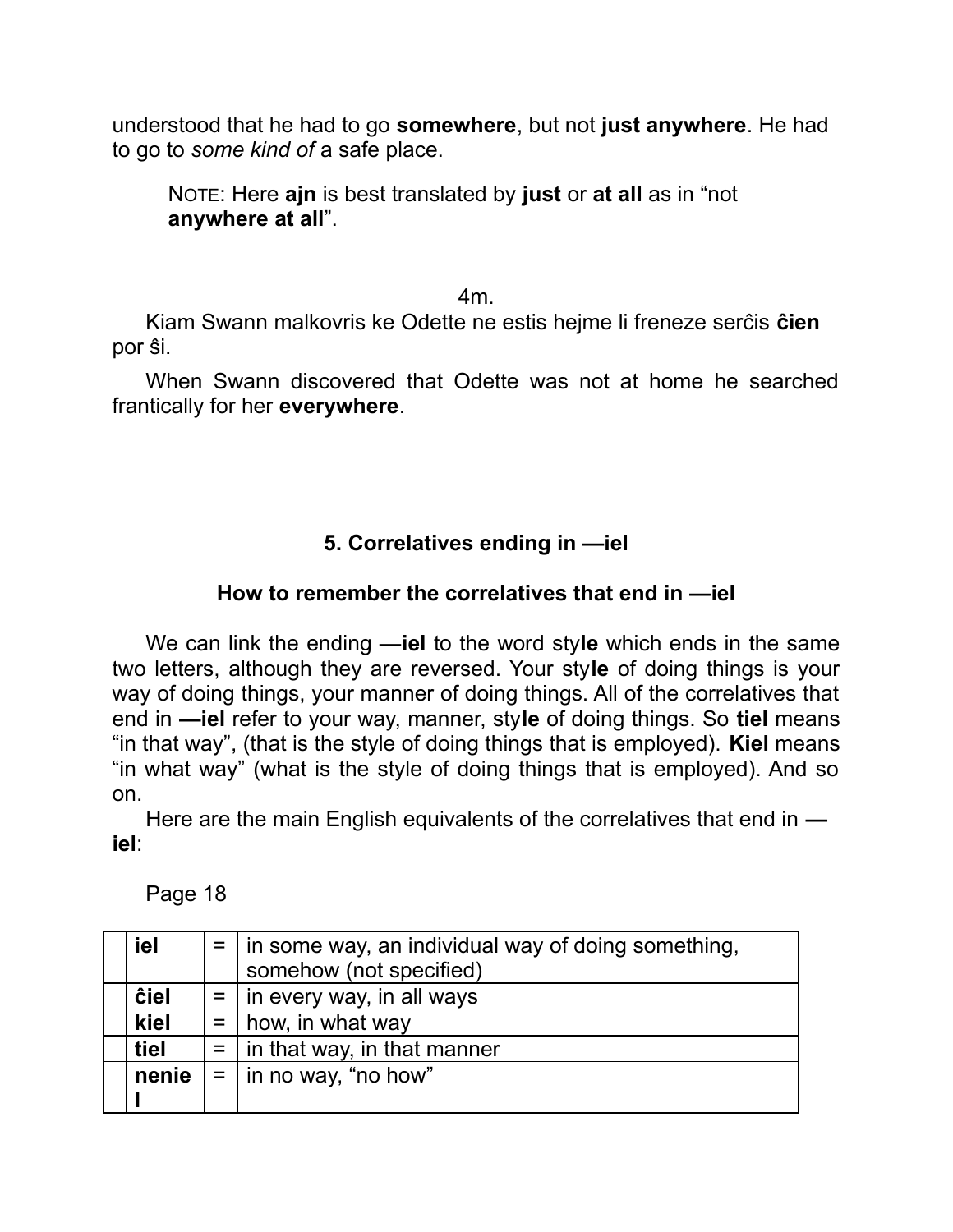understood that he had to go **somewhere**, but not **just anywhere**. He had to go to *some kind of* a safe place.

NOTE: Here **ajn** is best translated by **just** or **at all** as in "not **anywhere at all**".

4m.

Kiam Swann malkovris ke Odette ne estis hejme li freneze serĉis **ĉien** por ŝi.

When Swann discovered that Odette was not at home he searched frantically for her **everywhere**.

## **5. Correlatives ending in —iel**

### **How to remember the correlatives that end in —iel**

We can link the ending —**iel** to the word sty**le** which ends in the same two letters, although they are reversed. Your sty**le** of doing things is your way of doing things, your manner of doing things. All of the correlatives that end in **—iel** refer to your way, manner, sty**le** of doing things. So **tiel** means "in that way", (that is the style of doing things that is employed). **Kiel** means "in what way" (what is the style of doing things that is employed). And so on.

Here are the main English equivalents of the correlatives that end in  **iel**:

Page 18

| iel         |     | $=$   in some way, an individual way of doing something, |
|-------------|-----|----------------------------------------------------------|
|             |     | somehow (not specified)                                  |
| <b>ĉiel</b> |     | $=$   in every way, in all ways                          |
| kiel        | $=$ | how, in what way                                         |
| tiel        |     | $=$   in that way, in that manner                        |
| nenie       |     | $=$   in no way, "no how"                                |
|             |     |                                                          |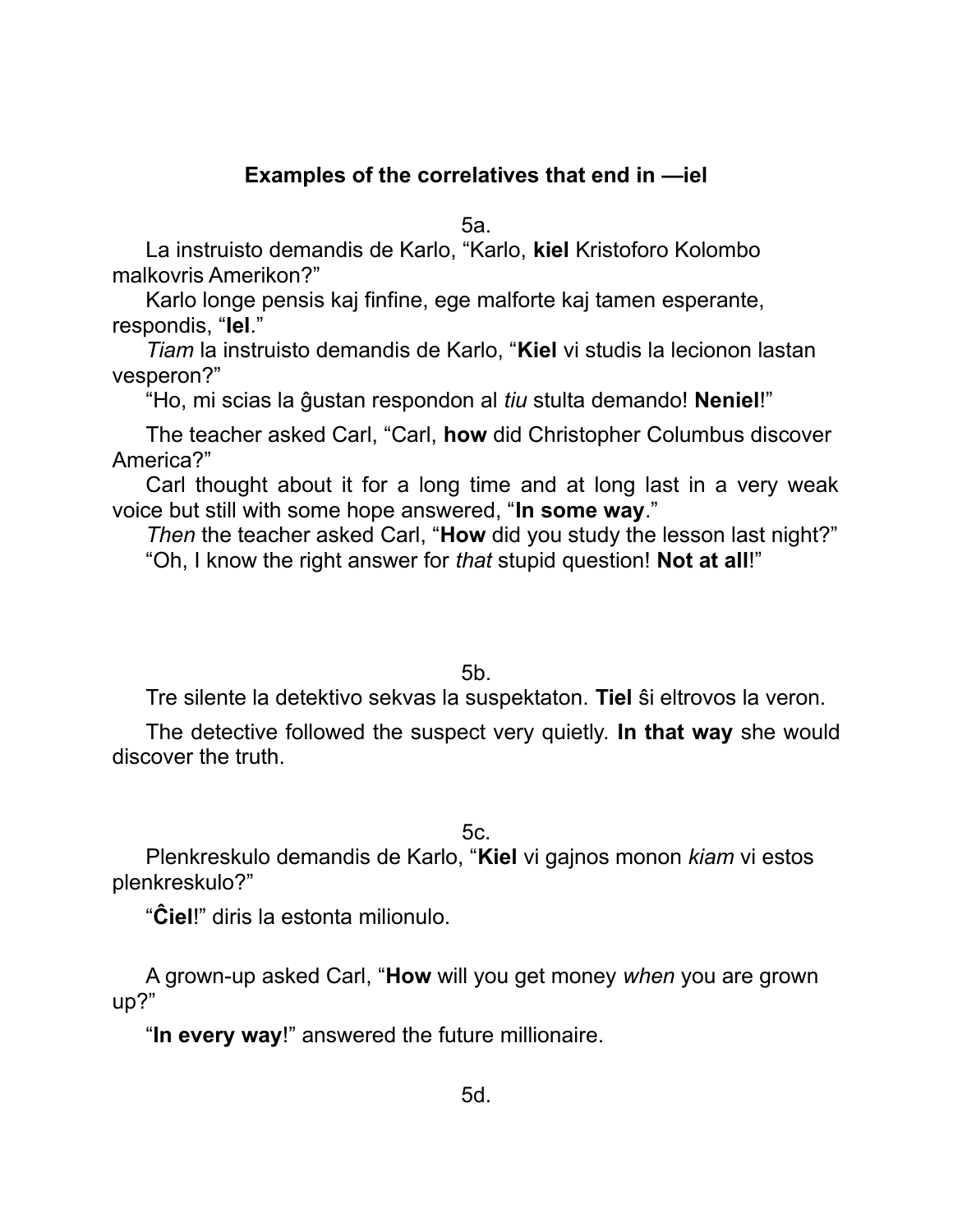## **Examples of the correlatives that end in —iel**

5a.

La instruisto demandis de Karlo, "Karlo, **kiel** Kristoforo Kolombo malkovris Amerikon?"

Karlo longe pensis kaj finfine, ege malforte kaj tamen esperante, respondis, "**Iel**."

*Tiam* la instruisto demandis de Karlo, "**Kiel** vi studis la lecionon lastan vesperon?"

"Ho, mi scias la ĝustan respondon al *tiu* stulta demando! **Neniel**!"

The teacher asked Carl, "Carl, **how** did Christopher Columbus discover America?"

Carl thought about it for a long time and at long last in a very weak voice but still with some hope answered, "**In some way**."

*Then* the teacher asked Carl, "**How** did you study the lesson last night?"

"Oh, I know the right answer for *that* stupid question! **Not at all**!"

5b.

Tre silente la detektivo sekvas la suspektaton. **Tiel** ŝi eltrovos la veron.

The detective followed the suspect very quietly. **In that way** she would discover the truth.

5c.

Plenkreskulo demandis de Karlo, "**Kiel** vi gajnos monon *kiam* vi estos plenkreskulo?"

"**Ĉiel**!" diris la estonta milionulo.

A grown-up asked Carl, "**How** will you get money *when* you are grown up?"

"**In every way**!" answered the future millionaire.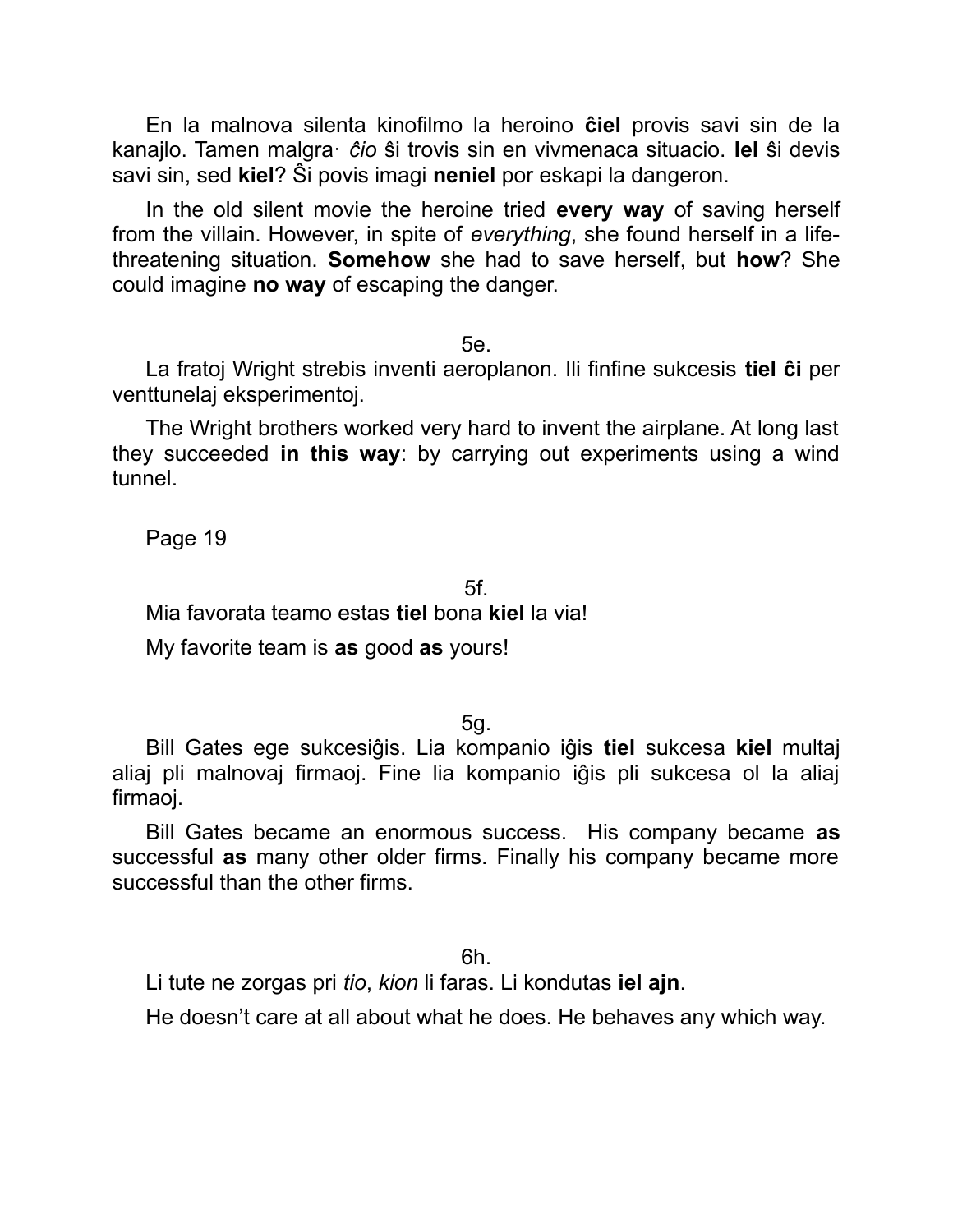En la malnova silenta kinofilmo la heroino **ĉiel** provis savi sin de la kanajlo. Tamen malgra· *ĉio* ŝi trovis sin en vivmenaca situacio. **Iel** ŝi devis savi sin, sed **kiel**? Ŝi povis imagi **neniel** por eskapi la dangeron.

In the old silent movie the heroine tried **every way** of saving herself from the villain. However, in spite of *everything*, she found herself in a lifethreatening situation. **Somehow** she had to save herself, but **how**? She could imagine **no way** of escaping the danger.

5e.

La fratoj Wright strebis inventi aeroplanon. Ili finfine sukcesis **tiel ĉi** per venttunelaj eksperimentoj.

The Wright brothers worked very hard to invent the airplane. At long last they succeeded **in this way**: by carrying out experiments using a wind tunnel.

Page 19

5f.

Mia favorata teamo estas **tiel** bona **kiel** la via!

My favorite team is **as** good **as** yours!

5g.

Bill Gates ege sukcesiĝis. Lia kompanio iĝis **tiel** sukcesa **kiel** multaj aliaj pli malnovaj firmaoj. Fine lia kompanio iĝis pli sukcesa ol la aliaj firmaoj.

Bill Gates became an enormous success. His company became **as** successful **as** many other older firms. Finally his company became more successful than the other firms.

6h.

Li tute ne zorgas pri *tio*, *kion* li faras. Li kondutas **iel ajn**.

He doesn't care at all about what he does. He behaves any which way.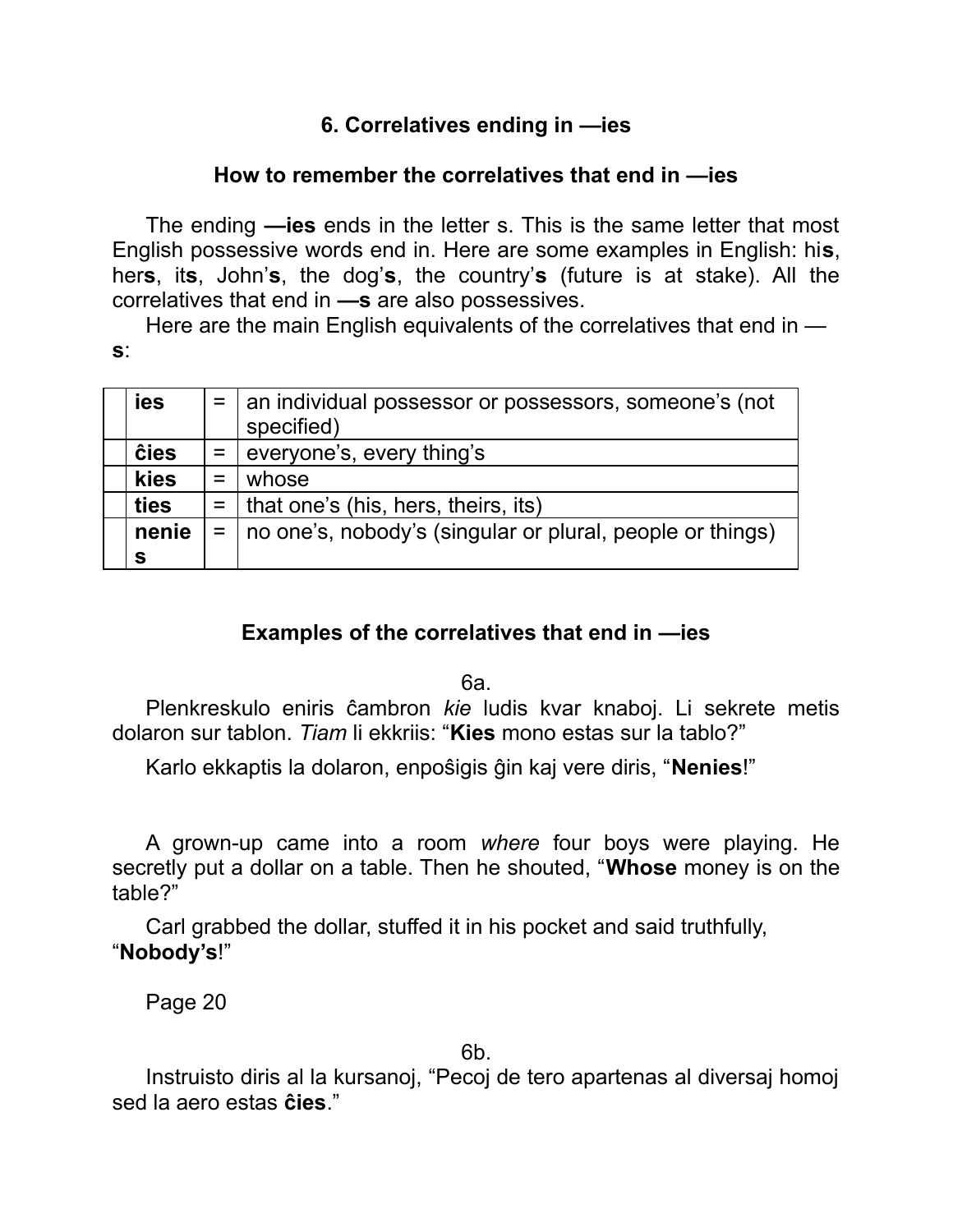## **6. Correlatives ending in —ies**

### **How to remember the correlatives that end in —ies**

The ending **—ies** ends in the letter s. This is the same letter that most English possessive words end in. Here are some examples in English: hi**s**, her**s**, it**s**, John'**s**, the dog'**s**, the country'**s** (future is at stake). All the correlatives that end in **—s** are also possessives.

Here are the main English equivalents of the correlatives that end in **s**:

| ies         |            | $=$   an individual possessor or possessors, someone's (not<br>specified) |
|-------------|------------|---------------------------------------------------------------------------|
| <b>ĉies</b> |            | $=$ everyone's, every thing's                                             |
| kies        | $=$        | whose                                                                     |
| ties        |            | $=$   that one's (his, hers, theirs, its)                                 |
| nenie       | $=$ $\Box$ | no one's, nobody's (singular or plural, people or things)                 |
| s           |            |                                                                           |

### **Examples of the correlatives that end in —ies**

6a.

Plenkreskulo eniris ĉambron *kie* ludis kvar knaboj. Li sekrete metis dolaron sur tablon. *Tiam* li ekkriis: "**Kies** mono estas sur la tablo?"

Karlo ekkaptis la dolaron, enpoŝigis ĝin kaj vere diris, "**Nenies**!"

A grown-up came into a room *where* four boys were playing. He secretly put a dollar on a table. Then he shouted, "**Whose** money is on the table?"

Carl grabbed the dollar, stuffed it in his pocket and said truthfully, "**Nobody's**!"

Page 20

6b.

Instruisto diris al la kursanoj, "Pecoj de tero apartenas al diversaj homoj sed la aero estas **ĉies**."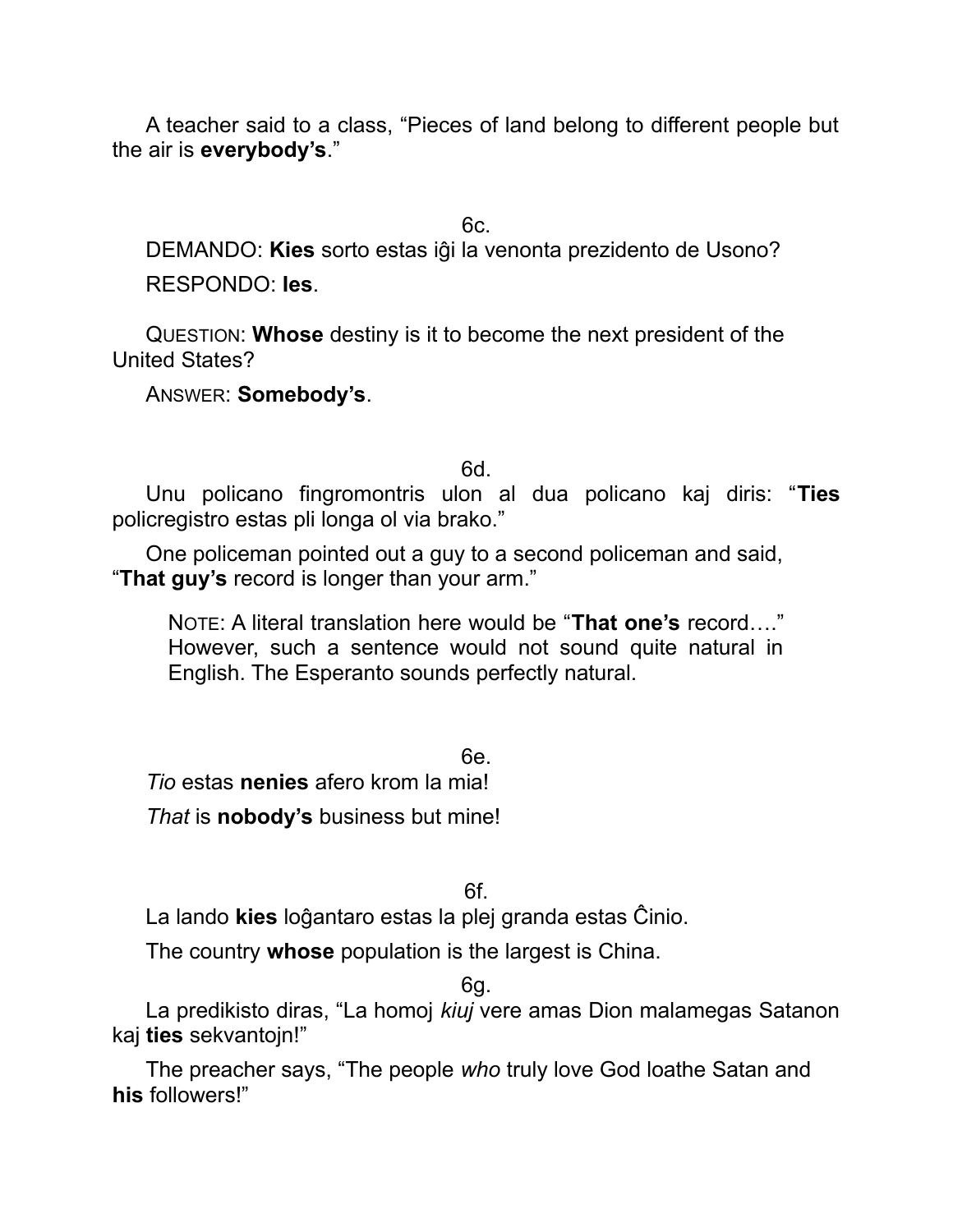A teacher said to a class, "Pieces of land belong to different people but the air is **everybody's**."

6c.

DEMANDO: **Kies** sorto estas iĝi la venonta prezidento de Usono? RESPONDO: **Ies**.

QUESTION: **Whose** destiny is it to become the next president of the United States?

ANSWER: **Somebody's**.

6d.

Unu policano fingromontris ulon al dua policano kaj diris: "**Ties** policregistro estas pli longa ol via brako."

One policeman pointed out a guy to a second policeman and said, "**That guy's** record is longer than your arm."

NOTE: A literal translation here would be "**That one's** record…." However, such a sentence would not sound quite natural in English. The Esperanto sounds perfectly natural.

6e. *Tio* estas **nenies** afero krom la mia! *That* is **nobody's** business but mine!

6f.

La lando **kies** loĝantaro estas la plej granda estas Ĉinio.

The country **whose** population is the largest is China.

6g.

La predikisto diras, "La homoj *kiuj* vere amas Dion malamegas Satanon kaj **ties** sekvantojn!"

The preacher says, "The people *who* truly love God loathe Satan and **his** followers!"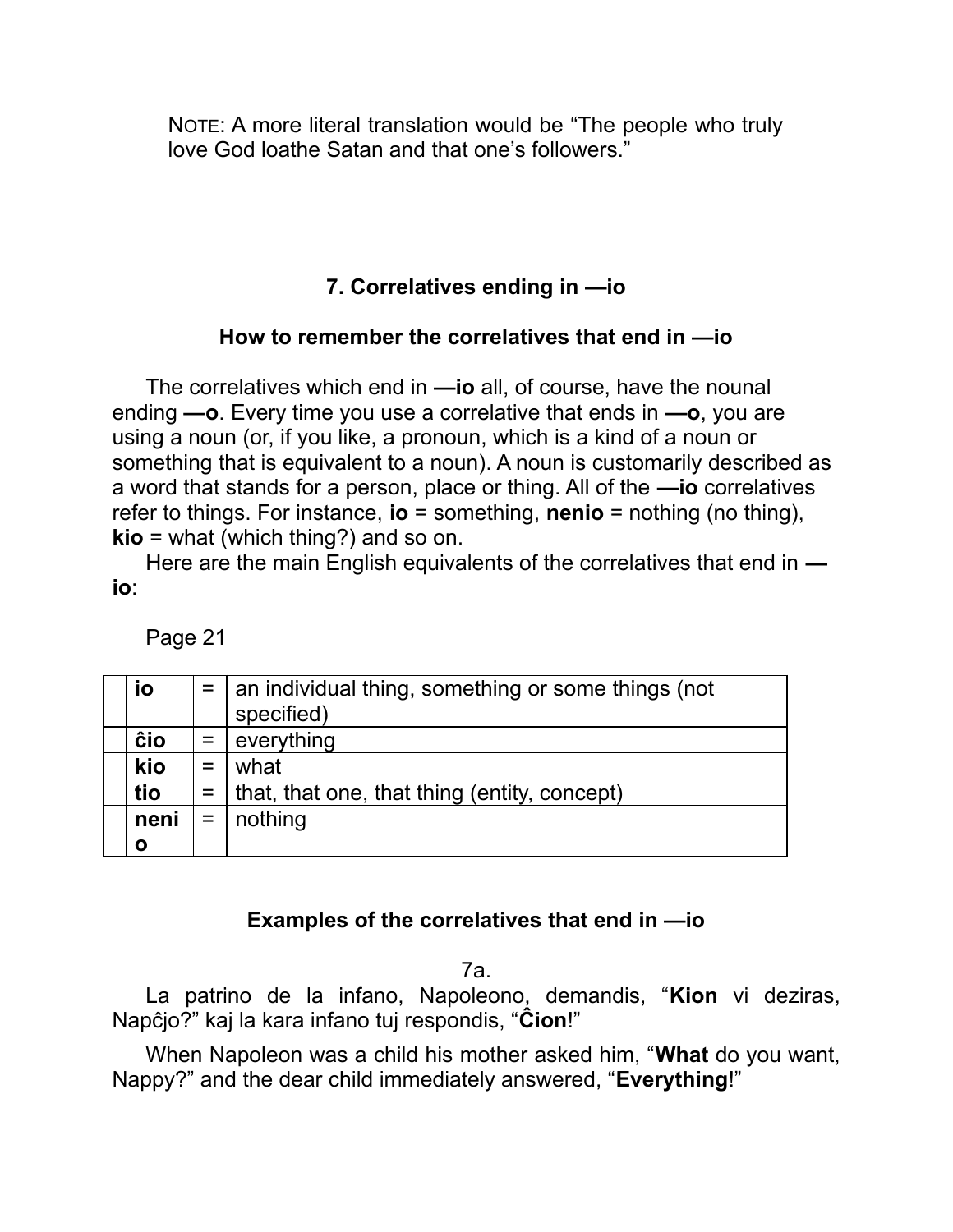NOTE: A more literal translation would be "The people who truly love God loathe Satan and that one's followers."

# **7. Correlatives ending in —io**

### **How to remember the correlatives that end in —io**

The correlatives which end in **—io** all, of course, have the nounal ending **—o**. Every time you use a correlative that ends in **—o**, you are using a noun (or, if you like, a pronoun, which is a kind of a noun or something that is equivalent to a noun). A noun is customarily described as a word that stands for a person, place or thing. All of the **—io** correlatives refer to things. For instance, **io** = something, **nenio** = nothing (no thing), **kio** = what (which thing?) and so on.

Here are the main English equivalents of the correlatives that end in  **io**:

Page 21

| İО   | $=$ | an individual thing, something or some things (not<br>specified) |
|------|-----|------------------------------------------------------------------|
| ĉio  | $=$ | everything                                                       |
| kio  | $=$ | what                                                             |
| tio  |     | $=$   that, that one, that thing (entity, concept)               |
| neni | $=$ | nothing                                                          |
| Ο    |     |                                                                  |

### **Examples of the correlatives that end in —io**

7a.

La patrino de la infano, Napoleono, demandis, "**Kion** vi deziras, Napĉjo?" kaj la kara infano tuj respondis, "**Ĉion**!"

When Napoleon was a child his mother asked him, "**What** do you want, Nappy?" and the dear child immediately answered, "**Everything**!"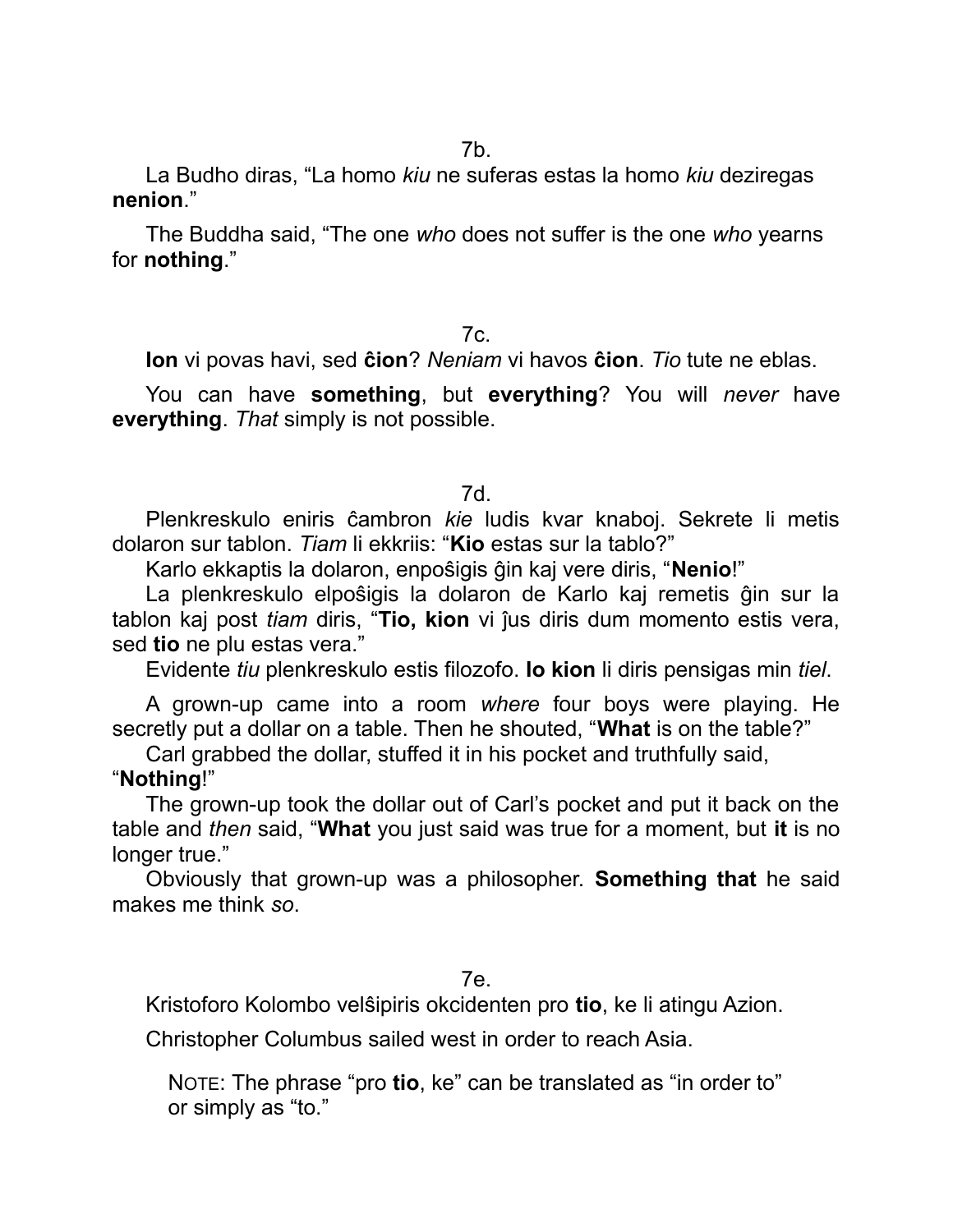La Budho diras, "La homo *kiu* ne suferas estas la homo *kiu* deziregas **nenion**."

The Buddha said, "The one *who* does not suffer is the one *who* yearns for **nothing**."

#### 7c.

**Ion** vi povas havi, sed **ĉion**? *Neniam* vi havos **ĉion**. *Tio* tute ne eblas.

You can have **something**, but **everything**? You will *never* have **everything**. *That* simply is not possible.

#### 7d.

Plenkreskulo eniris ĉambron *kie* ludis kvar knaboj. Sekrete li metis dolaron sur tablon. *Tiam* li ekkriis: "**Kio** estas sur la tablo?"

Karlo ekkaptis la dolaron, enpoŝigis ĝin kaj vere diris, "**Nenio**!"

La plenkreskulo elpoŝigis la dolaron de Karlo kaj remetis ĝin sur la tablon kaj post *tiam* diris, "**Tio, kion** vi ĵus diris dum momento estis vera, sed **tio** ne plu estas vera."

Evidente *tiu* plenkreskulo estis filozofo. **Io kion** li diris pensigas min *tiel*.

A grown-up came into a room *where* four boys were playing. He secretly put a dollar on a table. Then he shouted, "**What** is on the table?"

Carl grabbed the dollar, stuffed it in his pocket and truthfully said,

#### "**Nothing**!"

The grown-up took the dollar out of Carl's pocket and put it back on the table and *then* said, "**What** you just said was true for a moment, but **it** is no longer true."

Obviously that grown-up was a philosopher. **Something that** he said makes me think *so*.

#### 7e.

Kristoforo Kolombo velŝipiris okcidenten pro **tio**, ke li atingu Azion.

Christopher Columbus sailed west in order to reach Asia.

NOTE: The phrase "pro **tio**, ke" can be translated as "in order to" or simply as "to."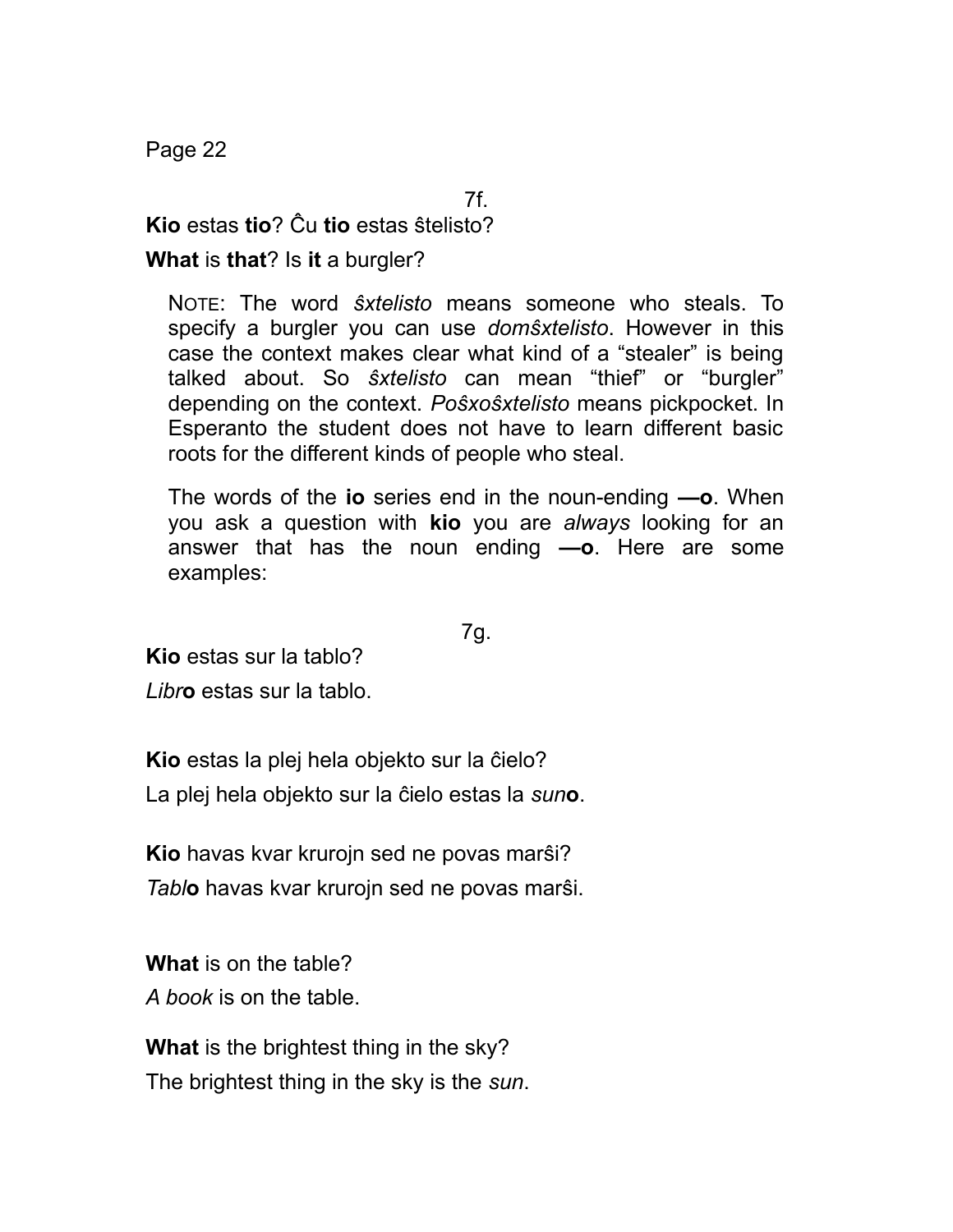Page 22

7f.

**Kio** estas **tio**? Ĉu **tio** estas ŝtelisto?

**What** is **that**? Is **it** a burgler?

NOTE: The word *ŝxtelisto* means someone who steals. To specify a burgler you can use *domŝxtelisto*. However in this case the context makes clear what kind of a "stealer" is being talked about. So *ŝxtelisto* can mean "thief" or "burgler" depending on the context. *Poŝxoŝxtelisto* means pickpocket. In Esperanto the student does not have to learn different basic roots for the different kinds of people who steal.

The words of the **io** series end in the noun-ending **—o**. When you ask a question with **kio** you are *always* looking for an answer that has the noun ending **—o**. Here are some examples:

7g.

**Kio** estas sur la tablo?

*Libr***o** estas sur la tablo.

**Kio** estas la plej hela objekto sur la ĉielo? La plej hela objekto sur la ĉielo estas la *sun***o**.

**Kio** havas kvar krurojn sed ne povas marŝi? *Tabl***o** havas kvar krurojn sed ne povas marŝi.

**What** is on the table?

*A book* is on the table.

**What** is the brightest thing in the sky? The brightest thing in the sky is the *sun*.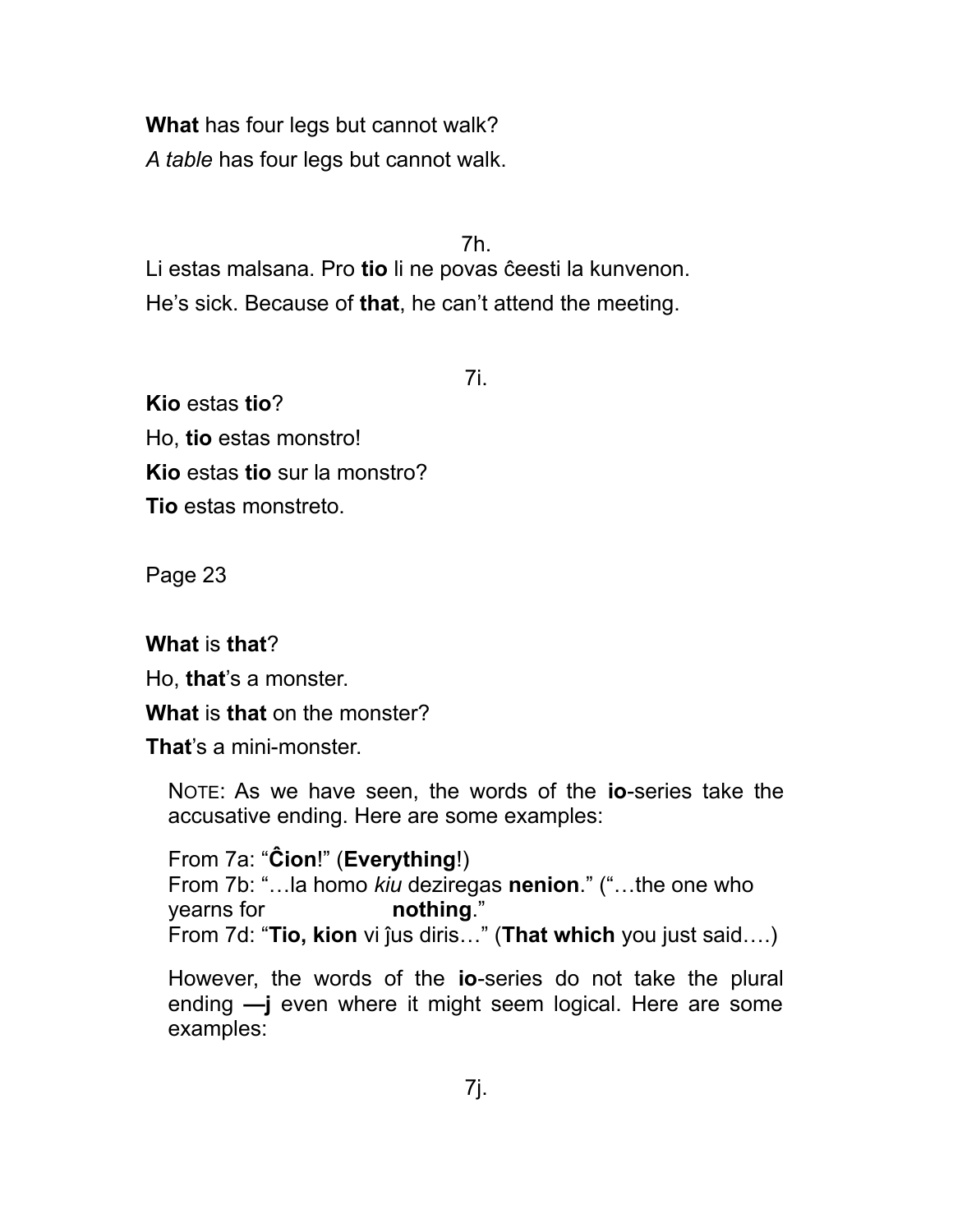**What** has four legs but cannot walk? *A table* has four legs but cannot walk.

7h.

Li estas malsana. Pro **tio** li ne povas ĉeesti la kunvenon. He's sick. Because of **that**, he can't attend the meeting.

7i.

**Kio** estas **tio**? Ho, **tio** estas monstro! **Kio** estas **tio** sur la monstro? **Tio** estas monstreto.

Page 23

## **What** is **that**?

Ho, **that**'s a monster.

**What** is **that** on the monster?

**That**'s a mini-monster.

NOTE: As we have seen, the words of the **io**-series take the accusative ending. Here are some examples:

From 7a: "**Ĉion**!" (**Everything**!) From 7b: "…la homo *kiu* deziregas **nenion**." ("…the one who yearns for **nothing**." From 7d: "**Tio, kion** vi ĵus diris…" (**That which** you just said….)

However, the words of the **io**-series do not take the plural ending **—j** even where it might seem logical. Here are some examples: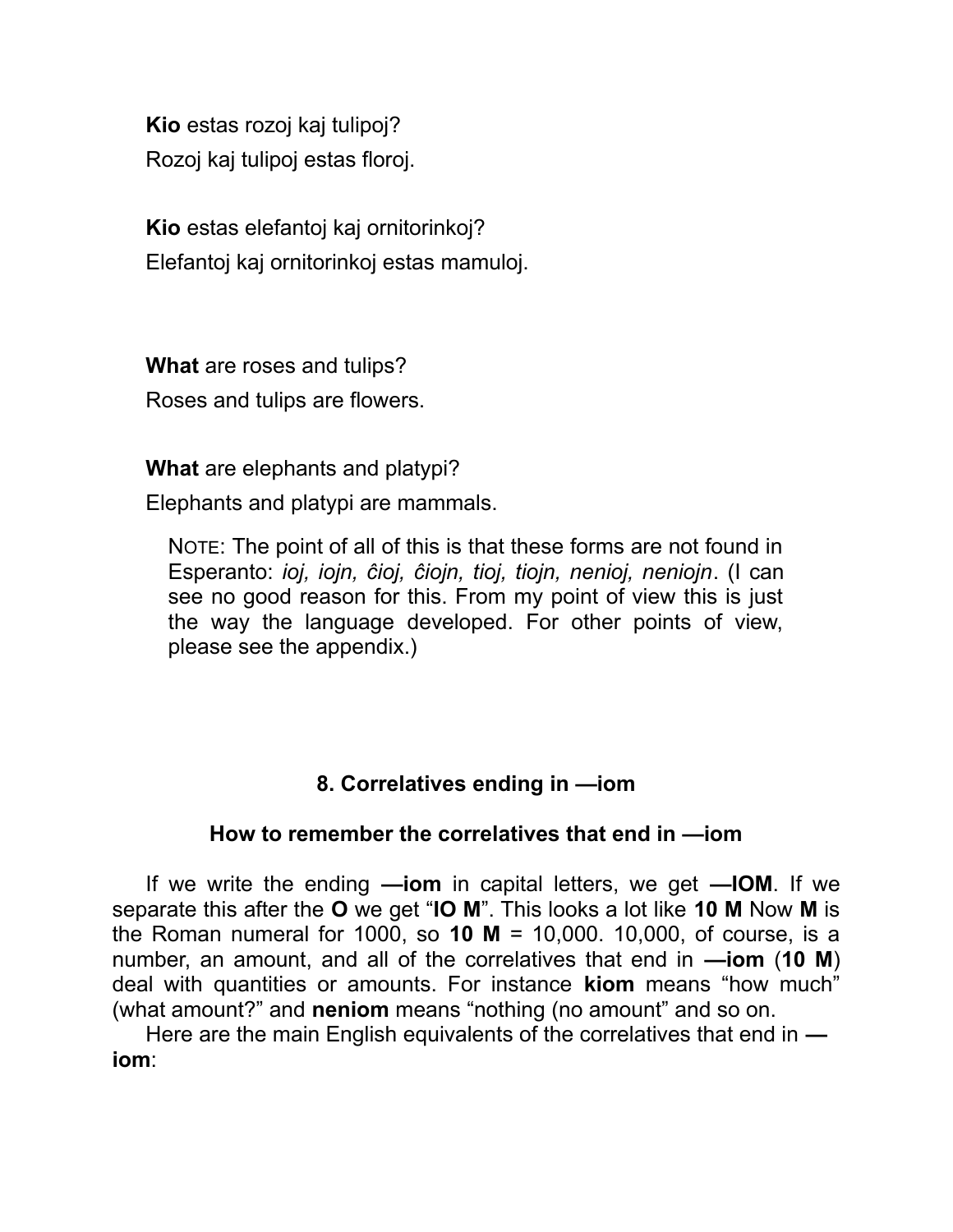**Kio** estas rozoj kaj tulipoj? Rozoj kaj tulipoj estas floroj.

**Kio** estas elefantoj kaj ornitorinkoj? Elefantoj kaj ornitorinkoj estas mamuloj.

**What** are roses and tulips? Roses and tulips are flowers.

**What** are elephants and platypi?

Elephants and platypi are mammals.

NOTE: The point of all of this is that these forms are not found in Esperanto: *ioj, iojn, ĉioj, ĉiojn, tioj, tiojn, nenioj, neniojn*. (I can see no good reason for this. From my point of view this is just the way the language developed. For other points of view, please see the appendix.)

# **8. Correlatives ending in —iom**

### **How to remember the correlatives that end in —iom**

If we write the ending **—iom** in capital letters, we get **—IOM**. If we separate this after the **O** we get "**IO M**". This looks a lot like **10 M** Now **M** is the Roman numeral for 1000, so **10 M** = 10,000. 10,000, of course, is a number, an amount, and all of the correlatives that end in **—iom** (**10 M**) deal with quantities or amounts. For instance **kiom** means "how much" (what amount?" and **neniom** means "nothing (no amount" and so on.

Here are the main English equivalents of the correlatives that end in  **iom**: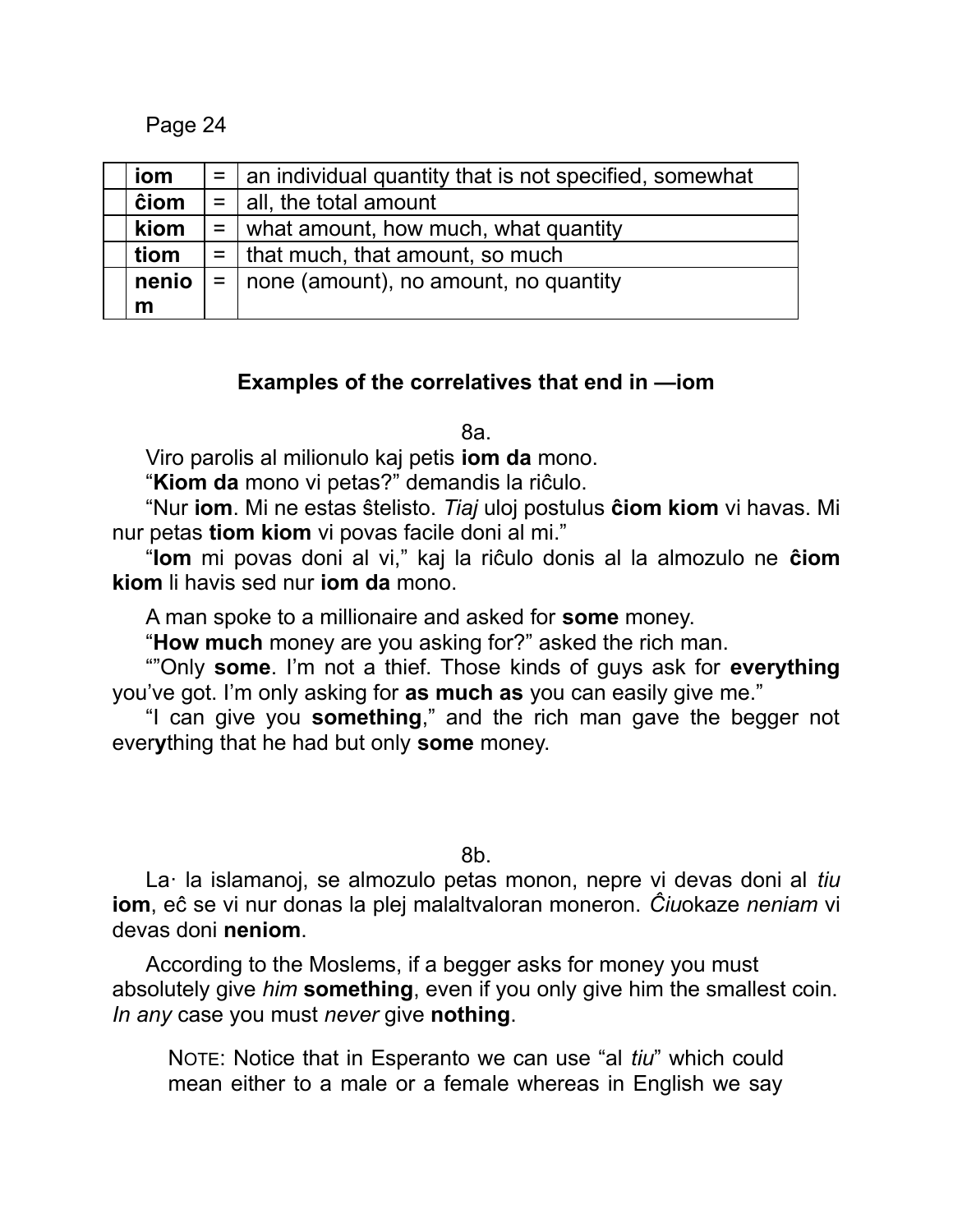Page 24

| iom   | $=$   an individual quantity that is not specified, somewhat |
|-------|--------------------------------------------------------------|
| ĉiom  | $=$   all, the total amount                                  |
| kiom  | $=$ what amount, how much, what quantity                     |
| tiom  | $=$   that much, that amount, so much                        |
| nenio | $=$   none (amount), no amount, no quantity                  |
| m     |                                                              |

### **Examples of the correlatives that end in —iom**

8a.

Viro parolis al milionulo kaj petis **iom da** mono.

"**Kiom da** mono vi petas?" demandis la riĉulo.

"Nur **iom**. Mi ne estas ŝtelisto. *Tiaj* uloj postulus **ĉiom kiom** vi havas. Mi nur petas **tiom kiom** vi povas facile doni al mi."

"**Iom** mi povas doni al vi," kaj la riĉulo donis al la almozulo ne **ĉiom kiom** li havis sed nur **iom da** mono.

A man spoke to a millionaire and asked for **some** money.

"**How much** money are you asking for?" asked the rich man.

""Only **some**. I'm not a thief. Those kinds of guys ask for **everything** you've got. I'm only asking for **as much as** you can easily give me."

"I can give you **something**," and the rich man gave the begger not ever**y**thing that he had but only **some** money.

8b.

La· la islamanoj, se almozulo petas monon, nepre vi devas doni al *tiu* **iom**, eĉ se vi nur donas la plej malaltvaloran moneron. *Ĉiu*okaze *neniam* vi devas doni **neniom**.

According to the Moslems, if a begger asks for money you must absolutely give *him* **something**, even if you only give him the smallest coin. *In any* case you must *never* give **nothing**.

NOTE: Notice that in Esperanto we can use "al *tiu*" which could mean either to a male or a female whereas in English we say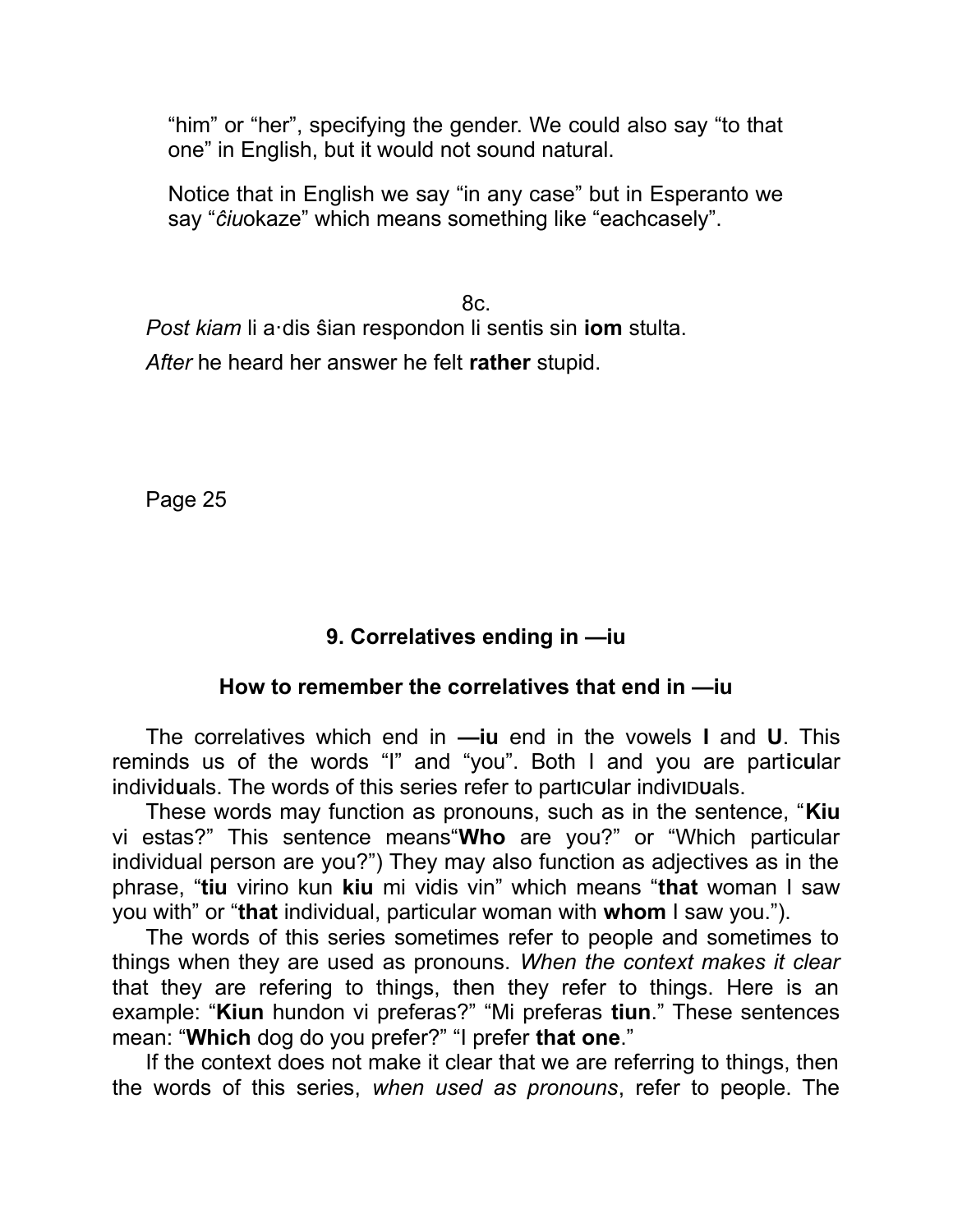"him" or "her", specifying the gender. We could also say "to that one" in English, but it would not sound natural.

Notice that in English we say "in any case" but in Esperanto we say "*ĉiu*okaze" which means something like "eachcasely".

8c. *Post kiam* li a·dis ŝian respondon li sentis sin **iom** stulta. *After* he heard her answer he felt **rather** stupid.

Page 25

## **9. Correlatives ending in —iu**

### **How to remember the correlatives that end in —iu**

The correlatives which end in **—iu** end in the vowels **I** and **U**. This reminds us of the words "I" and "you". Both I and you are part**i**c**u**lar indiv**i**d**u**als. The words of this series refer to part**I**C**U**lar indiv**I**D**U**als.

These words may function as pronouns, such as in the sentence, "**Kiu** vi estas?" This sentence means"**Who** are you?" or "Which particular individual person are you?") They may also function as adjectives as in the phrase, "**tiu** virino kun **kiu** mi vidis vin" which means "**that** woman I saw you with" or "**that** individual, particular woman with **whom** I saw you.").

The words of this series sometimes refer to people and sometimes to things when they are used as pronouns. *When the context makes it clear* that they are refering to things, then they refer to things. Here is an example: "**Kiun** hundon vi preferas?" "Mi preferas **tiun**." These sentences mean: "**Which** dog do you prefer?" "I prefer **that one**."

If the context does not make it clear that we are referring to things, then the words of this series, *when used as pronouns*, refer to people. The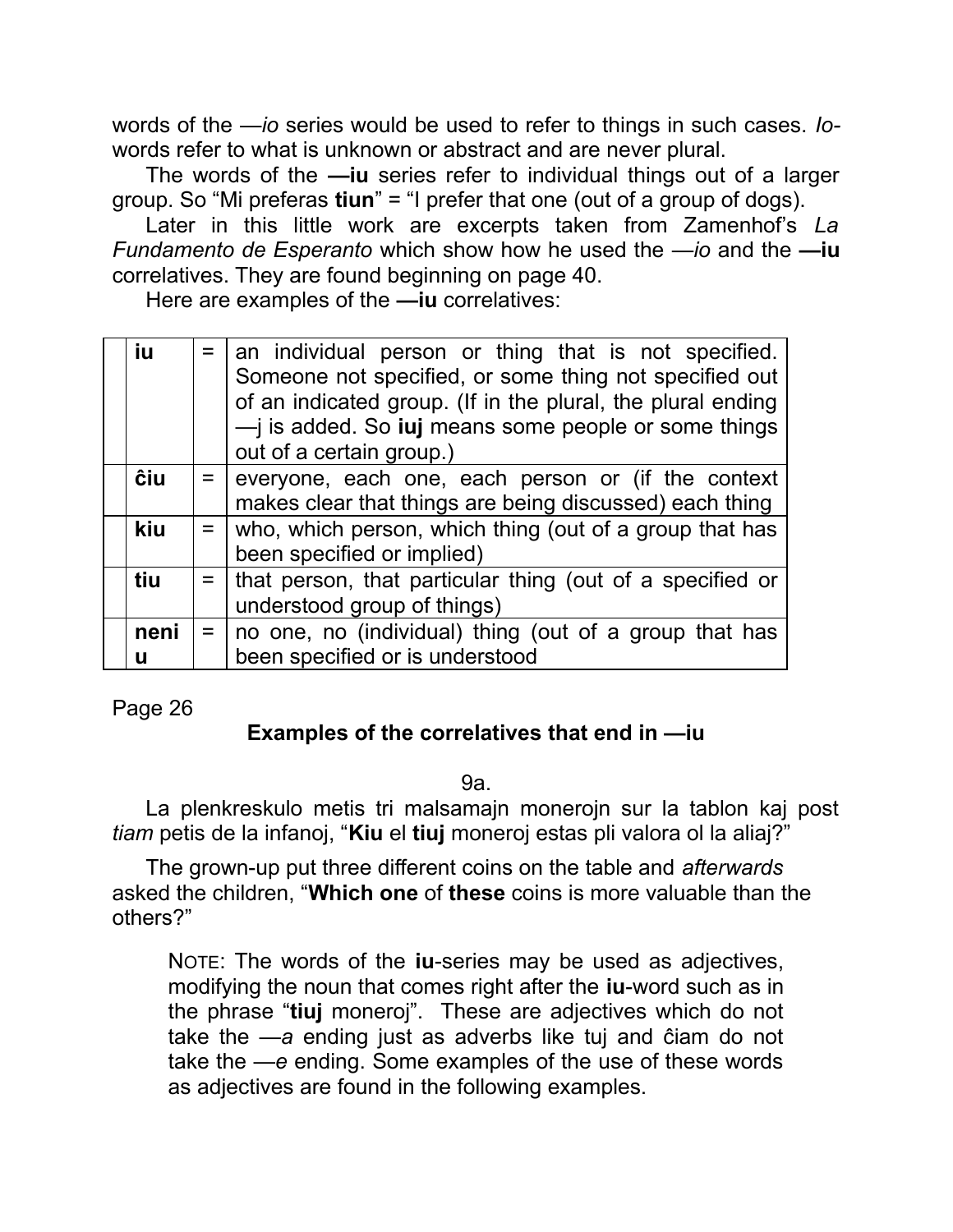words of the *—io* series would be used to refer to things in such cases. *Io*words refer to what is unknown or abstract and are never plural.

The words of the **—iu** series refer to individual things out of a larger group. So "Mi preferas **tiun**" = "I prefer that one (out of a group of dogs).

Later in this little work are excerpts taken from Zamenhof's *La Fundamento de Esperanto* which show how he used the *—io* and the **—iu** correlatives. They are found beginning on page 40.

Here are examples of the **—iu** correlatives:

| iu        | $=$   an individual person or thing that is not specified.<br>Someone not specified, or some thing not specified out<br>of an indicated group. (If in the plural, the plural ending<br>$\rightarrow$ is added. So <b>iuj</b> means some people or some things<br>out of a certain group.) |
|-----------|-------------------------------------------------------------------------------------------------------------------------------------------------------------------------------------------------------------------------------------------------------------------------------------------|
| ĉiu       | $=$ everyone, each one, each person or (if the context<br>makes clear that things are being discussed) each thing                                                                                                                                                                         |
| kiu       | $=$ who, which person, which thing (out of a group that has<br>been specified or implied)                                                                                                                                                                                                 |
| tiu       | $=$ that person, that particular thing (out of a specified or<br>understood group of things)                                                                                                                                                                                              |
| neni<br>u | $=$   no one, no (individual) thing (out of a group that has<br>been specified or is understood                                                                                                                                                                                           |

Page 26

## **Examples of the correlatives that end in —iu**

9a.

La plenkreskulo metis tri malsamajn monerojn sur la tablon kaj post *tiam* petis de la infanoj, "**Kiu** el **tiuj** moneroj estas pli valora ol la aliaj?"

The grown-up put three different coins on the table and *afterwards* asked the children, "**Which one** of **these** coins is more valuable than the others?"

NOTE: The words of the **iu**-series may be used as adjectives, modifying the noun that comes right after the **iu**-word such as in the phrase "**tiuj** moneroj". These are adjectives which do not take the *—a* ending just as adverbs like tuj and ĉiam do not take the *—e* ending. Some examples of the use of these words as adjectives are found in the following examples.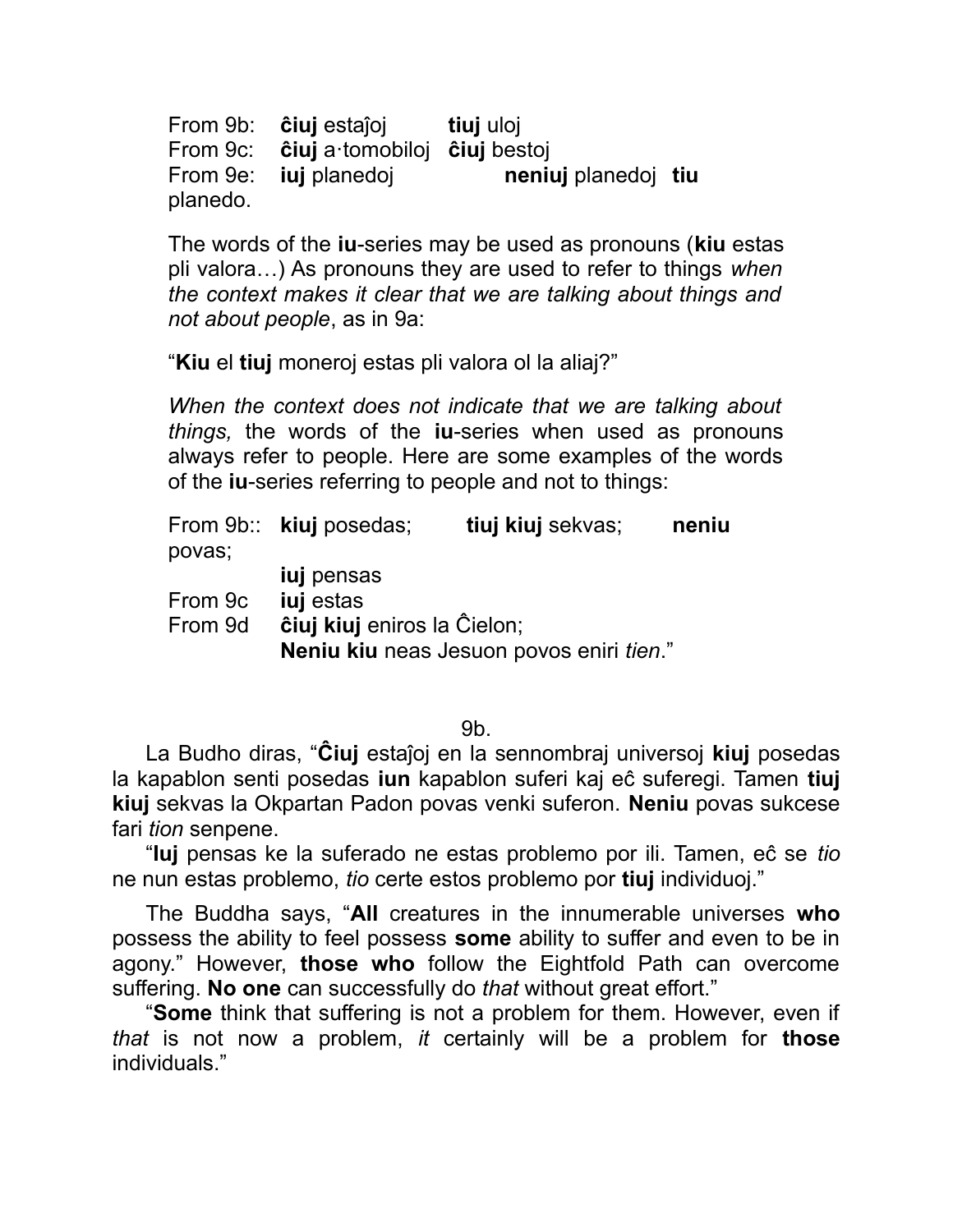From 9b: **ĉiuj** estaĵoj **tiuj** uloj From 9c: **ĉiuj** a·tomobiloj **ĉiuj** bestoj From 9e: **iuj** planedoj **neniuj** planedoj **tiu** planedo.

The words of the **iu**-series may be used as pronouns (**kiu** estas pli valora…) As pronouns they are used to refer to things *when the context makes it clear that we are talking about things and not about people*, as in 9a:

"**Kiu** el **tiuj** moneroj estas pli valora ol la aliaj?"

*When the context does not indicate that we are talking about things,* the words of the **iu**-series when used as pronouns always refer to people. Here are some examples of the words of the **iu**-series referring to people and not to things:

| povas;  | From 9b:: kiuj posedas;            | tiuj kiuj sekvas;                        | neniu |  |
|---------|------------------------------------|------------------------------------------|-------|--|
|         | <b>iuj</b> pensas                  |                                          |       |  |
| From 9c | <b>iuj</b> estas                   |                                          |       |  |
| From 9d | <b>ĉiuj kiuj</b> eniros la Ĉielon; |                                          |       |  |
|         |                                    | Neniu kiu neas Jesuon povos eniri tien." |       |  |

9b.

La Budho diras, "**Ĉiuj** estaĵoj en la sennombraj universoj **kiuj** posedas la kapablon senti posedas **iun** kapablon suferi kaj eĉ suferegi. Tamen **tiuj kiuj** sekvas la Okpartan Padon povas venki suferon. **Neniu** povas sukcese fari *tion* senpene.

"**Iuj** pensas ke la suferado ne estas problemo por ili. Tamen, eĉ se *tio* ne nun estas problemo, *tio* certe estos problemo por **tiuj** individuoj."

The Buddha says, "**All** creatures in the innumerable universes **who** possess the ability to feel possess **some** ability to suffer and even to be in agony." However, **those who** follow the Eightfold Path can overcome suffering. **No one** can successfully do *that* without great effort."

"**Some** think that suffering is not a problem for them. However, even if *that* is not now a problem, *it* certainly will be a problem for **those** individuals."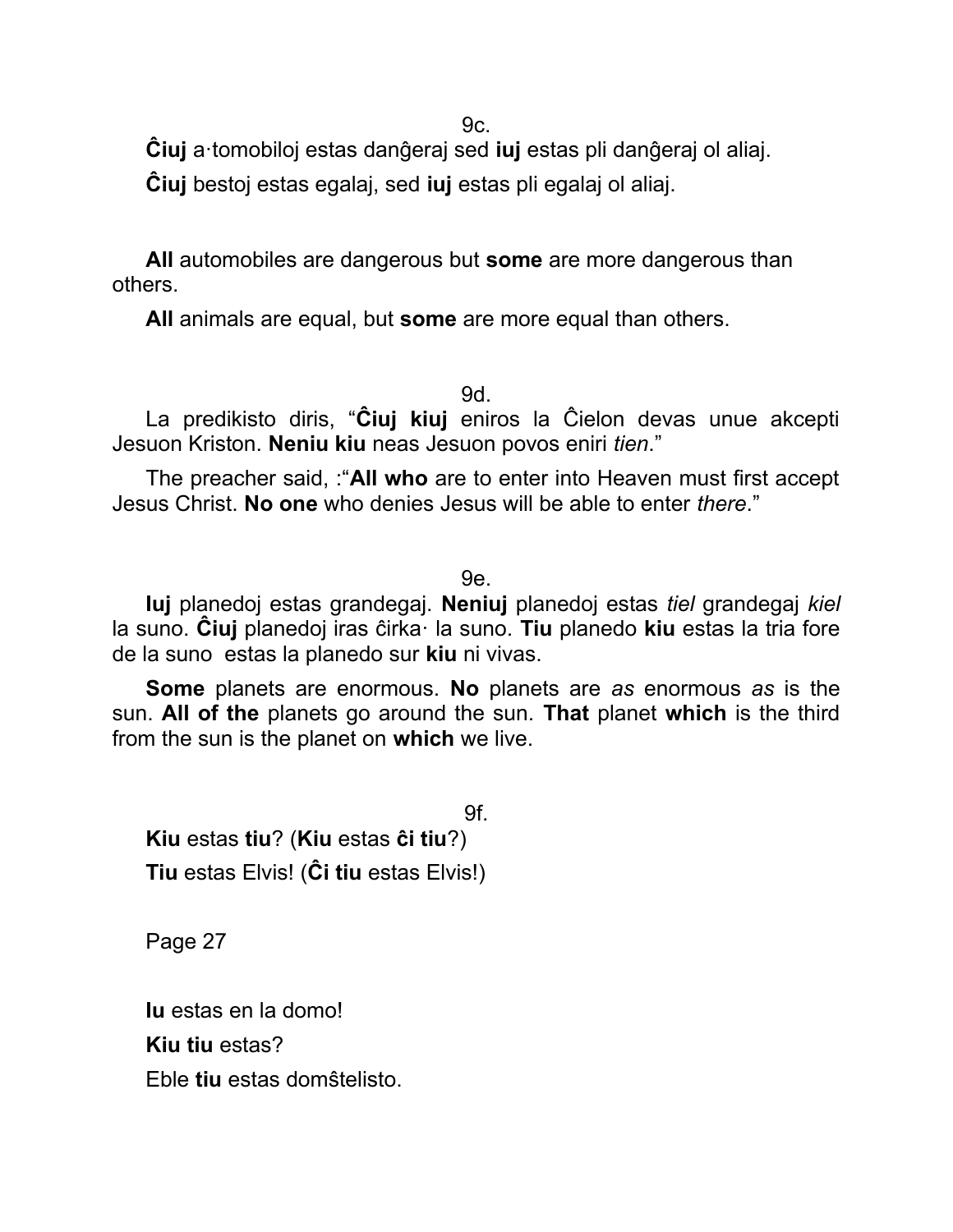9c.

**Ĉiuj** a·tomobiloj estas danĝeraj sed **iuj** estas pli danĝeraj ol aliaj.

**Ĉiuj** bestoj estas egalaj, sed **iuj** estas pli egalaj ol aliaj.

**All** automobiles are dangerous but **some** are more dangerous than others.

**All** animals are equal, but **some** are more equal than others.

9d.

La predikisto diris, "**Ĉiuj kiuj** eniros la Ĉielon devas unue akcepti Jesuon Kriston. **Neniu kiu** neas Jesuon povos eniri *tien*."

The preacher said, :"**All who** are to enter into Heaven must first accept Jesus Christ. **No one** who denies Jesus will be able to enter *there*."

9e.

**Iuj** planedoj estas grandegaj. **Neniuj** planedoj estas *tiel* grandegaj *kiel* la suno. **Ĉiuj** planedoj iras ĉirka· la suno. **Tiu** planedo **kiu** estas la tria fore de la suno estas la planedo sur **kiu** ni vivas.

**Some** planets are enormous. **No** planets are *as* enormous *as* is the sun. **All of the** planets go around the sun. **That** planet **which** is the third from the sun is the planet on **which** we live.

9f. **Kiu** estas **tiu**? (**Kiu** estas **ĉi tiu**?) **Tiu** estas Elvis! (**Ĉi tiu** estas Elvis!)

Page 27

**Iu** estas en la domo! **Kiu tiu** estas? Eble **tiu** estas domŝtelisto.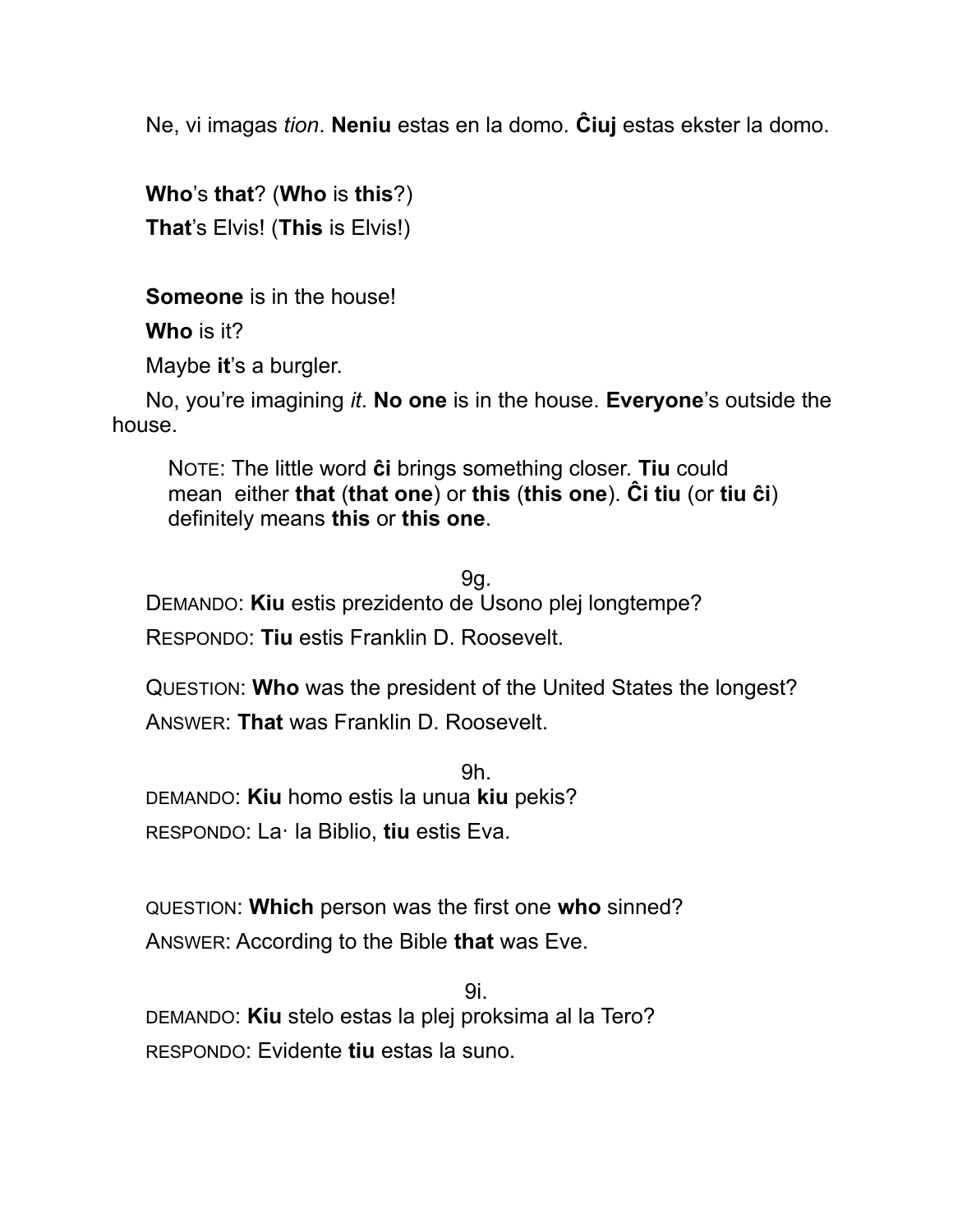Ne, vi imagas *tion*. **Neniu** estas en la domo. **Ĉiuj** estas ekster la domo.

**Who**'s **that**? (**Who** is **this**?) **That**'s Elvis! (**This** is Elvis!)

**Someone** is in the house!

**Who** is it?

Maybe **it**'s a burgler.

No, you're imagining *it*. **No one** is in the house. **Everyone**'s outside the house.

NOTE: The little word **ĉi** brings something closer. **Tiu** could mean either **that** (**that one**) or **this** (**this one**). **Ĉi tiu** (or **tiu ĉi**) definitely means **this** or **this one**.

9g. DEMANDO: **Kiu** estis prezidento de Usono plej longtempe? RESPONDO: **Tiu** estis Franklin D. Roosevelt.

QUESTION: **Who** was the president of the United States the longest? ANSWER: **That** was Franklin D. Roosevelt.

9h. DEMANDO: **Kiu** homo estis la unua **kiu** pekis? RESPONDO: La· la Biblio, **tiu** estis Eva.

QUESTION: **Which** person was the first one **who** sinned? ANSWER: According to the Bible **that** was Eve.

9i. DEMANDO: **Kiu** stelo estas la plej proksima al la Tero? RESPONDO: Evidente **tiu** estas la suno.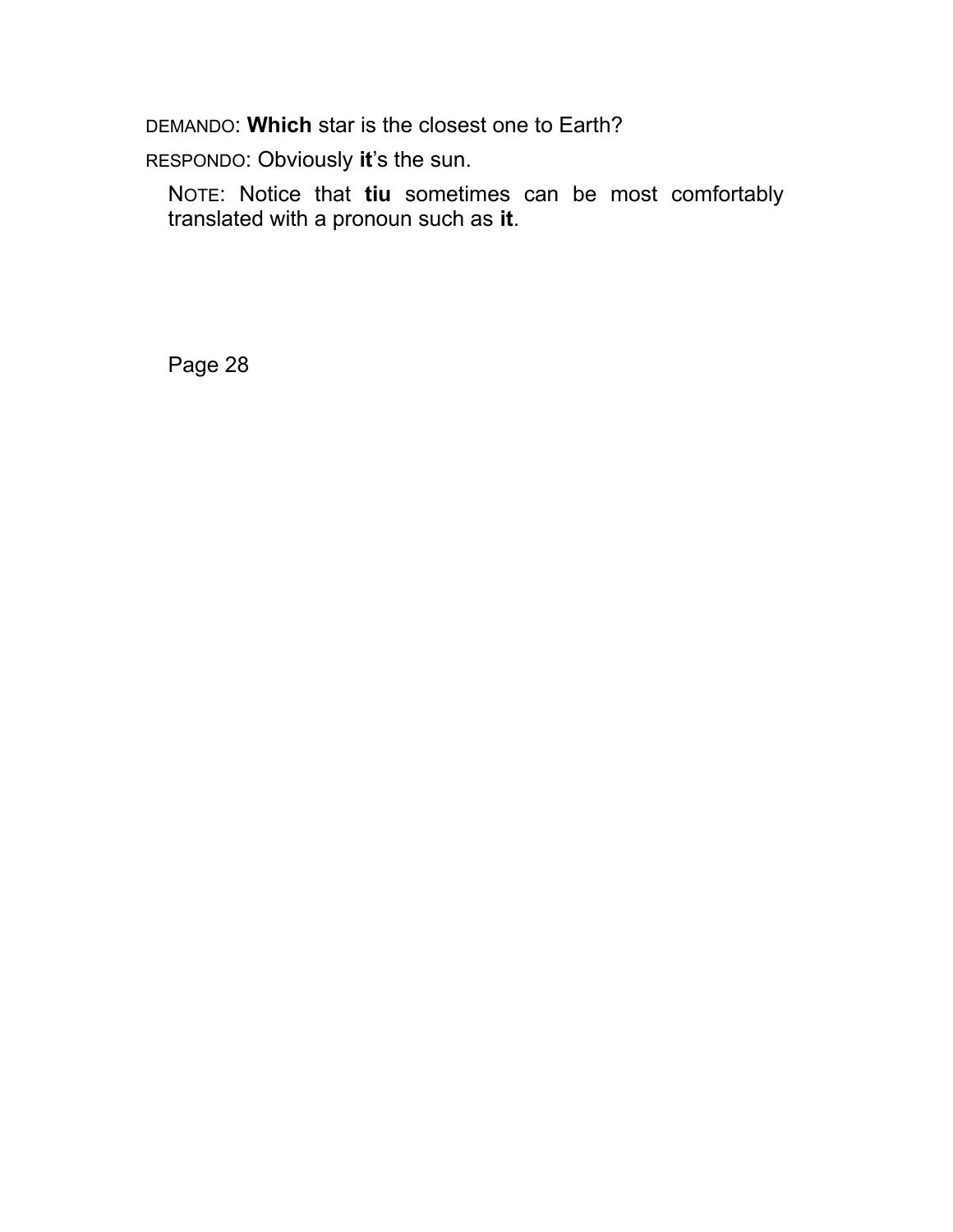DEMANDO: **Which** star is the closest one to Earth?

RESPONDO: Obviously **it**'s the sun.

NOTE: Notice that **tiu** sometimes can be most comfortably translated with a pronoun such as **it**.

Page 28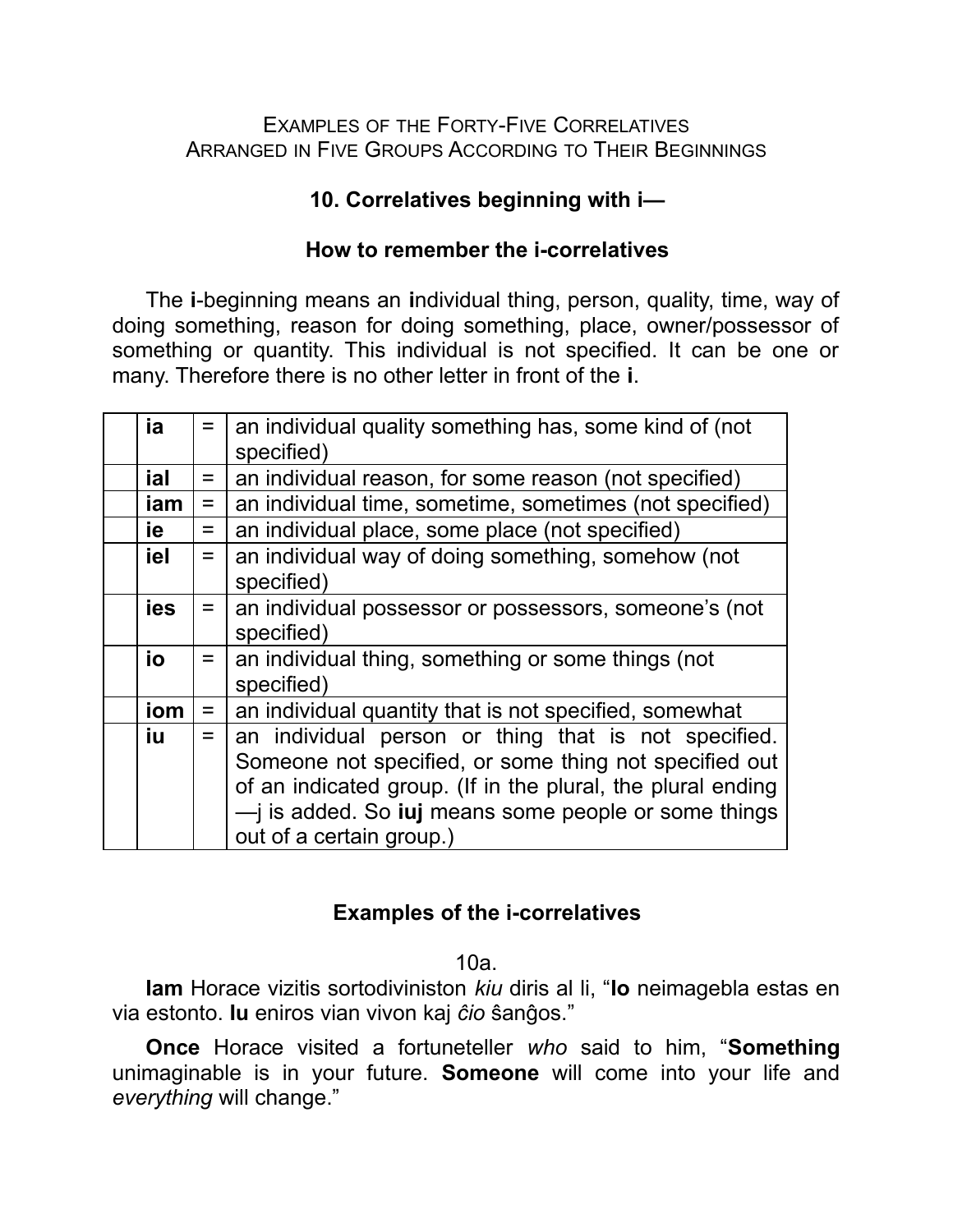#### EXAMPLES OF THE FORTY-FIVE CORRELATIVES ARRANGED IN FIVE GROUPS ACCORDING TO THEIR BEGINNINGS

## **10. Correlatives beginning with i—**

## **How to remember the i-correlatives**

The **i**-beginning means an **i**ndividual thing, person, quality, time, way of doing something, reason for doing something, place, owner/possessor of something or quantity. This individual is not specified. It can be one or many. Therefore there is no other letter in front of the **i**.

| ia  | $=$ | an individual quality something has, some kind of (not<br>specified)                                                                                                                                                                                                    |
|-----|-----|-------------------------------------------------------------------------------------------------------------------------------------------------------------------------------------------------------------------------------------------------------------------------|
| ial | $=$ | an individual reason, for some reason (not specified)                                                                                                                                                                                                                   |
| iam | $=$ | an individual time, sometime, sometimes (not specified)                                                                                                                                                                                                                 |
| ie  | $=$ | an individual place, some place (not specified)                                                                                                                                                                                                                         |
| iel | $=$ | an individual way of doing something, somehow (not<br>specified)                                                                                                                                                                                                        |
| ies |     | an individual possessor or possessors, someone's (not<br>specified)                                                                                                                                                                                                     |
| io  | $=$ | an individual thing, something or some things (not<br>specified)                                                                                                                                                                                                        |
| iom | $=$ | an individual quantity that is not specified, somewhat                                                                                                                                                                                                                  |
| iu  | $=$ | an individual person or thing that is not specified.<br>Someone not specified, or some thing not specified out<br>of an indicated group. (If in the plural, the plural ending<br>- is added. So <b>juj</b> means some people or some things<br>out of a certain group.) |

## **Examples of the i-correlatives**

10a.

**Iam** Horace vizitis sortodiviniston *kiu* diris al li, "**Io** neimagebla estas en via estonto. **Iu** eniros vian vivon kaj *ĉio* ŝanĝos."

**Once** Horace visited a fortuneteller *who* said to him, "**Something** unimaginable is in your future. **Someone** will come into your life and *everything* will change."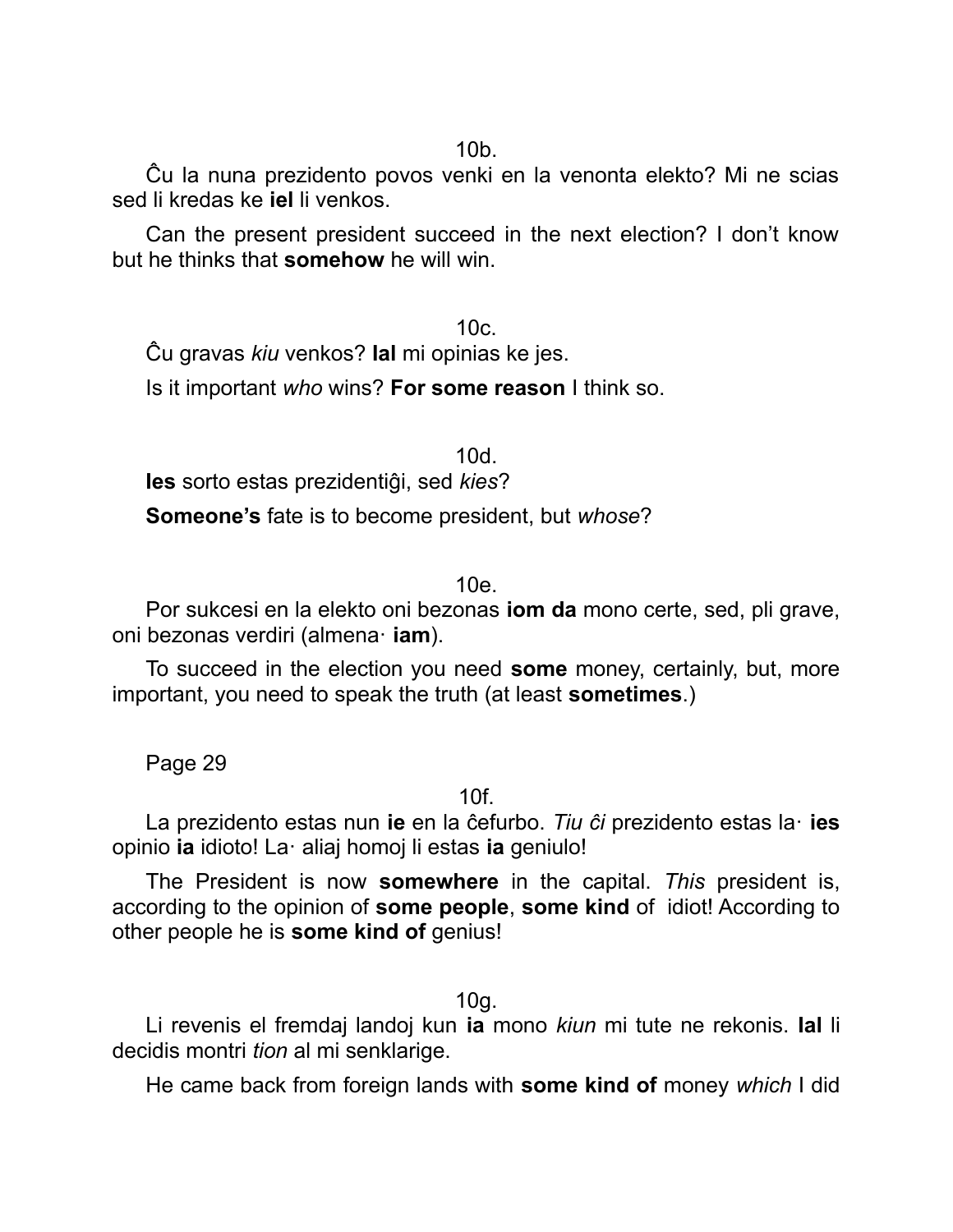Ĉu la nuna prezidento povos venki en la venonta elekto? Mi ne scias sed li kredas ke **iel** li venkos.

Can the present president succeed in the next election? I don't know but he thinks that **somehow** he will win.

 $10c$ Ĉu gravas *kiu* venkos? **Ial** mi opinias ke jes.

Is it important *who* wins? **For some reason** I think so.

10d. **Ies** sorto estas prezidentiĝi, sed *kies*?

**Someone's** fate is to become president, but *whose*?

10e.

Por sukcesi en la elekto oni bezonas **iom da** mono certe, sed, pli grave, oni bezonas verdiri (almena· **iam**).

To succeed in the election you need **some** money, certainly, but, more important, you need to speak the truth (at least **sometimes**.)

Page 29

10f.

La prezidento estas nun **ie** en la ĉefurbo. *Tiu ĉi* prezidento estas la· **ies** opinio **ia** idioto! La· aliaj homoj li estas **ia** geniulo!

The President is now **somewhere** in the capital. *This* president is, according to the opinion of **some people**, **some kind** of idiot! According to other people he is **some kind of** genius!

10g.

Li revenis el fremdaj landoj kun **ia** mono *kiun* mi tute ne rekonis. **Ial** li decidis montri *tion* al mi senklarige.

He came back from foreign lands with **some kind of** money *which* I did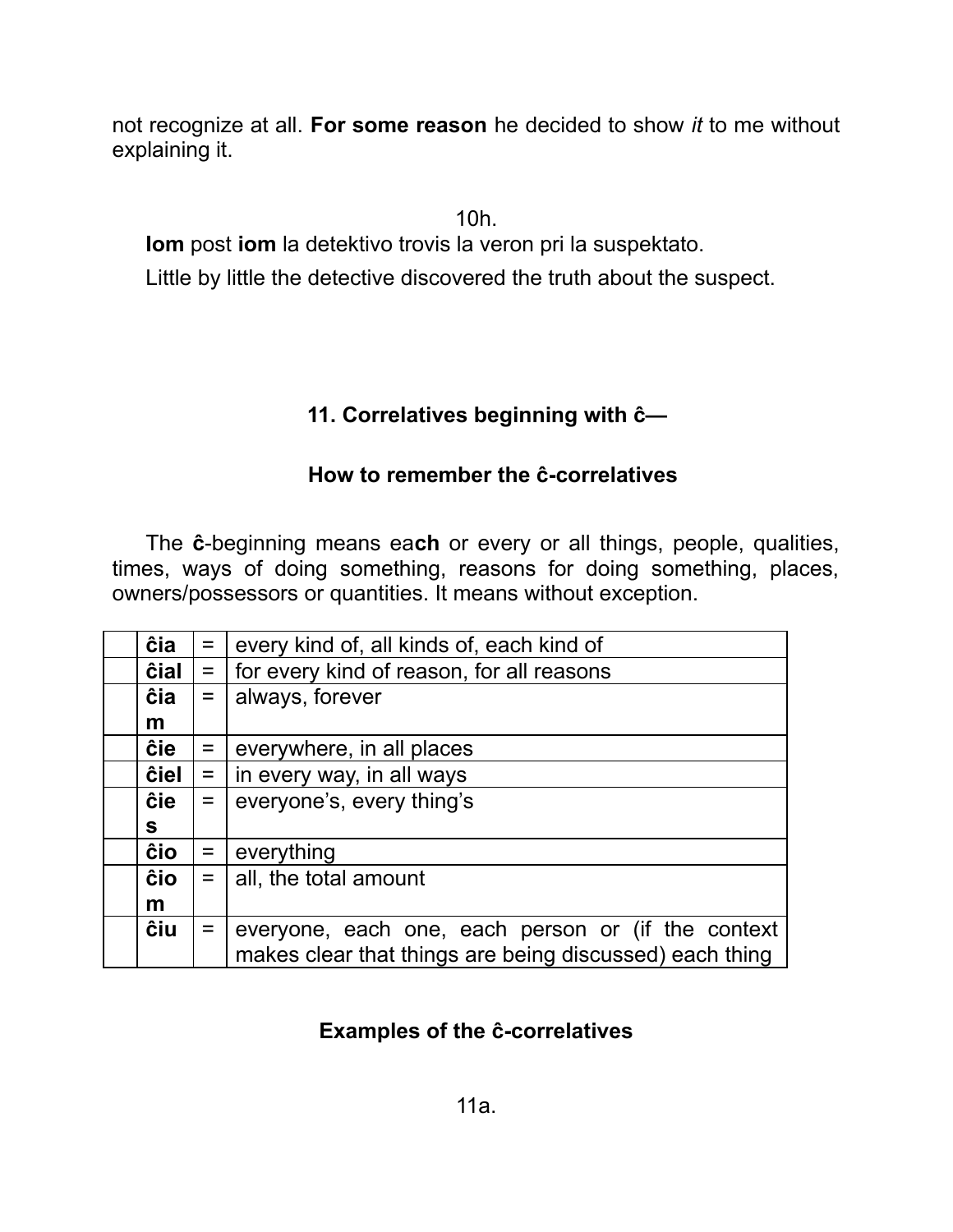not recognize at all. **For some reason** he decided to show *it* to me without explaining it.

10h.

**Iom** post **iom** la detektivo trovis la veron pri la suspektato.

Little by little the detective discovered the truth about the suspect.

## **11. Correlatives beginning with ĉ—**

## **How to remember the ĉ-correlatives**

The **ĉ**-beginning means ea**ch** or every or all things, people, qualities, times, ways of doing something, reasons for doing something, places, owners/possessors or quantities. It means without exception.

| ĉia  | $=$ $\vert$ | every kind of, all kinds of, each kind of               |
|------|-------------|---------------------------------------------------------|
| ĉial | $=$         | for every kind of reason, for all reasons               |
| ĉia  |             | $=  $ always, forever                                   |
| m    |             |                                                         |
| ĉie  | $=$         | everywhere, in all places                               |
| ĉiel |             | $=$   in every way, in all ways                         |
| ĉie  | $=$         | everyone's, every thing's                               |
| S.   |             |                                                         |
| ĉio  | $=$         | everything                                              |
| ĉio  | $=$         | all, the total amount                                   |
| m    |             |                                                         |
| ĉiu  | $=$         | everyone, each one, each person or (if the context      |
|      |             | makes clear that things are being discussed) each thing |

# **Examples of the ĉ-correlatives**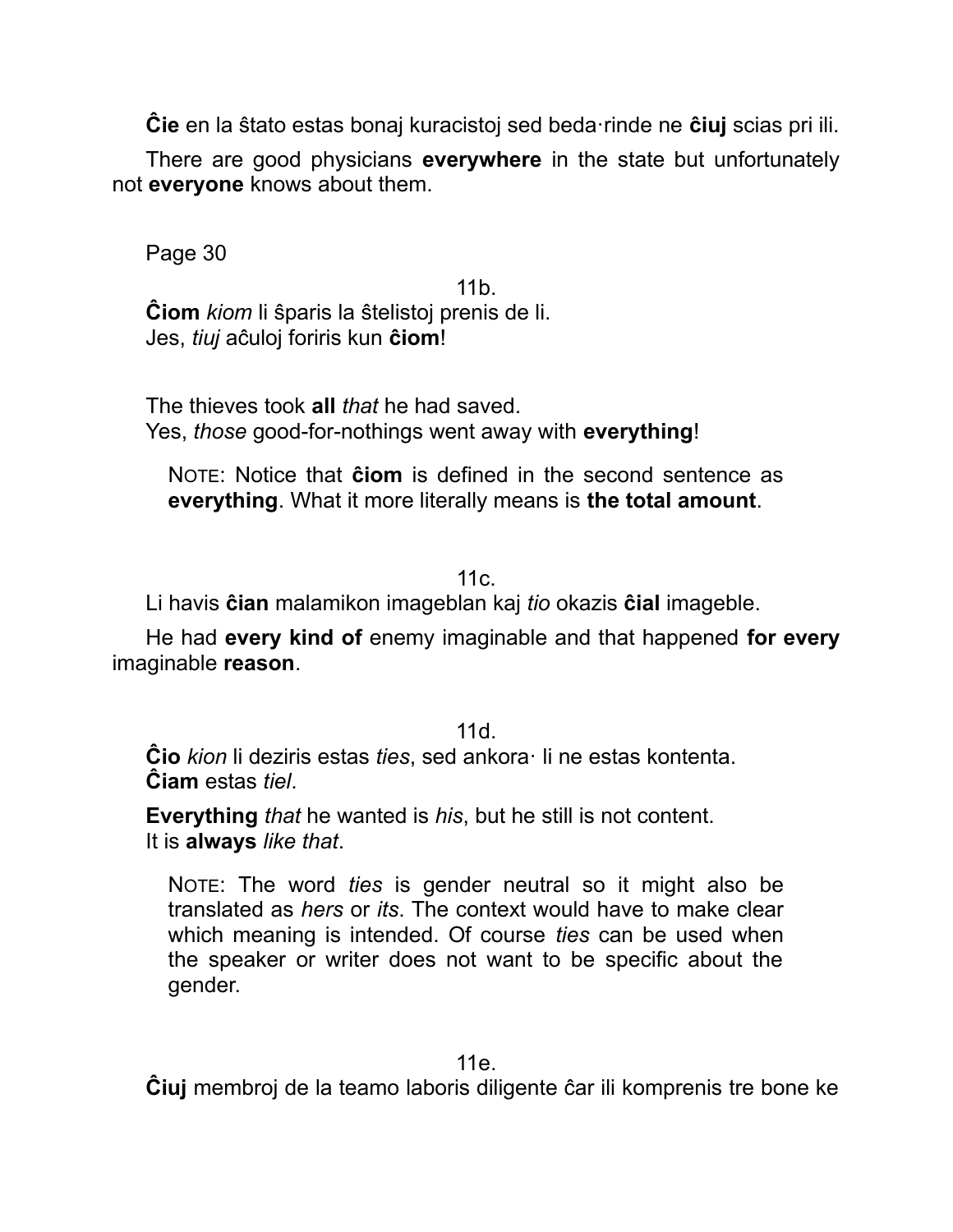**Ĉie** en la ŝtato estas bonaj kuracistoj sed beda·rinde ne **ĉiuj** scias pri ili.

There are good physicians **everywhere** in the state but unfortunately not **everyone** knows about them.

Page 30

11b. **Ĉiom** *kiom* li ŝparis la ŝtelistoj prenis de li. Jes, *tiuj* aĉuloj foriris kun **ĉiom**!

The thieves took **all** *that* he had saved. Yes, *those* good-for-nothings went away with **everything**!

NOTE: Notice that **ĉiom** is defined in the second sentence as **everything**. What it more literally means is **the total amount**.

11c.

Li havis **ĉian** malamikon imageblan kaj *tio* okazis **ĉial** imageble.

He had **every kind of** enemy imaginable and that happened **for every** imaginable **reason**.

11d.

**Ĉio** *kion* li deziris estas *ties*, sed ankora· li ne estas kontenta. **Ĉiam** estas *tiel*.

**Everything** *that* he wanted is *his*, but he still is not content. It is **always** *like that*.

NOTE: The word *ties* is gender neutral so it might also be translated as *hers* or *its*. The context would have to make clear which meaning is intended. Of course *ties* can be used when the speaker or writer does not want to be specific about the gender.

11e.

**Ĉiuj** membroj de la teamo laboris diligente ĉar ili komprenis tre bone ke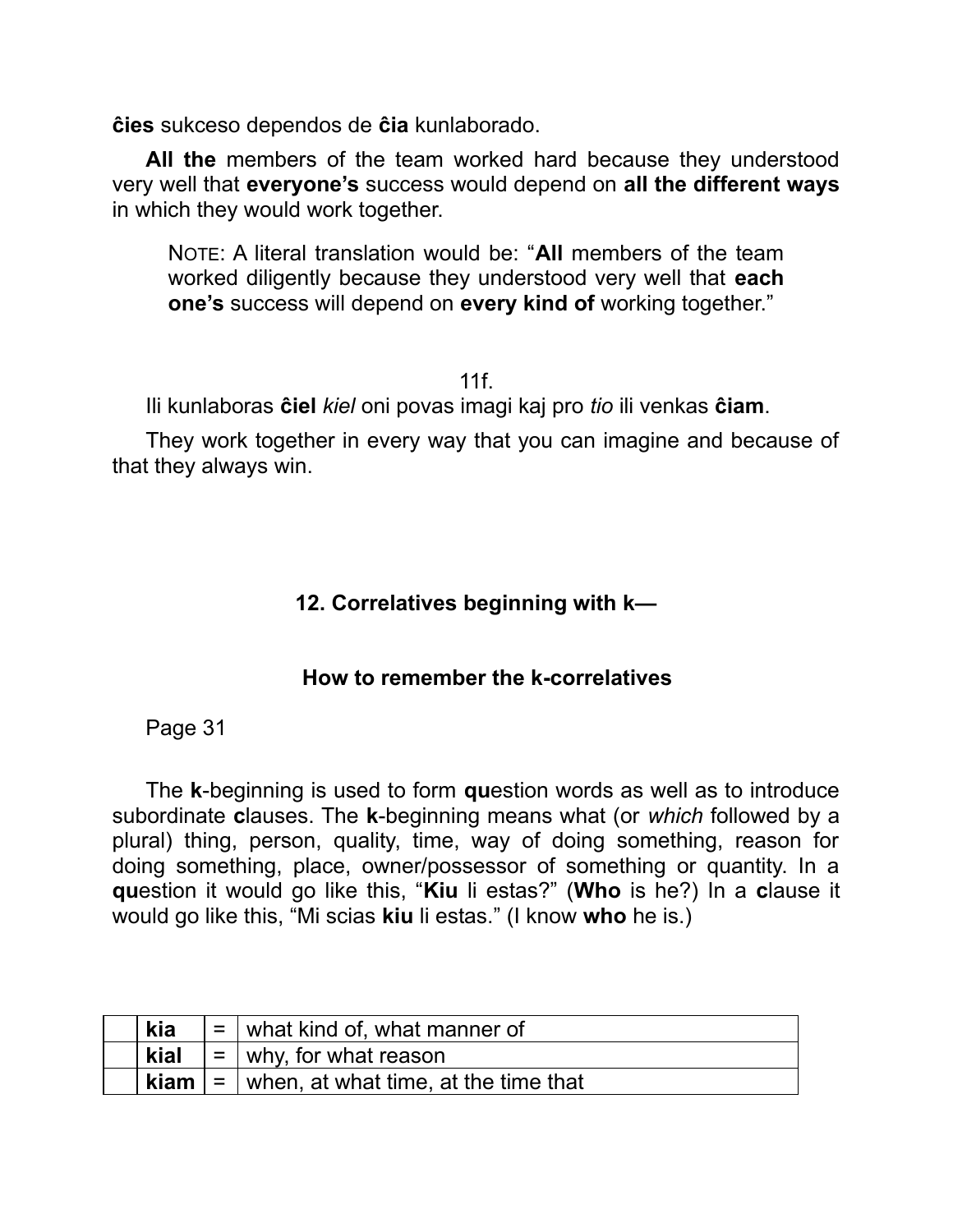**ĉies** sukceso dependos de **ĉia** kunlaborado.

**All the** members of the team worked hard because they understood very well that **everyone's** success would depend on **all the different ways** in which they would work together.

NOTE: A literal translation would be: "**All** members of the team worked diligently because they understood very well that **each one's** success will depend on **every kind of** working together."

11f.

Ili kunlaboras **ĉiel** *kiel* oni povas imagi kaj pro *tio* ili venkas **ĉiam**.

They work together in every way that you can imagine and because of that they always win.

### **12. Correlatives beginning with k—**

### **How to remember the k-correlatives**

Page 31

The **k**-beginning is used to form **qu**estion words as well as to introduce subordinate **c**lauses. The **k**-beginning means what (or *which* followed by a plural) thing, person, quality, time, way of doing something, reason for doing something, place, owner/possessor of something or quantity. In a **qu**estion it would go like this, "**Kiu** li estas?" (**Who** is he?) In a **c**lause it would go like this, "Mi scias **kiu** li estas." (I know **who** he is.)

| kia  | $=$ what kind of, what manner of                                   |
|------|--------------------------------------------------------------------|
| kial | $\vert$ = $\vert$ why, for what reason                             |
|      | <b>kiam</b> $\vert$ = $\vert$ when, at what time, at the time that |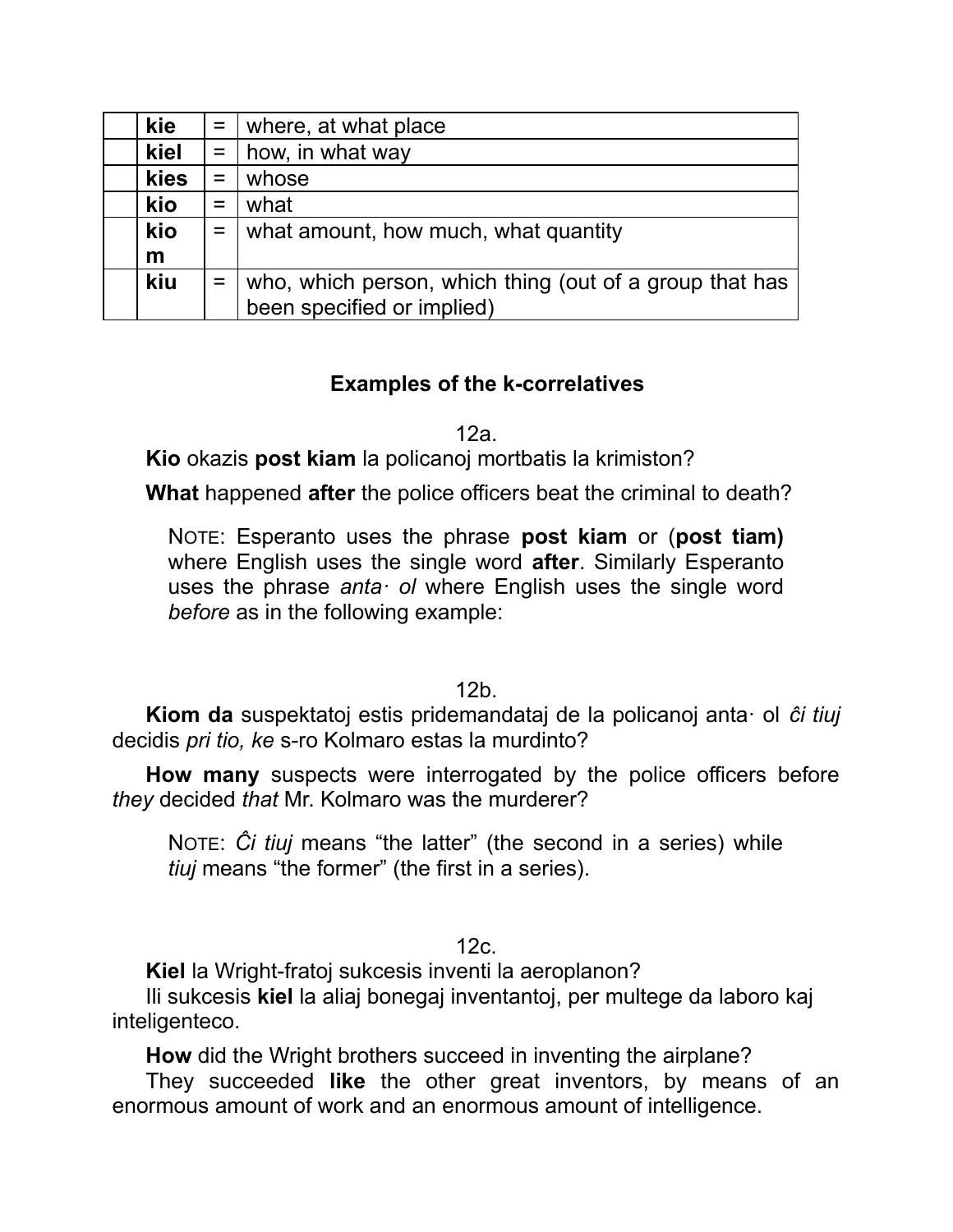| kie  | $=$ | where, at what place                                    |
|------|-----|---------------------------------------------------------|
| kiel | $=$ | how, in what way                                        |
| kies | $=$ | whose                                                   |
| kio  | $=$ | what                                                    |
| kio  | $=$ | what amount, how much, what quantity                    |
| m    |     |                                                         |
| kiu  | $=$ | who, which person, which thing (out of a group that has |
|      |     | been specified or implied)                              |

## **Examples of the k-correlatives**

12a.

**Kio** okazis **post kiam** la policanoj mortbatis la krimiston?

**What** happened **after** the police officers beat the criminal to death?

NOTE: Esperanto uses the phrase **post kiam** or (**post tiam)** where English uses the single word **after**. Similarly Esperanto uses the phrase *anta· ol* where English uses the single word *before* as in the following example:

12b.

**Kiom da** suspektatoj estis pridemandataj de la policanoj anta· ol *ĉi tiuj* decidis *pri tio, ke* s-ro Kolmaro estas la murdinto?

**How many** suspects were interrogated by the police officers before *they* decided *that* Mr. Kolmaro was the murderer?

NOTE: *Ĉi tiuj* means "the latter" (the second in a series) while *tiuj* means "the former" (the first in a series).

12c.

**Kiel** la Wright-fratoj sukcesis inventi la aeroplanon?

Ili sukcesis **kiel** la aliaj bonegaj inventantoj, per multege da laboro kaj inteligenteco.

**How** did the Wright brothers succeed in inventing the airplane?

They succeeded **like** the other great inventors, by means of an enormous amount of work and an enormous amount of intelligence.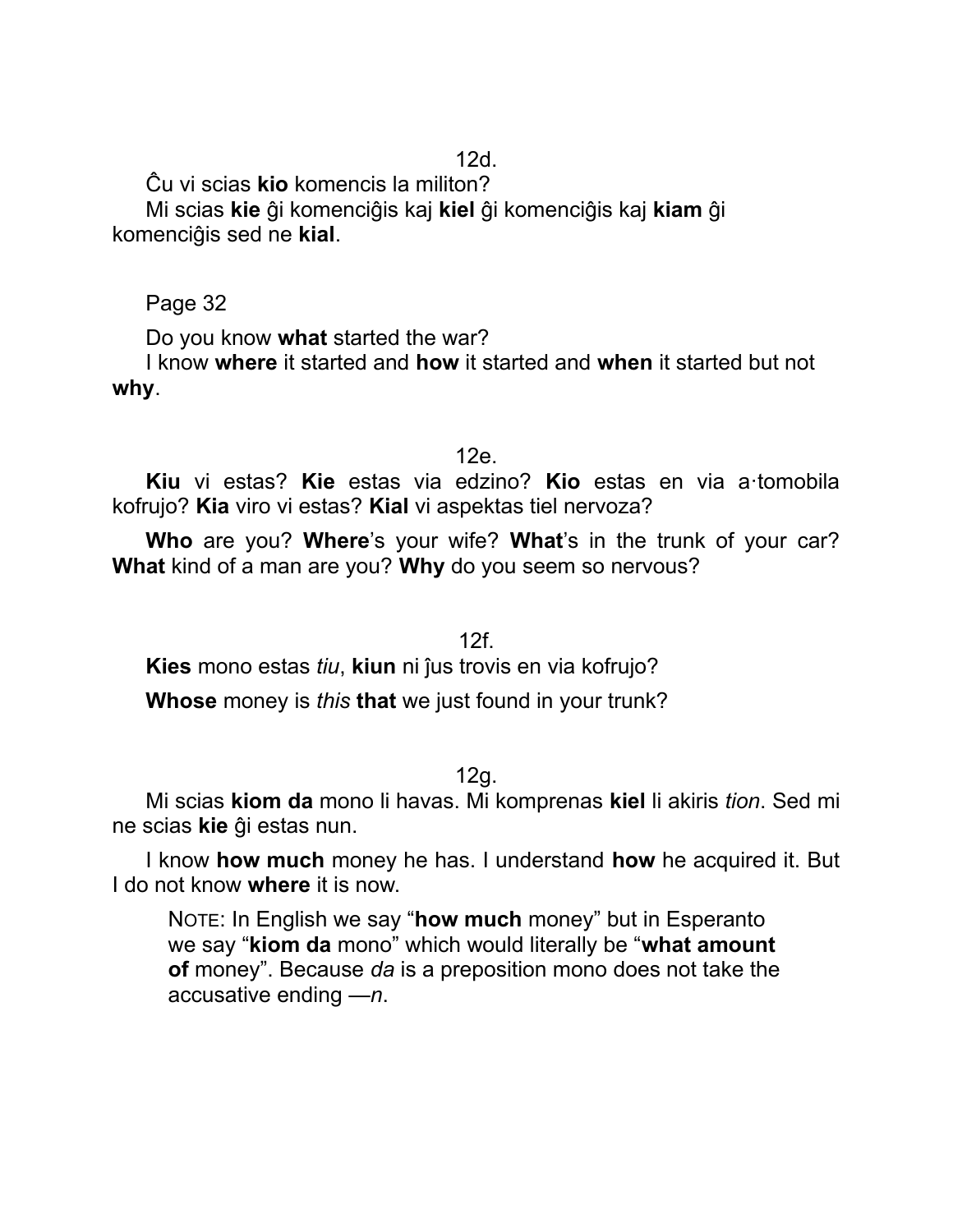Ĉu vi scias **kio** komencis la militon?

Mi scias **kie** ĝi komenciĝis kaj **kiel** ĝi komenciĝis kaj **kiam** ĝi komenciĝis sed ne **kial**.

Page 32

Do you know **what** started the war?

I know **where** it started and **how** it started and **when** it started but not **why**.

12e.

**Kiu** vi estas? **Kie** estas via edzino? **Kio** estas en via a·tomobila kofrujo? **Kia** viro vi estas? **Kial** vi aspektas tiel nervoza?

**Who** are you? **Where**'s your wife? **What**'s in the trunk of your car? **What** kind of a man are you? **Why** do you seem so nervous?

12f.

**Kies** mono estas *tiu*, **kiun** ni ĵus trovis en via kofrujo?

**Whose** money is *this* **that** we just found in your trunk?

12g.

Mi scias **kiom da** mono li havas. Mi komprenas **kiel** li akiris *tion*. Sed mi ne scias **kie** ĝi estas nun.

I know **how much** money he has. I understand **how** he acquired it. But I do not know **where** it is now.

NOTE: In English we say "**how much** money" but in Esperanto we say "**kiom da** mono" which would literally be "**what amount of** money". Because *da* is a preposition mono does not take the accusative ending *—n*.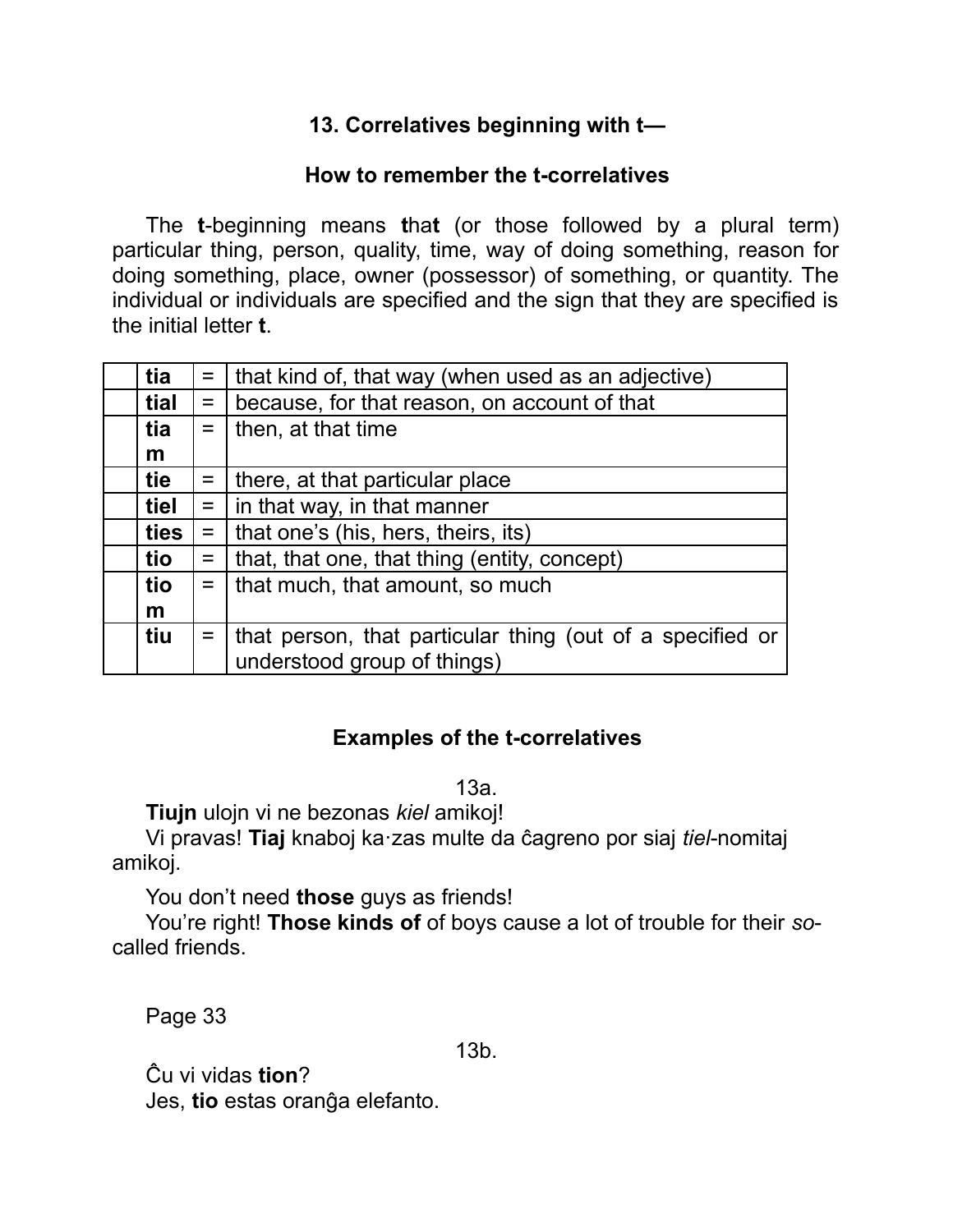## **13. Correlatives beginning with t—**

#### **How to remember the t-correlatives**

The **t**-beginning means **t**ha**t** (or those followed by a plural term) particular thing, person, quality, time, way of doing something, reason for doing something, place, owner (possessor) of something, or quantity. The individual or individuals are specified and the sign that they are specified is the initial letter **t**.

| tia  |     | $=$   that kind of, that way (when used as an adjective)  |
|------|-----|-----------------------------------------------------------|
| tial | $=$ | because, for that reason, on account of that              |
| tia  |     | $=$   then, at that time                                  |
| m    |     |                                                           |
| tie  |     | $=$   there, at that particular place                     |
| tiel |     | $=$   in that way, in that manner                         |
| ties |     | $=$   that one's (his, hers, theirs, its)                 |
| tio  | $=$ | that, that one, that thing (entity, concept)              |
| tio  |     | $=$   that much, that amount, so much                     |
| m    |     |                                                           |
| tiu  | $=$ | that person, that particular thing (out of a specified or |
|      |     | understood group of things)                               |

## **Examples of the t-correlatives**

13a.

**Tiujn** ulojn vi ne bezonas *kiel* amikoj!

Vi pravas! **Tiaj** knaboj ka·zas multe da ĉagreno por siaj *tiel*-nomitaj amikoj.

You don't need **those** guys as friends!

You're right! **Those kinds of** of boys cause a lot of trouble for their *so*called friends.

Page 33

13b.

Ĉu vi vidas **tion**? Jes, **tio** estas oranĝa elefanto.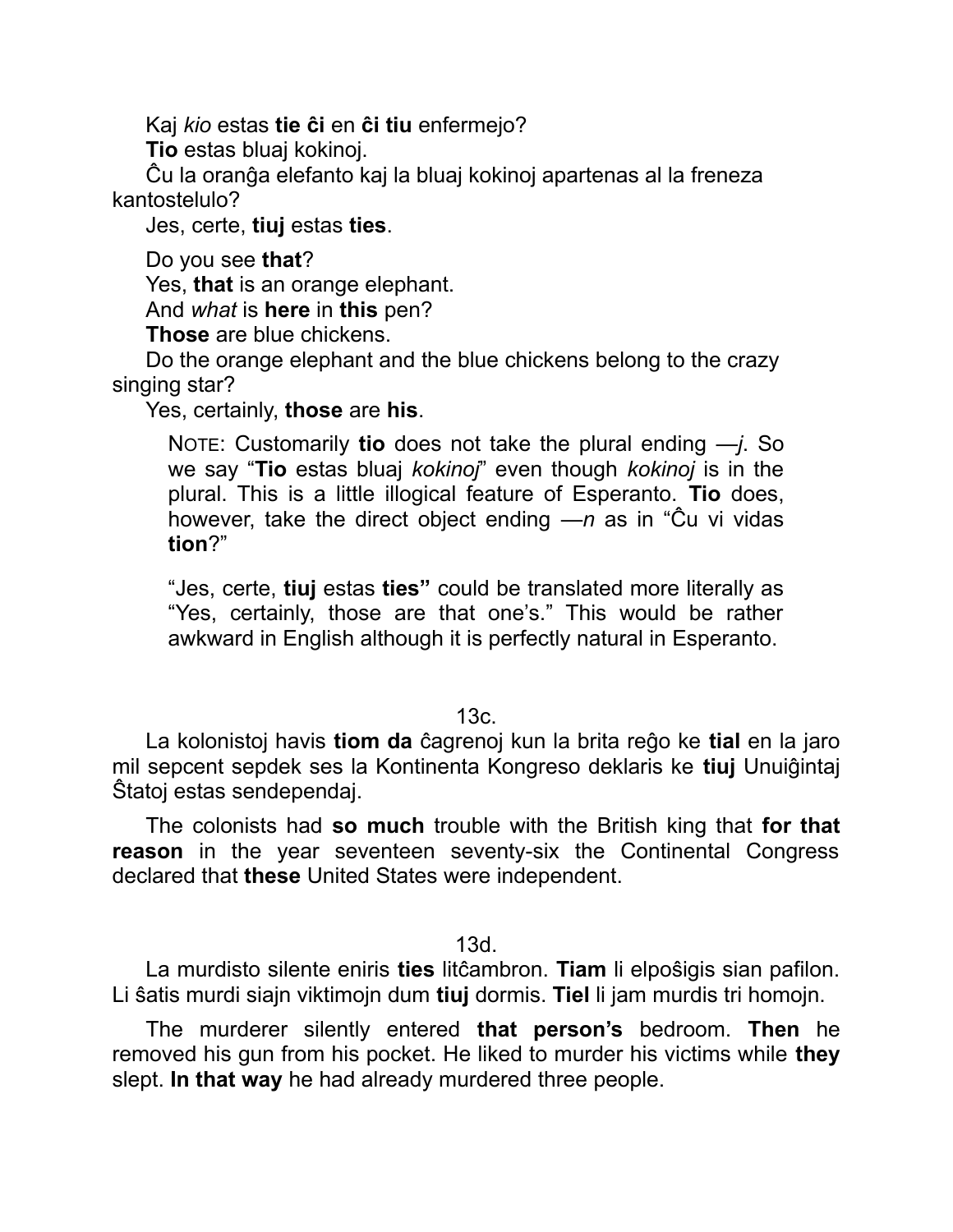Kaj *kio* estas **tie ĉi** en **ĉi tiu** enfermejo?

**Tio** estas bluaj kokinoj.

Ĉu la oranĝa elefanto kaj la bluaj kokinoj apartenas al la freneza kantostelulo?

Jes, certe, **tiuj** estas **ties**.

Do you see **that**?

Yes, **that** is an orange elephant.

And *what* is **here** in **this** pen?

**Those** are blue chickens.

Do the orange elephant and the blue chickens belong to the crazy singing star?

Yes, certainly, **those** are **his**.

NOTE: Customarily **tio** does not take the plural ending *—j*. So we say "**Tio** estas bluaj *kokinoj*" even though *kokinoj* is in the plural. This is a little illogical feature of Esperanto. **Tio** does, however, take the direct object ending *—n* as in "Ĉu vi vidas **tion**?"

"Jes, certe, **tiuj** estas **ties"** could be translated more literally as "Yes, certainly, those are that one's." This would be rather awkward in English although it is perfectly natural in Esperanto.

13c.

La kolonistoj havis **tiom da** ĉagrenoj kun la brita reĝo ke **tial** en la jaro mil sepcent sepdek ses la Kontinenta Kongreso deklaris ke **tiuj** Unuiĝintaj Ŝtatoj estas sendependaj.

The colonists had **so much** trouble with the British king that **for that reason** in the year seventeen seventy-six the Continental Congress declared that **these** United States were independent.

13d.

La murdisto silente eniris **ties** litĉambron. **Tiam** li elpoŝigis sian pafilon. Li ŝatis murdi siajn viktimojn dum **tiuj** dormis. **Tiel** li jam murdis tri homojn.

The murderer silently entered **that person's** bedroom. **Then** he removed his gun from his pocket. He liked to murder his victims while **they** slept. **In that way** he had already murdered three people.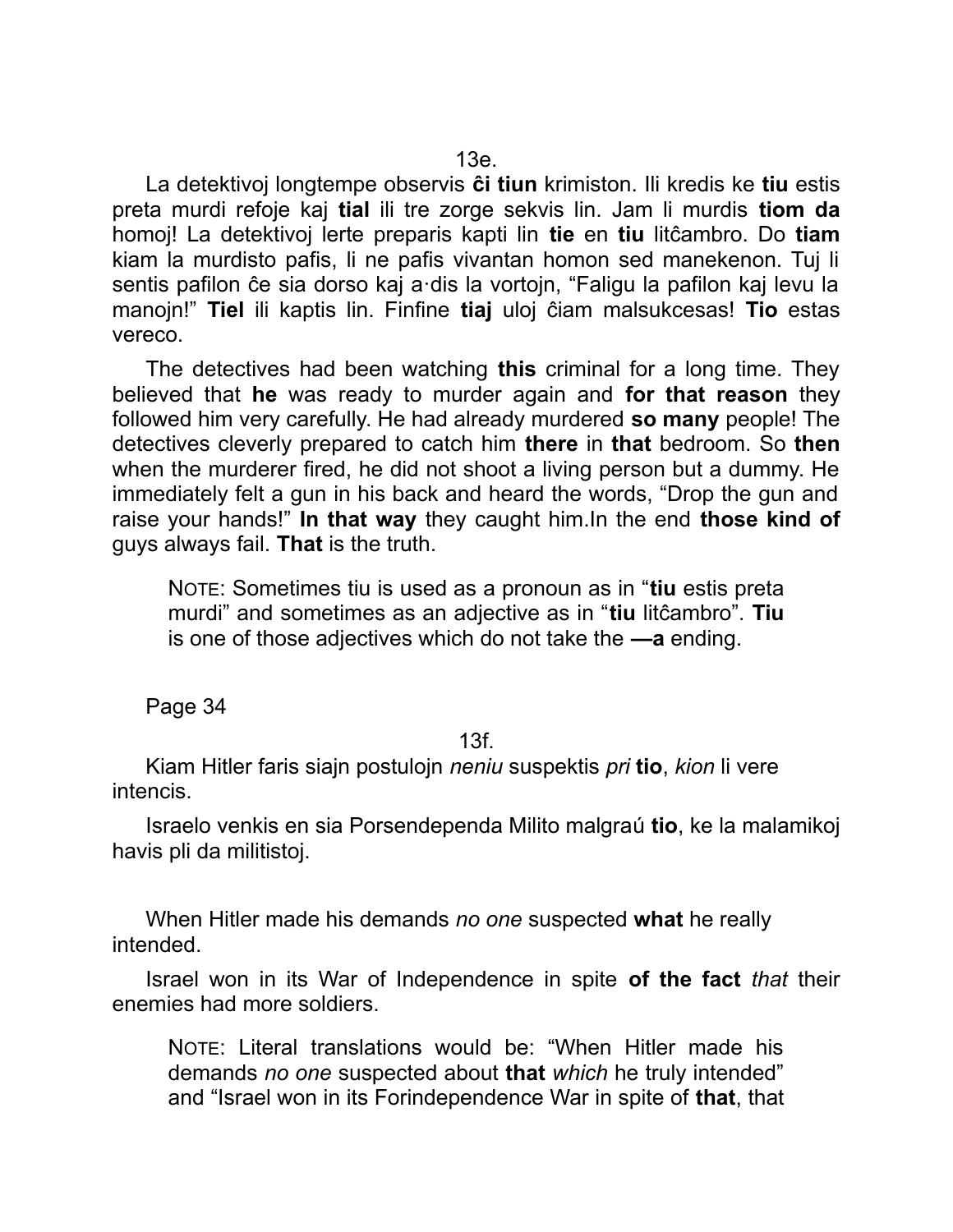La detektivoj longtempe observis **ĉi tiun** krimiston. Ili kredis ke **tiu** estis preta murdi refoje kaj **tial** ili tre zorge sekvis lin. Jam li murdis **tiom da** homoj! La detektivoj lerte preparis kapti lin **tie** en **tiu** litĉambro. Do **tiam** kiam la murdisto pafis, li ne pafis vivantan homon sed manekenon. Tuj li sentis pafilon ĉe sia dorso kaj a·dis la vortojn, "Faligu la pafilon kaj levu la manojn!" **Tiel** ili kaptis lin. Finfine **tiaj** uloj ĉiam malsukcesas! **Tio** estas vereco.

The detectives had been watching **this** criminal for a long time. They believed that **he** was ready to murder again and **for that reason** they followed him very carefully. He had already murdered **so many** people! The detectives cleverly prepared to catch him **there** in **that** bedroom. So **then** when the murderer fired, he did not shoot a living person but a dummy. He immediately felt a gun in his back and heard the words, "Drop the gun and raise your hands!" **In that way** they caught him.In the end **those kind of** guys always fail. **That** is the truth.

NOTE: Sometimes tiu is used as a pronoun as in "**tiu** estis preta murdi" and sometimes as an adjective as in "**tiu** litĉambro". **Tiu** is one of those adjectives which do not take the **—a** ending.

Page 34

#### 13f.

Kiam Hitler faris siajn postulojn *neniu* suspektis *pri* **tio**, *kion* li vere intencis.

Israelo venkis en sia Porsendependa Milito malgraú **tio**, ke la malamikoj havis pli da militistoj.

When Hitler made his demands *no one* suspected **what** he really intended.

Israel won in its War of Independence in spite **of the fact** *that* their enemies had more soldiers.

NOTE: Literal translations would be: "When Hitler made his demands *no one* suspected about **that** *which* he truly intended" and "Israel won in its Forindependence War in spite of **that**, that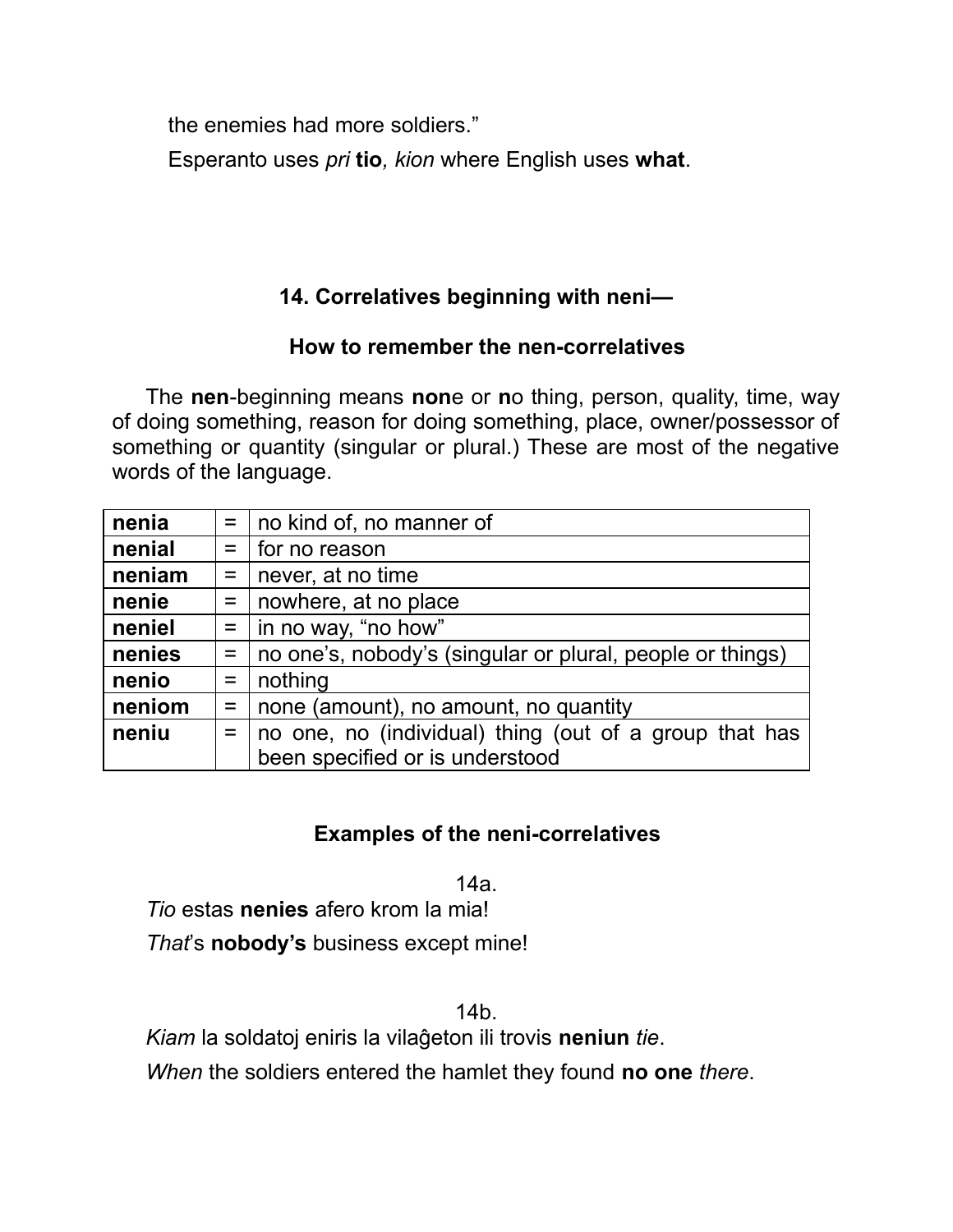the enemies had more soldiers."

Esperanto uses *pri* **tio***, kion* where English uses **what**.

# **14. Correlatives beginning with neni—**

## **How to remember the nen-correlatives**

The **nen**-beginning means **non**e or **n**o thing, person, quality, time, way of doing something, reason for doing something, place, owner/possessor of something or quantity (singular or plural.) These are most of the negative words of the language.

| nenia  |                    | $=$   no kind of, no manner of                            |
|--------|--------------------|-----------------------------------------------------------|
| nenial |                    | $=$   for no reason                                       |
| neniam | $=$ $\Box$         | never, at no time                                         |
| nenie  | $=$ $\Box$         | nowhere, at no place                                      |
| neniel |                    | $=$   in no way, "no how"                                 |
| nenies | $=$ $\overline{ }$ | no one's, nobody's (singular or plural, people or things) |
| nenio  | $=$                | nothing                                                   |
| neniom | $=$                | none (amount), no amount, no quantity                     |
| neniu  | $=$                | no one, no (individual) thing (out of a group that has    |
|        |                    | been specified or is understood                           |

# **Examples of the neni-correlatives**

14a.

*Tio* estas **nenies** afero krom la mia! *That*'s **nobody's** business except mine!

14b.

*Kiam* la soldatoj eniris la vilaĝeton ili trovis **neniun** *tie*.

*When* the soldiers entered the hamlet they found **no one** *there*.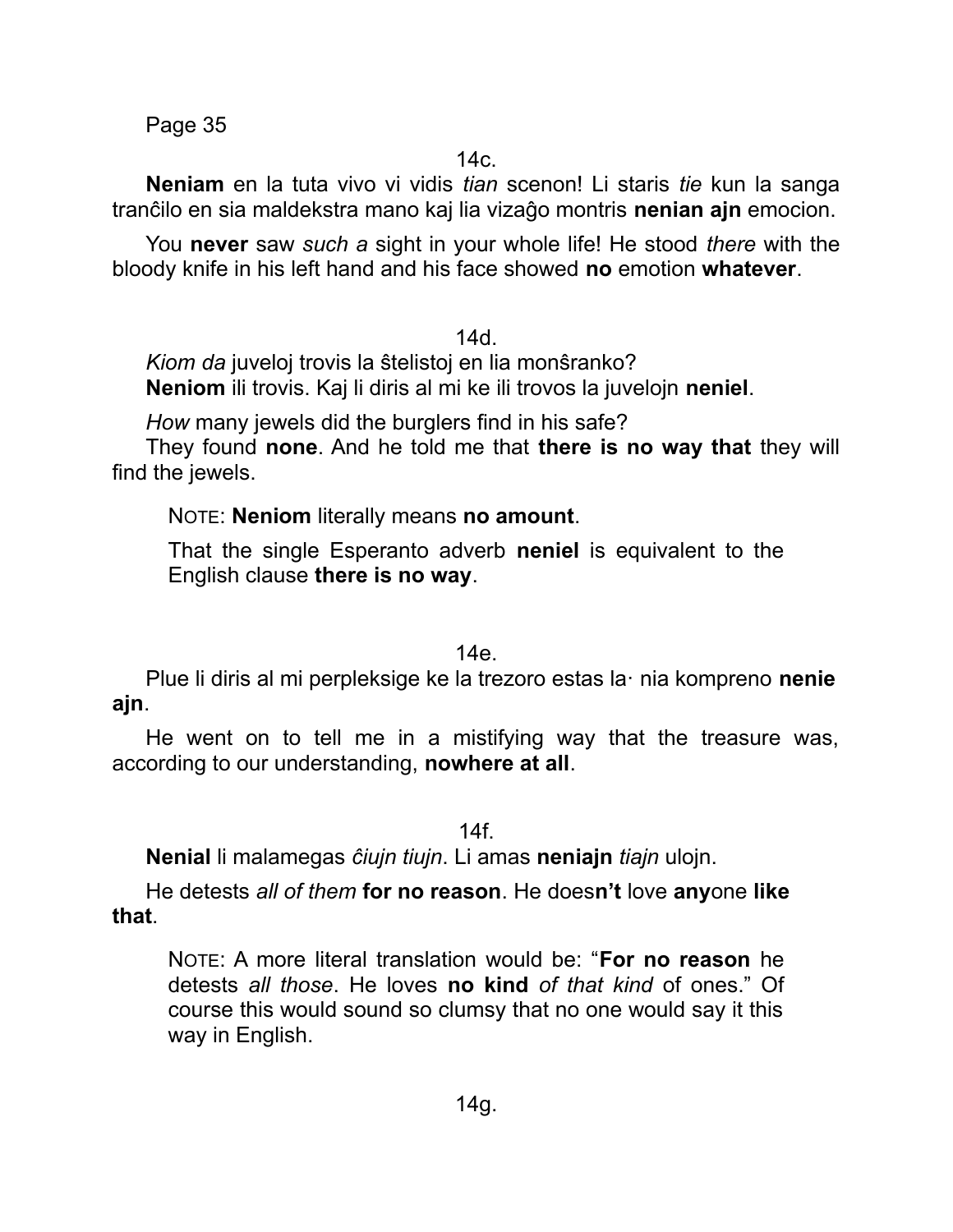Page 35

 $14c.$ 

**Neniam** en la tuta vivo vi vidis *tian* scenon! Li staris *tie* kun la sanga tranĉilo en sia maldekstra mano kaj lia vizaĝo montris **nenian ajn** emocion.

You **never** saw *such a* sight in your whole life! He stood *there* with the bloody knife in his left hand and his face showed **no** emotion **whatever**.

14d.

*Kiom da* juveloj trovis la ŝtelistoj en lia monŝranko? **Neniom** ili trovis. Kaj li diris al mi ke ili trovos la juvelojn **neniel**.

*How* many jewels did the burglers find in his safe?

They found **none**. And he told me that **there is no way that** they will find the jewels.

NOTE: **Neniom** literally means **no amount**.

That the single Esperanto adverb **neniel** is equivalent to the English clause **there is no way**.

14e.

Plue li diris al mi perpleksige ke la trezoro estas la· nia kompreno **nenie ajn**.

He went on to tell me in a mistifying way that the treasure was, according to our understanding, **nowhere at all**.

14f.

**Nenial** li malamegas *ĉiujn tiujn*. Li amas **neniajn** *tiajn* ulojn.

He detests *all of them* **for no reason**. He does**n't** love **any**one **like that**.

NOTE: A more literal translation would be: "**For no reason** he detests *all those*. He loves **no kind** *of that kind* of ones." Of course this would sound so clumsy that no one would say it this way in English.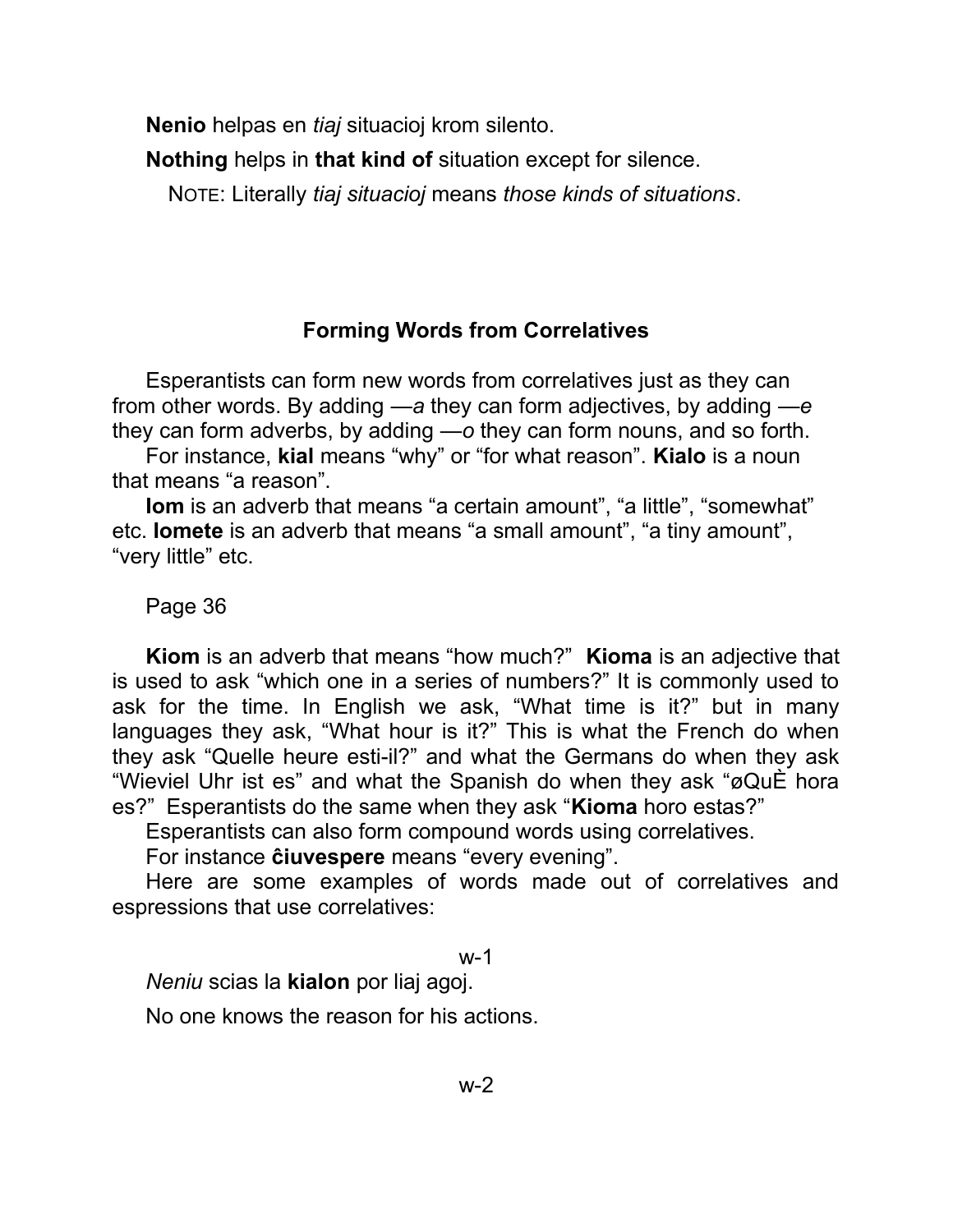**Nenio** helpas en *tiaj* situacioj krom silento.

**Nothing** helps in **that kind of** situation except for silence.

NOTE: Literally *tiaj situacioj* means *those kinds of situations*.

## **Forming Words from Correlatives**

Esperantists can form new words from correlatives just as they can from other words. By adding *—a* they can form adjectives, by adding *—e* they can form adverbs, by adding *—o* they can form nouns, and so forth.

For instance, **kial** means "why" or "for what reason". **Kialo** is a noun that means "a reason".

**Iom** is an adverb that means "a certain amount", "a little", "somewhat" etc. **Iomete** is an adverb that means "a small amount", "a tiny amount", "very little" etc.

### Page 36

**Kiom** is an adverb that means "how much?" **Kioma** is an adjective that is used to ask "which one in a series of numbers?" It is commonly used to ask for the time. In English we ask, "What time is it?" but in many languages they ask, "What hour is it?" This is what the French do when they ask "Quelle heure esti-il?" and what the Germans do when they ask "Wieviel Uhr ist es" and what the Spanish do when they ask "øQuÈ hora es?" Esperantists do the same when they ask "**Kioma** horo estas?"

Esperantists can also form compound words using correlatives.

For instance **ĉiuvespere** means "every evening".

Here are some examples of words made out of correlatives and espressions that use correlatives:

#### w-1

*Neniu* scias la **kialon** por liaj agoj.

No one knows the reason for his actions.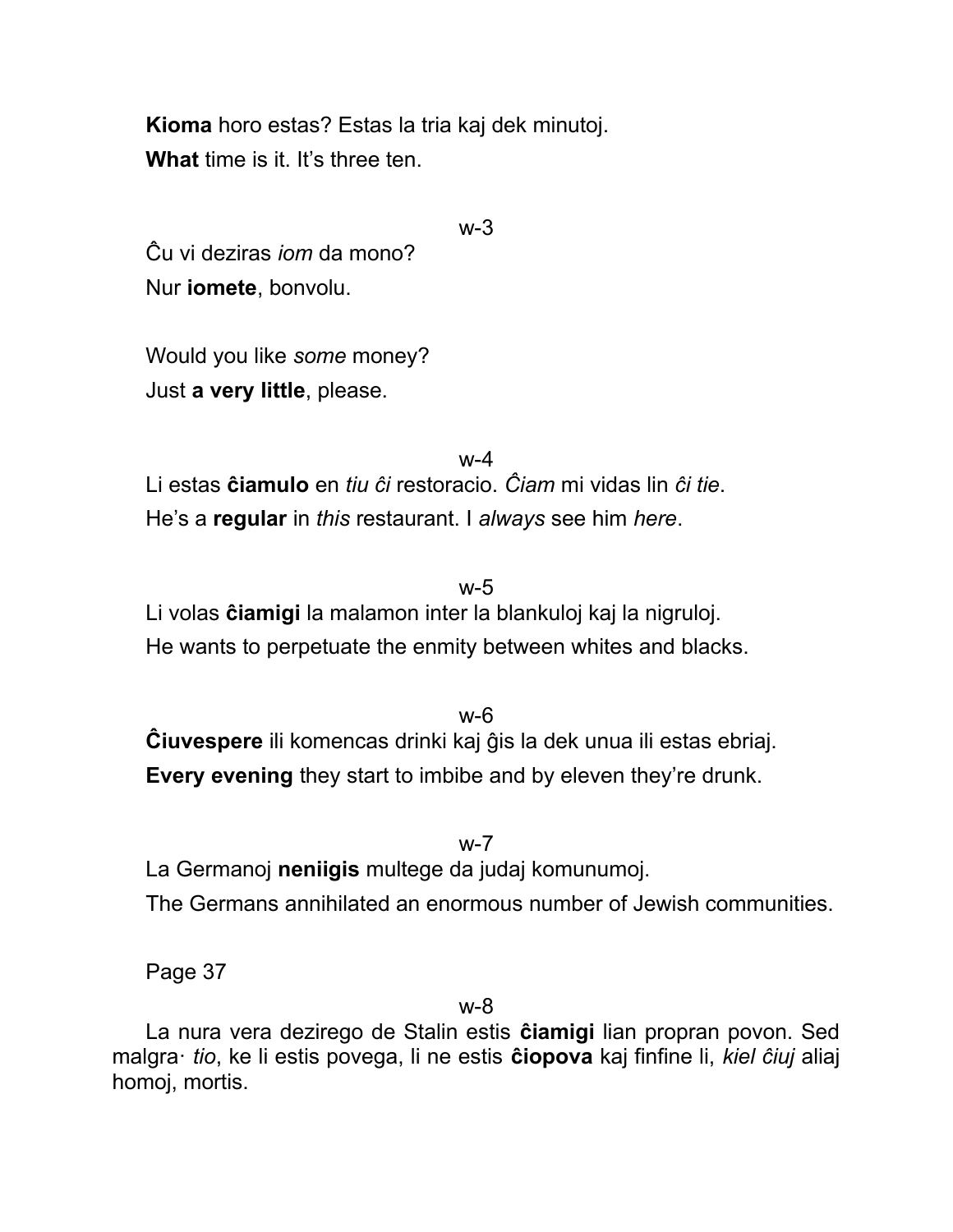**Kioma** horo estas? Estas la tria kaj dek minutoj. **What** time is it. It's three ten.

w-3

Ĉu vi deziras *iom* da mono? Nur **iomete**, bonvolu.

Would you like *some* money? Just **a very little**, please.

 $w-4$ Li estas **ĉiamulo** en *tiu ĉi* restoracio. *Ĉiam* mi vidas lin *ĉi tie*. He's a **regular** in *this* restaurant. I *always* see him *here*.

w-5

Li volas **ĉiamigi** la malamon inter la blankuloj kaj la nigruloj. He wants to perpetuate the enmity between whites and blacks.

w-6 **Ĉiuvespere** ili komencas drinki kaj ĝis la dek unua ili estas ebriaj. **Every evening** they start to imbibe and by eleven they're drunk.

w-7 La Germanoj **neniigis** multege da judaj komunumoj. The Germans annihilated an enormous number of Jewish communities.

Page 37

w-8

La nura vera dezirego de Stalin estis **ĉiamigi** lian propran povon. Sed malgra· *tio*, ke li estis povega, li ne estis **ĉiopova** kaj finfine li, *kiel ĉiuj* aliaj homoj, mortis.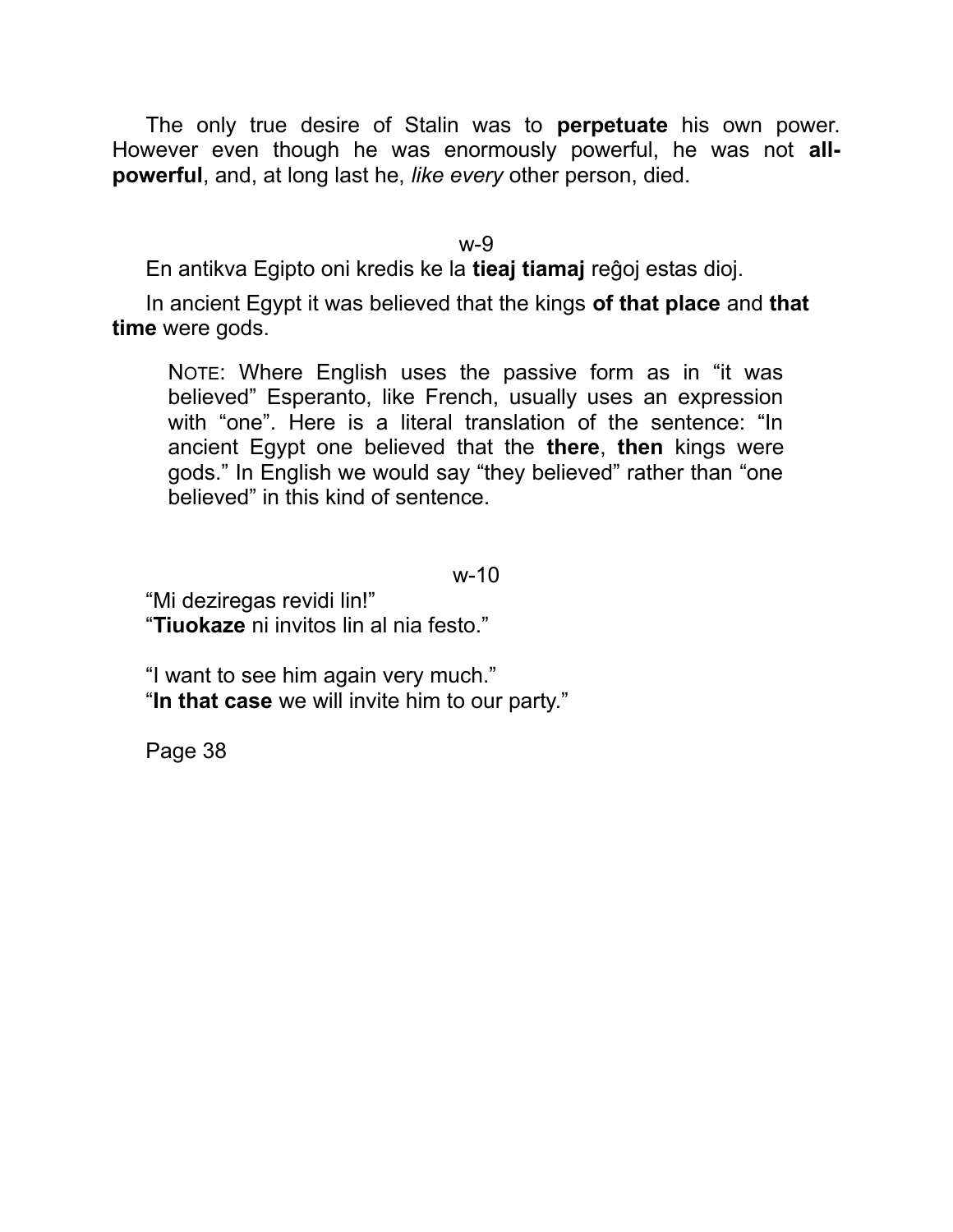The only true desire of Stalin was to **perpetuate** his own power. However even though he was enormously powerful, he was not **allpowerful**, and, at long last he, *like every* other person, died.

w-9

En antikva Egipto oni kredis ke la **tieaj tiamaj** reĝoj estas dioj.

In ancient Egypt it was believed that the kings **of that place** and **that time** were gods.

NOTE: Where English uses the passive form as in "it was believed" Esperanto, like French, usually uses an expression with "one". Here is a literal translation of the sentence: "In ancient Egypt one believed that the **there**, **then** kings were gods." In English we would say "they believed" rather than "one believed" in this kind of sentence.

w-10

"Mi deziregas revidi lin!" "**Tiuokaze** ni invitos lin al nia festo."

"I want to see him again very much." "**In that case** we will invite him to our party."

Page 38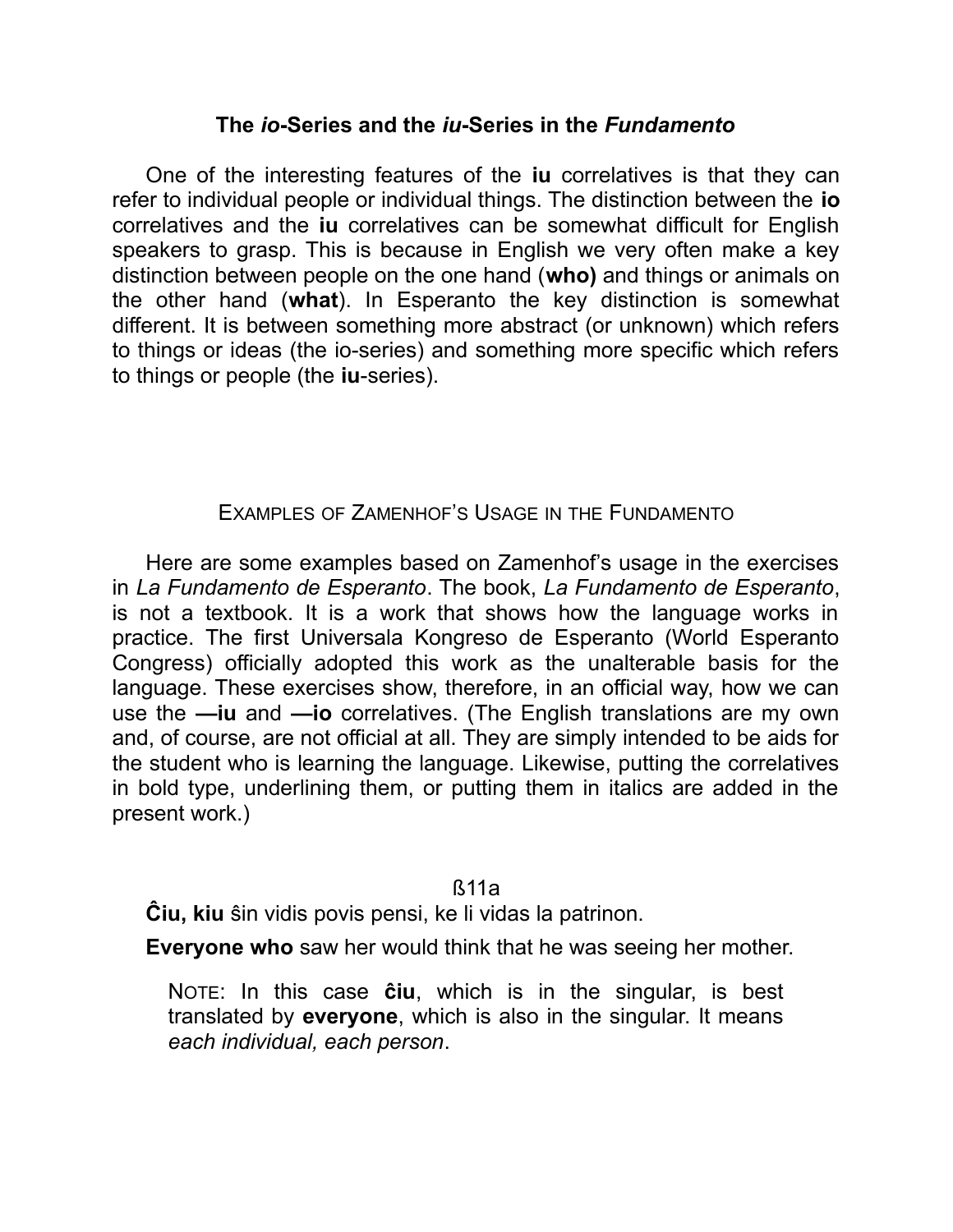#### **The** *io***-Series and the** *iu***-Series in the** *Fundamento*

One of the interesting features of the **iu** correlatives is that they can refer to individual people or individual things. The distinction between the **io** correlatives and the **iu** correlatives can be somewhat difficult for English speakers to grasp. This is because in English we very often make a key distinction between people on the one hand (**who)** and things or animals on the other hand (**what**). In Esperanto the key distinction is somewhat different. It is between something more abstract (or unknown) which refers to things or ideas (the io-series) and something more specific which refers to things or people (the **iu**-series).

#### EXAMPLES OF ZAMENHOF'S USAGE IN THE FUNDAMENTO

Here are some examples based on Zamenhof's usage in the exercises in *La Fundamento de Esperanto*. The book, *La Fundamento de Esperanto*, is not a textbook. It is a work that shows how the language works in practice. The first Universala Kongreso de Esperanto (World Esperanto Congress) officially adopted this work as the unalterable basis for the language. These exercises show, therefore, in an official way, how we can use the **—iu** and **—io** correlatives. (The English translations are my own and, of course, are not official at all. They are simply intended to be aids for the student who is learning the language. Likewise, putting the correlatives in bold type, underlining them, or putting them in italics are added in the present work.)

#### ß11a

**Ĉiu, kiu** ŝin vidis povis pensi, ke li vidas la patrinon.

**Everyone who** saw her would think that he was seeing her mother.

NOTE: In this case **ĉiu**, which is in the singular, is best translated by **everyone**, which is also in the singular. It means *each individual, each person*.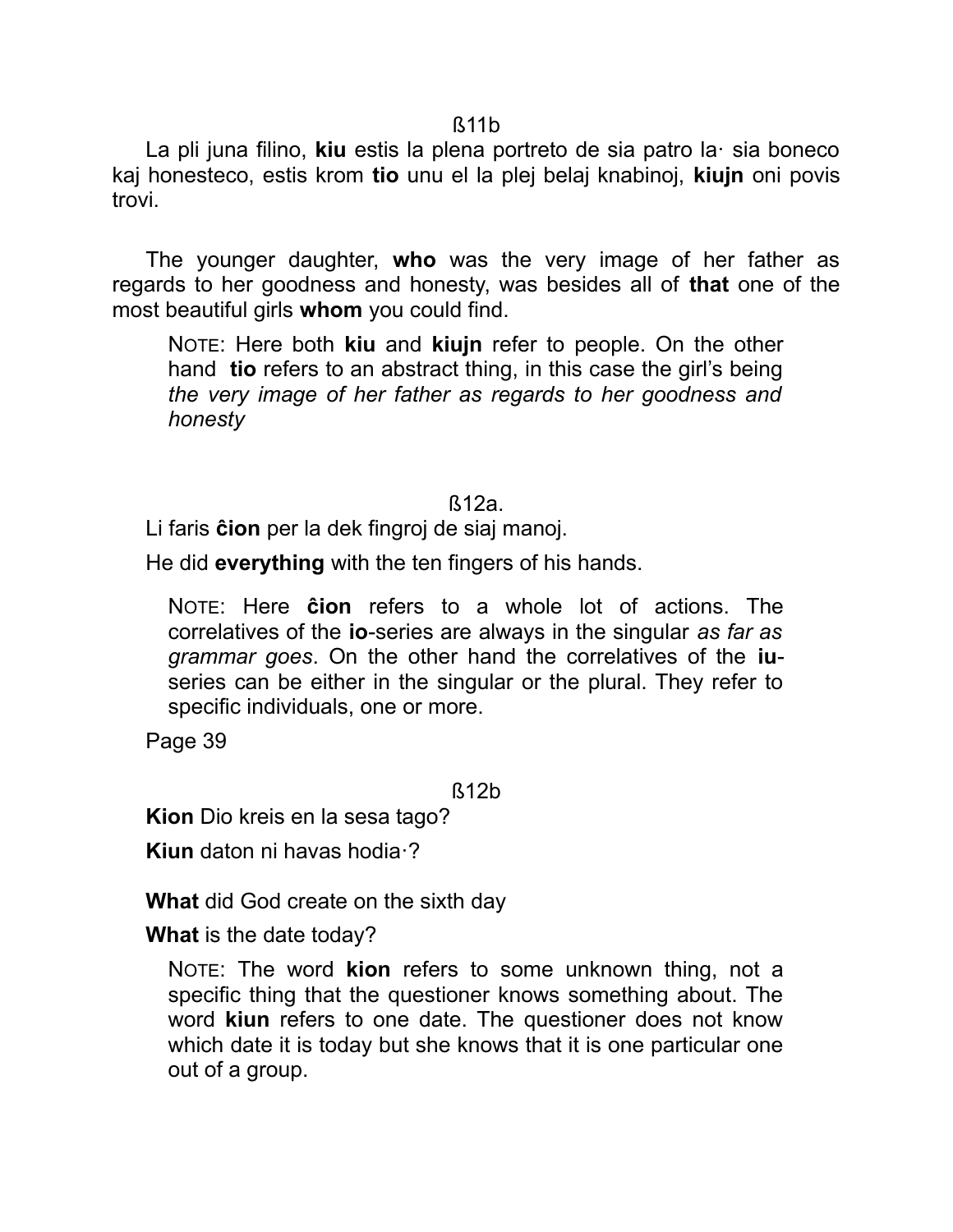ß11b

La pli juna filino, **kiu** estis la plena portreto de sia patro la· sia boneco kaj honesteco, estis krom **tio** unu el la plej belaj knabinoj, **kiujn** oni povis trovi.

The younger daughter, **who** was the very image of her father as regards to her goodness and honesty, was besides all of **that** one of the most beautiful girls **whom** you could find.

NOTE: Here both **kiu** and **kiujn** refer to people. On the other hand **tio** refers to an abstract thing, in this case the girl's being *the very image of her father as regards to her goodness and honesty*

#### ß12a.

Li faris **ĉion** per la dek fingroj de siaj manoj.

He did **everything** with the ten fingers of his hands.

NOTE: Here **ĉion** refers to a whole lot of actions. The correlatives of the **io**-series are always in the singular *as far as grammar goes*. On the other hand the correlatives of the **iu**series can be either in the singular or the plural. They refer to specific individuals, one or more.

Page 39

ß12b

**Kion** Dio kreis en la sesa tago?

**Kiun** daton ni havas hodia·?

**What** did God create on the sixth day

**What** is the date today?

NOTE: The word **kion** refers to some unknown thing, not a specific thing that the questioner knows something about. The word **kiun** refers to one date. The questioner does not know which date it is today but she knows that it is one particular one out of a group.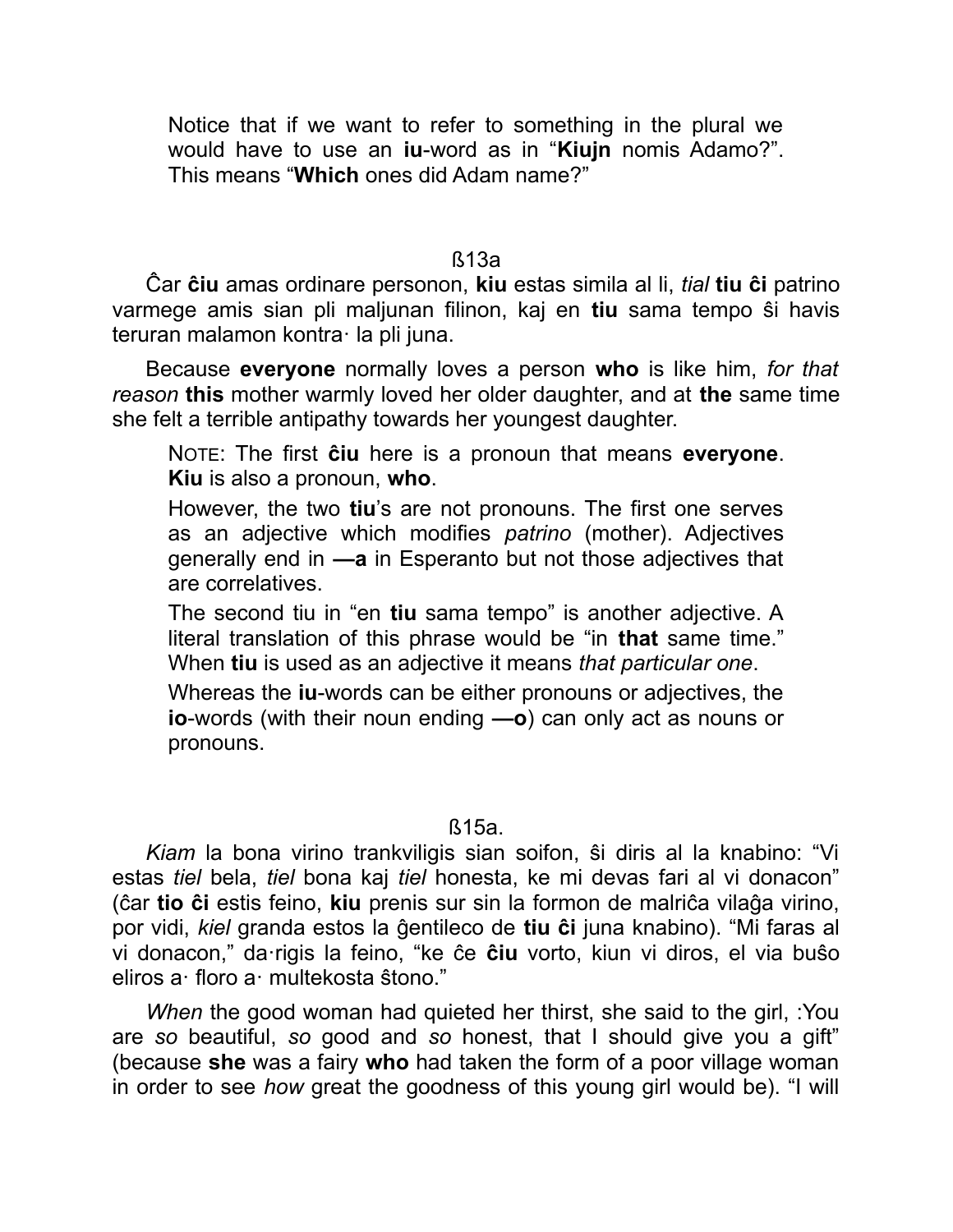Notice that if we want to refer to something in the plural we would have to use an **iu**-word as in "**Kiujn** nomis Adamo?". This means "**Which** ones did Adam name?"

ß13a

Ĉar **ĉiu** amas ordinare personon, **kiu** estas simila al li, *tial* **tiu ĉi** patrino varmege amis sian pli maljunan filinon, kaj en **tiu** sama tempo ŝi havis teruran malamon kontra· la pli juna.

Because **everyone** normally loves a person **who** is like him, *for that reason* **this** mother warmly loved her older daughter, and at **the** same time she felt a terrible antipathy towards her youngest daughter.

NOTE: The first **ĉiu** here is a pronoun that means **everyone**. **Kiu** is also a pronoun, **who**.

However, the two **tiu**'s are not pronouns. The first one serves as an adjective which modifies *patrino* (mother). Adjectives generally end in **—a** in Esperanto but not those adjectives that are correlatives.

The second tiu in "en **tiu** sama tempo" is another adjective. A literal translation of this phrase would be "in **that** same time." When **tiu** is used as an adjective it means *that particular one*.

Whereas the **iu**-words can be either pronouns or adjectives, the **io**-words (with their noun ending **—o**) can only act as nouns or pronouns.

ß15a.

*Kiam* la bona virino trankviligis sian soifon, ŝi diris al la knabino: "Vi estas *tiel* bela, *tiel* bona kaj *tiel* honesta, ke mi devas fari al vi donacon" (ĉar **tio ĉi** estis feino, **kiu** prenis sur sin la formon de malriĉa vilaĝa virino, por vidi, *kiel* granda estos la ĝentileco de **tiu ĉi** juna knabino). "Mi faras al vi donacon," da·rigis la feino, "ke ĉe **ĉiu** vorto, kiun vi diros, el via buŝo eliros a· floro a· multekosta ŝtono."

*When* the good woman had quieted her thirst, she said to the girl, :You are *so* beautiful, *so* good and *so* honest, that I should give you a gift" (because **she** was a fairy **who** had taken the form of a poor village woman in order to see *how* great the goodness of this young girl would be). "I will